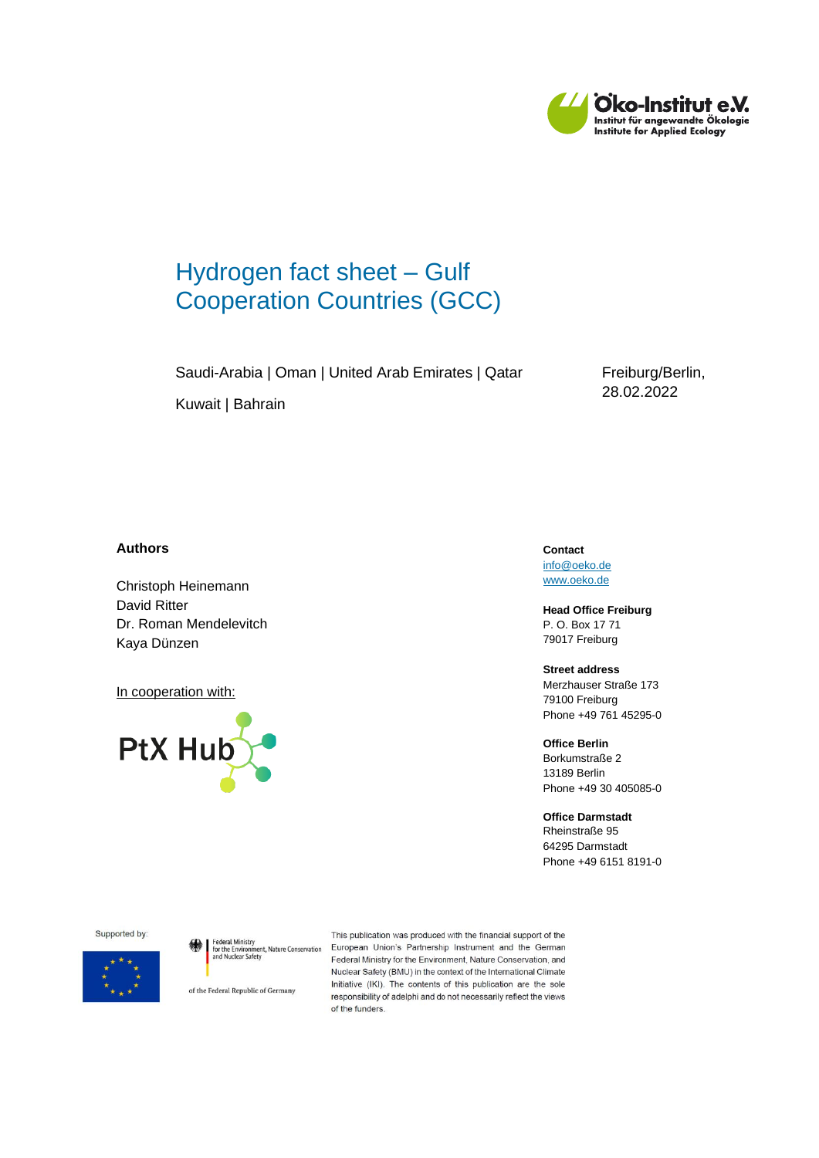

# Hydrogen fact sheet – Gulf Cooperation Countries (GCC)

Saudi-Arabia | Oman | United Arab Emirates | Qatar

Freiburg/Berlin, 28.02.2022

Kuwait | Bahrain

#### **Authors**

Christoph Heinemann David Ritter Dr. Roman Mendelevitch Kaya Dünzen

In cooperation with:



**Contact** [info@oeko.de](mailto:info@oeko.de) [www.oeko.de](http://www.oeko.de/)

**Head Office Freiburg** P. O. Box 17 71 79017 Freiburg

**Street address** Merzhauser Straße 173 79100 Freiburg Phone +49 761 45295-0

**Office Berlin** Borkumstraße 2 13189 Berlin Phone +49 30 405085-0

**Office Darmstadt** Rheinstraße 95 64295 Darmstadt Phone +49 6151 8191-0

Supported by:



of the Federal Republic of Germany

This publication was produced with the financial support of the Federal Ministry<br>for the Environment, Nature Conservation European Union's Partnership Instrument and the German<br>and Nuclear Safety Federal Ministry for the Environment, Nature Conservation, and<br>and Nuclear Safety Nuclear Safety (BMU) in the context of the International Climate Initiative (IKI). The contents of this publication are the sole responsibility of adelphi and do not necessarily reflect the views of the funders.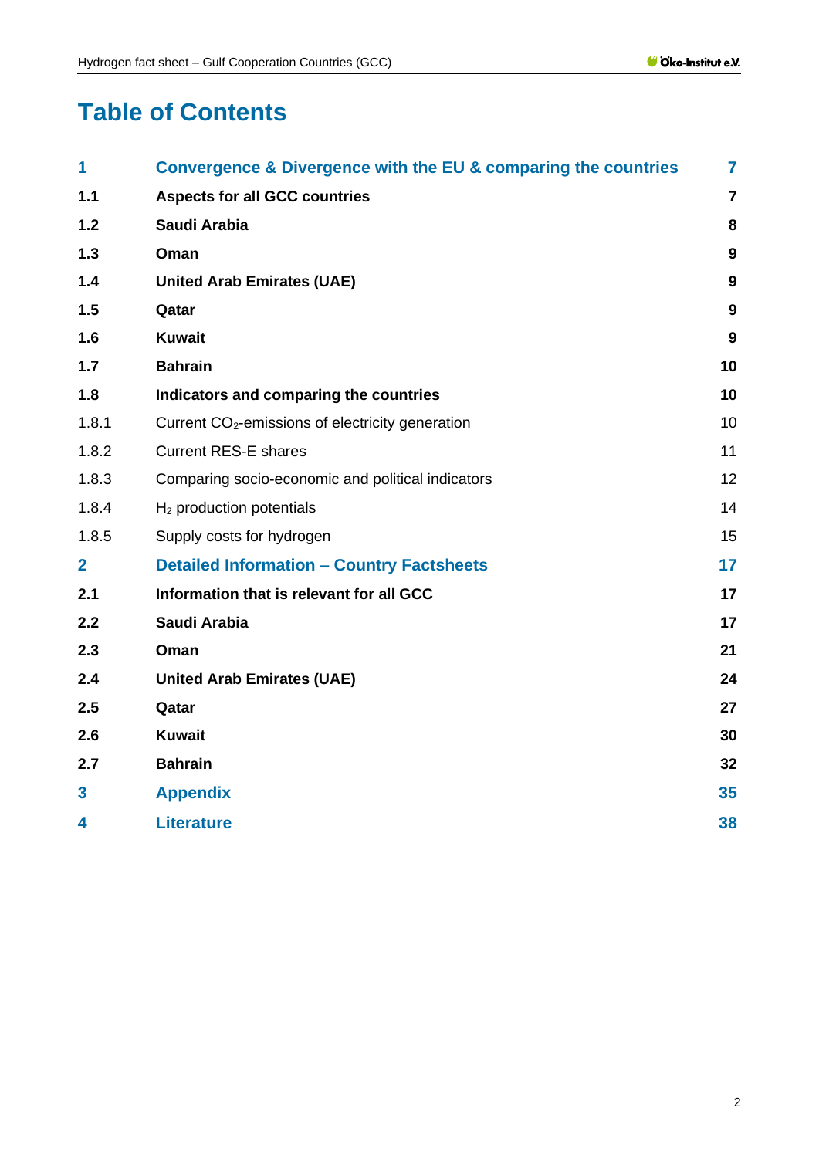# **Table of Contents**

| 1                       | Convergence & Divergence with the EU & comparing the countries | $\overline{7}$   |
|-------------------------|----------------------------------------------------------------|------------------|
| 1.1                     | <b>Aspects for all GCC countries</b>                           | $\overline{7}$   |
| $1.2$                   | Saudi Arabia                                                   | 8                |
| 1.3                     | Oman                                                           | $\boldsymbol{9}$ |
| 1.4                     | <b>United Arab Emirates (UAE)</b>                              | $\boldsymbol{9}$ |
| 1.5                     | Qatar                                                          | $\boldsymbol{9}$ |
| 1.6                     | <b>Kuwait</b>                                                  | $\boldsymbol{9}$ |
| 1.7                     | <b>Bahrain</b>                                                 | 10               |
| 1.8                     | Indicators and comparing the countries                         | 10               |
| 1.8.1                   | Current CO <sub>2</sub> -emissions of electricity generation   | 10               |
| 1.8.2                   | <b>Current RES-E shares</b>                                    | 11               |
| 1.8.3                   | Comparing socio-economic and political indicators              | 12               |
| 1.8.4                   | $H2$ production potentials                                     | 14               |
| 1.8.5                   | Supply costs for hydrogen                                      | 15               |
| $\overline{2}$          | <b>Detailed Information - Country Factsheets</b>               | 17               |
| 2.1                     | Information that is relevant for all GCC                       | 17               |
| 2.2                     | Saudi Arabia                                                   | 17               |
| 2.3                     | Oman                                                           | 21               |
| 2.4                     | <b>United Arab Emirates (UAE)</b>                              | 24               |
| 2.5                     | Qatar                                                          | 27               |
| 2.6                     | <b>Kuwait</b>                                                  | 30               |
| 2.7                     | <b>Bahrain</b>                                                 | 32               |
| $\overline{\mathbf{3}}$ | <b>Appendix</b>                                                | 35               |
| 4                       | <b>Literature</b>                                              | 38               |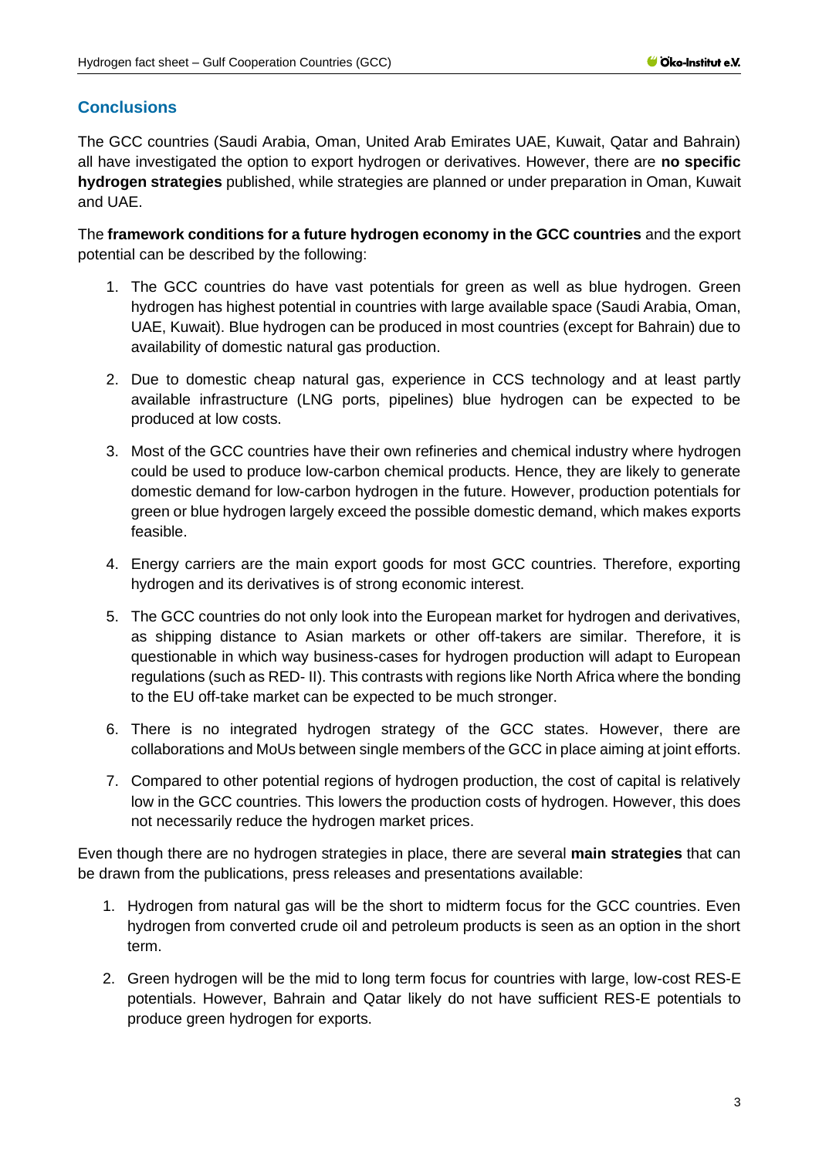## **Conclusions**

The GCC countries (Saudi Arabia, Oman, United Arab Emirates UAE, Kuwait, Qatar and Bahrain) all have investigated the option to export hydrogen or derivatives. However, there are **no specific hydrogen strategies** published, while strategies are planned or under preparation in Oman, Kuwait and UAE.

The **framework conditions for a future hydrogen economy in the GCC countries** and the export potential can be described by the following:

- 1. The GCC countries do have vast potentials for green as well as blue hydrogen. Green hydrogen has highest potential in countries with large available space (Saudi Arabia, Oman, UAE, Kuwait). Blue hydrogen can be produced in most countries (except for Bahrain) due to availability of domestic natural gas production.
- 2. Due to domestic cheap natural gas, experience in CCS technology and at least partly available infrastructure (LNG ports, pipelines) blue hydrogen can be expected to be produced at low costs.
- 3. Most of the GCC countries have their own refineries and chemical industry where hydrogen could be used to produce low-carbon chemical products. Hence, they are likely to generate domestic demand for low-carbon hydrogen in the future. However, production potentials for green or blue hydrogen largely exceed the possible domestic demand, which makes exports feasible.
- 4. Energy carriers are the main export goods for most GCC countries. Therefore, exporting hydrogen and its derivatives is of strong economic interest.
- 5. The GCC countries do not only look into the European market for hydrogen and derivatives, as shipping distance to Asian markets or other off-takers are similar. Therefore, it is questionable in which way business-cases for hydrogen production will adapt to European regulations (such as RED- II). This contrasts with regions like North Africa where the bonding to the EU off-take market can be expected to be much stronger.
- 6. There is no integrated hydrogen strategy of the GCC states. However, there are collaborations and MoUs between single members of the GCC in place aiming at joint efforts.
- 7. Compared to other potential regions of hydrogen production, the cost of capital is relatively low in the GCC countries. This lowers the production costs of hydrogen. However, this does not necessarily reduce the hydrogen market prices.

Even though there are no hydrogen strategies in place, there are several **main strategies** that can be drawn from the publications, press releases and presentations available:

- 1. Hydrogen from natural gas will be the short to midterm focus for the GCC countries. Even hydrogen from converted crude oil and petroleum products is seen as an option in the short term.
- 2. Green hydrogen will be the mid to long term focus for countries with large, low-cost RES-E potentials. However, Bahrain and Qatar likely do not have sufficient RES-E potentials to produce green hydrogen for exports.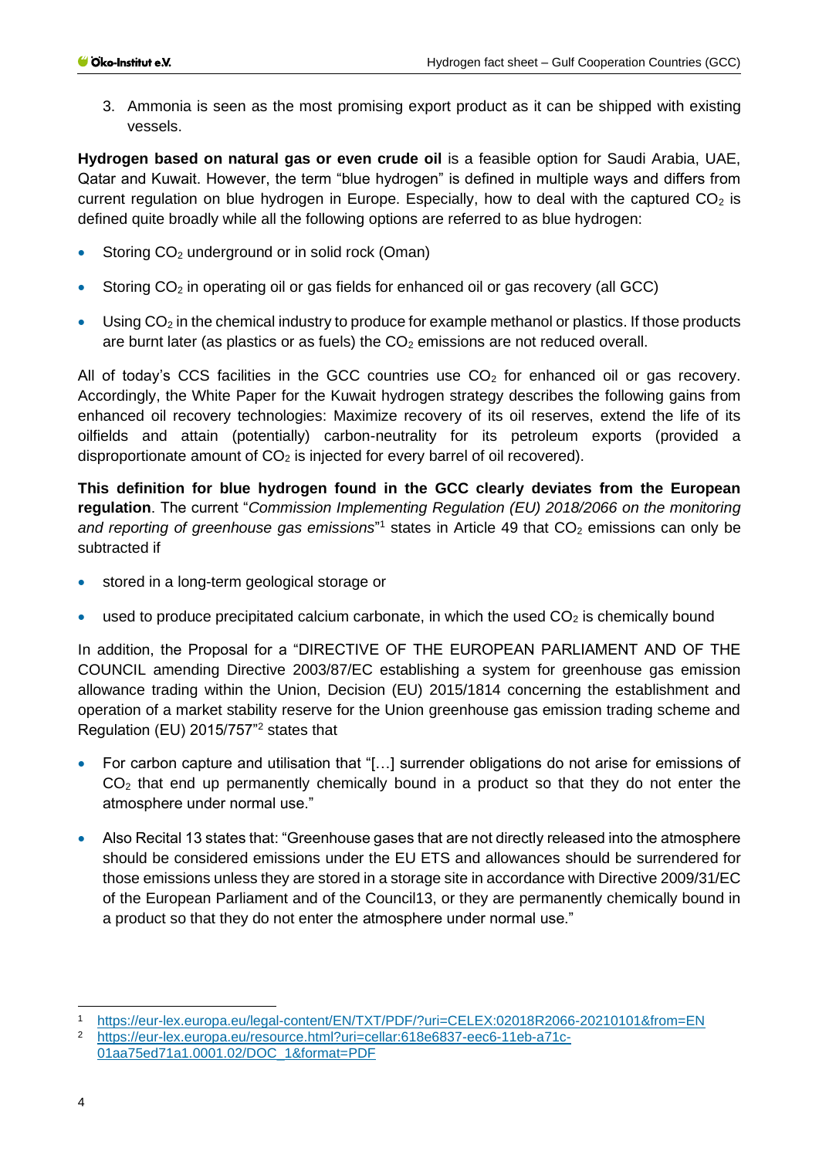3. Ammonia is seen as the most promising export product as it can be shipped with existing vessels.

**Hydrogen based on natural gas or even crude oil** is a feasible option for Saudi Arabia, UAE, Qatar and Kuwait. However, the term "blue hydrogen" is defined in multiple ways and differs from current regulation on blue hydrogen in Europe. Especially, how to deal with the captured  $CO<sub>2</sub>$  is defined quite broadly while all the following options are referred to as blue hydrogen:

- Storing CO<sub>2</sub> underground or in solid rock (Oman)
- Storing  $CO<sub>2</sub>$  in operating oil or gas fields for enhanced oil or gas recovery (all GCC)
- Using  $CO<sub>2</sub>$  in the chemical industry to produce for example methanol or plastics. If those products are burnt later (as plastics or as fuels) the  $CO<sub>2</sub>$  emissions are not reduced overall.

All of today's CCS facilities in the GCC countries use  $CO<sub>2</sub>$  for enhanced oil or gas recovery. Accordingly, the White Paper for the Kuwait hydrogen strategy describes the following gains from enhanced oil recovery technologies: Maximize recovery of its oil reserves, extend the life of its oilfields and attain (potentially) carbon-neutrality for its petroleum exports (provided a disproportionate amount of  $CO<sub>2</sub>$  is injected for every barrel of oil recovered).

**This definition for blue hydrogen found in the GCC clearly deviates from the European regulation**. The current "*Commission Implementing Regulation (EU) 2018/2066 on the monitoring*  and reporting of greenhouse gas emissions<sup>"1</sup> states in Article 49 that CO<sub>2</sub> emissions can only be subtracted if

- stored in a long-term geological storage or
- used to produce precipitated calcium carbonate, in which the used  $CO<sub>2</sub>$  is chemically bound

In addition, the Proposal for a "DIRECTIVE OF THE EUROPEAN PARLIAMENT AND OF THE COUNCIL amending Directive 2003/87/EC establishing a system for greenhouse gas emission allowance trading within the Union, Decision (EU) 2015/1814 concerning the establishment and operation of a market stability reserve for the Union greenhouse gas emission trading scheme and Regulation (EU) 2015/757"<sup>2</sup> states that

- For carbon capture and utilisation that "[…] surrender obligations do not arise for emissions of CO<sub>2</sub> that end up permanently chemically bound in a product so that they do not enter the atmosphere under normal use."
- Also Recital 13 states that: "Greenhouse gases that are not directly released into the atmosphere should be considered emissions under the EU ETS and allowances should be surrendered for those emissions unless they are stored in a storage site in accordance with Directive 2009/31/EC of the European Parliament and of the Council13, or they are permanently chemically bound in a product so that they do not enter the atmosphere under normal use."

<sup>1</sup> <https://eur-lex.europa.eu/legal-content/EN/TXT/PDF/?uri=CELEX:02018R2066-20210101&from=EN><br>2 https://eur.lov.ouropa.ou/resource.html?uri=coller:618e6837\_coc6\_11ch\_e71c

[https://eur-lex.europa.eu/resource.html?uri=cellar:618e6837-eec6-11eb-a71c-](https://eur-lex.europa.eu/resource.html?uri=cellar:618e6837-eec6-11eb-a71c-01aa75ed71a1.0001.02/DOC_1&format=PDF)[01aa75ed71a1.0001.02/DOC\\_1&format=PDF](https://eur-lex.europa.eu/resource.html?uri=cellar:618e6837-eec6-11eb-a71c-01aa75ed71a1.0001.02/DOC_1&format=PDF)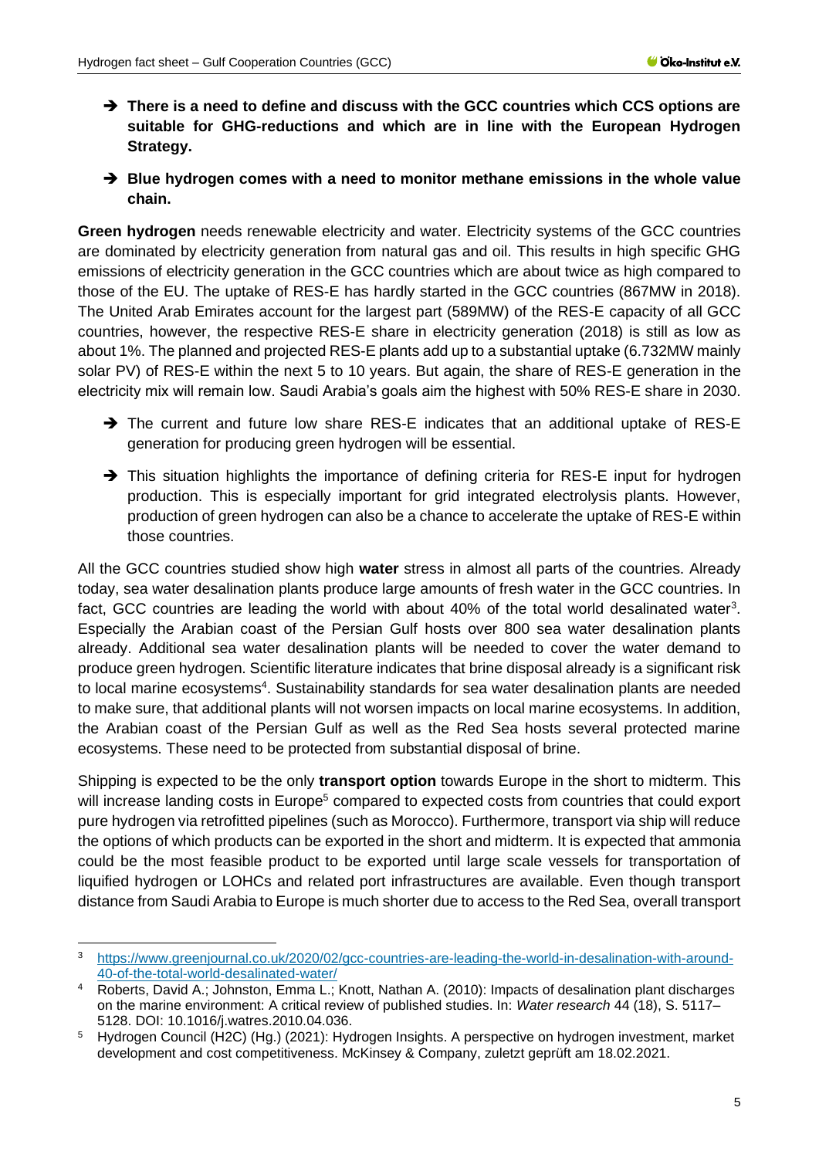- ➔ **There is a need to define and discuss with the GCC countries which CCS options are suitable for GHG-reductions and which are in line with the European Hydrogen Strategy.**
- ➔ **Blue hydrogen comes with a need to monitor methane emissions in the whole value chain.**

**Green hydrogen** needs renewable electricity and water. Electricity systems of the GCC countries are dominated by electricity generation from natural gas and oil. This results in high specific GHG emissions of electricity generation in the GCC countries which are about twice as high compared to those of the EU. The uptake of RES-E has hardly started in the GCC countries (867MW in 2018). The United Arab Emirates account for the largest part (589MW) of the RES-E capacity of all GCC countries, however, the respective RES-E share in electricity generation (2018) is still as low as about 1%. The planned and projected RES-E plants add up to a substantial uptake (6.732MW mainly solar PV) of RES-E within the next 5 to 10 years. But again, the share of RES-E generation in the electricity mix will remain low. Saudi Arabia's goals aim the highest with 50% RES-E share in 2030.

- → The current and future low share RES-E indicates that an additional uptake of RES-E generation for producing green hydrogen will be essential.
- → This situation highlights the importance of defining criteria for RES-E input for hydrogen production. This is especially important for grid integrated electrolysis plants. However, production of green hydrogen can also be a chance to accelerate the uptake of RES-E within those countries.

All the GCC countries studied show high **water** stress in almost all parts of the countries. Already today, sea water desalination plants produce large amounts of fresh water in the GCC countries. In fact, GCC countries are leading the world with about 40% of the total world desalinated water<sup>3</sup>. Especially the Arabian coast of the Persian Gulf hosts over 800 sea water desalination plants already. Additional sea water desalination plants will be needed to cover the water demand to produce green hydrogen. Scientific literature indicates that brine disposal already is a significant risk to local marine ecosystems<sup>4</sup>. Sustainability standards for sea water desalination plants are needed to make sure, that additional plants will not worsen impacts on local marine ecosystems. In addition, the Arabian coast of the Persian Gulf as well as the Red Sea hosts several protected marine ecosystems. These need to be protected from substantial disposal of brine.

Shipping is expected to be the only **transport option** towards Europe in the short to midterm. This will increase landing costs in Europe<sup>5</sup> compared to expected costs from countries that could export pure hydrogen via retrofitted pipelines (such as Morocco). Furthermore, transport via ship will reduce the options of which products can be exported in the short and midterm. It is expected that ammonia could be the most feasible product to be exported until large scale vessels for transportation of liquified hydrogen or LOHCs and related port infrastructures are available. Even though transport distance from Saudi Arabia to Europe is much shorter due to access to the Red Sea, overall transport

<sup>3</sup> [https://www.greenjournal.co.uk/2020/02/gcc-countries-are-leading-the-world-in-desalination-with-around-](https://www.greenjournal.co.uk/2020/02/gcc-countries-are-leading-the-world-in-desalination-with-around-40-of-the-total-world-desalinated-water/)[40-of-the-total-world-desalinated-water/](https://www.greenjournal.co.uk/2020/02/gcc-countries-are-leading-the-world-in-desalination-with-around-40-of-the-total-world-desalinated-water/)

<sup>4</sup> Roberts, David A.; Johnston, Emma L.; Knott, Nathan A. (2010): Impacts of desalination plant discharges on the marine environment: A critical review of published studies. In: *Water research* 44 (18), S. 5117– 5128. DOI: 10.1016/j.watres.2010.04.036.

<sup>5</sup> Hydrogen Council (H2C) (Hg.) (2021): Hydrogen Insights. A perspective on hydrogen investment, market development and cost competitiveness. McKinsey & Company, zuletzt geprüft am 18.02.2021.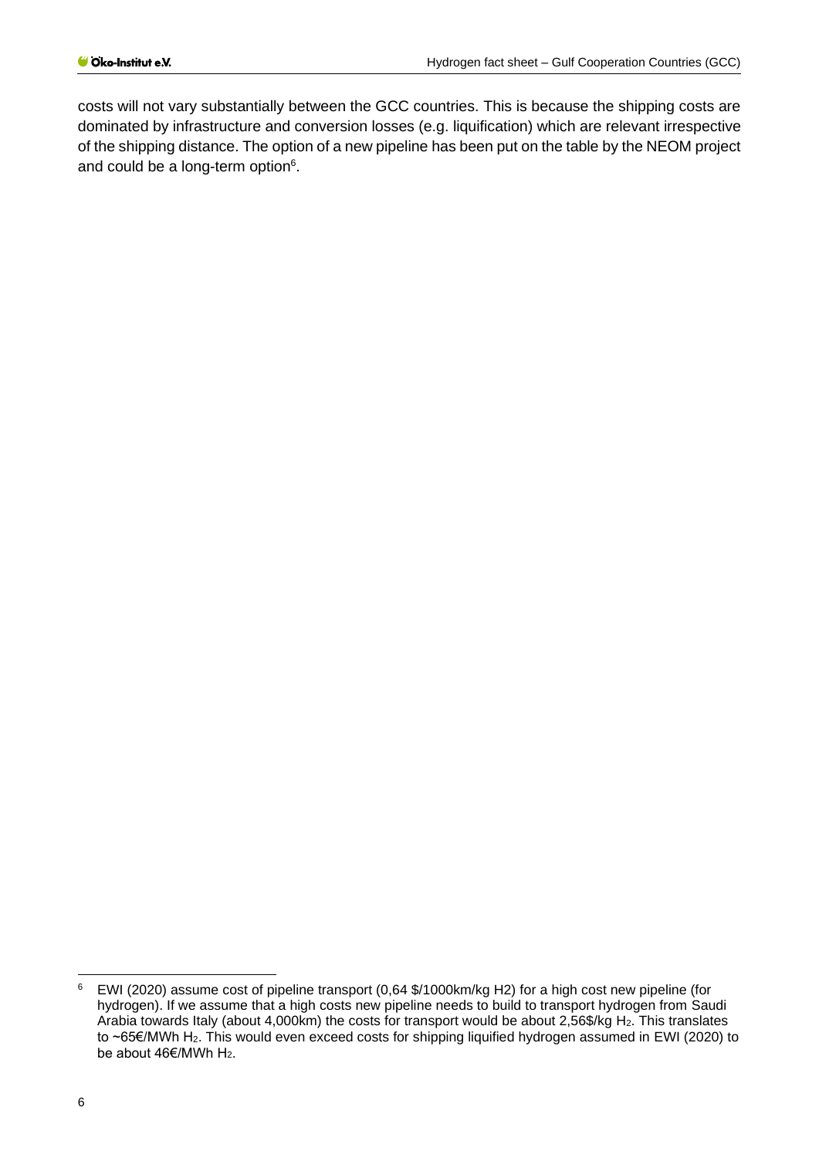costs will not vary substantially between the GCC countries. This is because the shipping costs are dominated by infrastructure and conversion losses (e.g. liquification) which are relevant irrespective of the shipping distance. The option of a new pipeline has been put on the table by the NEOM project and could be a long-term option<sup>6</sup>.

<sup>6</sup> EWI (2020) assume cost of pipeline transport (0,64 \$/1000km/kg H2) for a high cost new pipeline (for hydrogen). If we assume that a high costs new pipeline needs to build to transport hydrogen from Saudi Arabia towards Italy (about 4,000km) the costs for transport would be about 2,56\$/kg H2. This translates to ~65€/MWh H2. This would even exceed costs for shipping liquified hydrogen assumed in EWI (2020) to be about  $46 \in$ /MWh H<sub>2</sub>.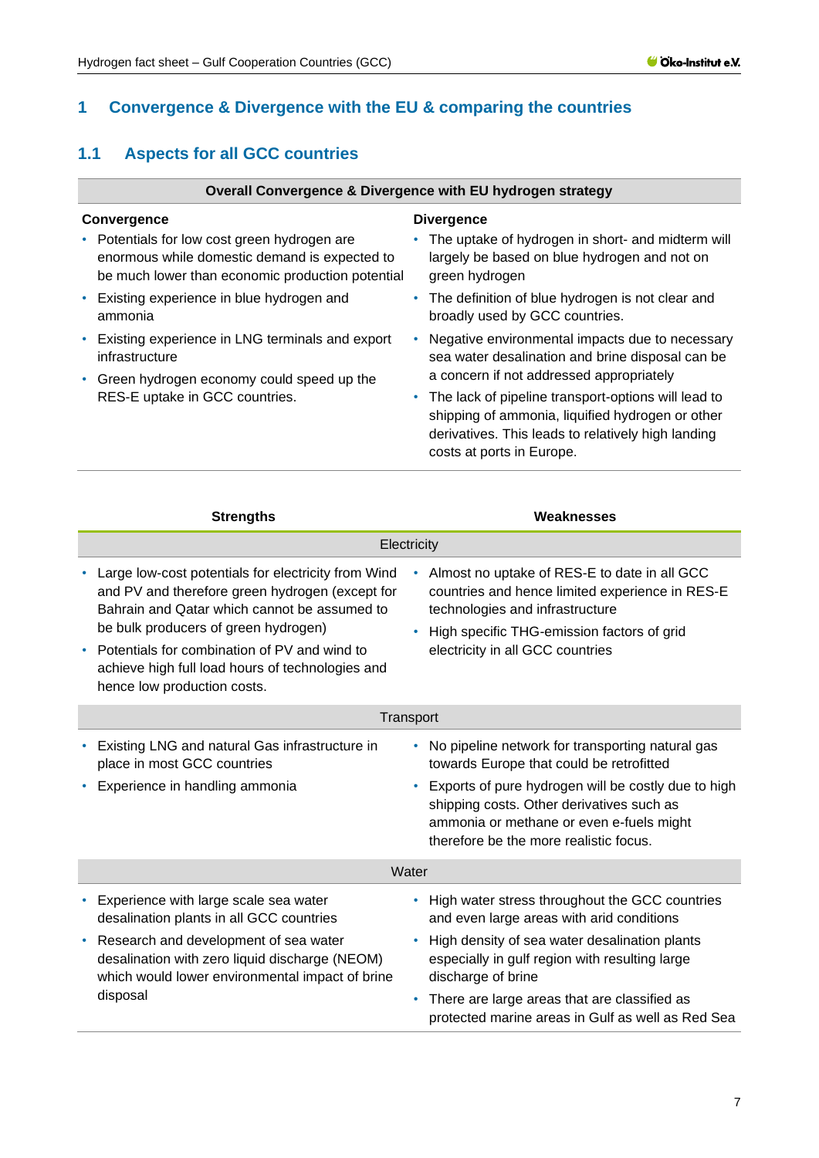## <span id="page-6-0"></span>**1 Convergence & Divergence with the EU & comparing the countries**

## <span id="page-6-1"></span>**1.1 Aspects for all GCC countries**

#### **Overall Convergence & Divergence with EU hydrogen strategy**

#### **Convergence**

- Potentials for low cost green hydrogen are enormous while domestic demand is expected to be much lower than economic production potential
- Existing experience in blue hydrogen and ammonia
- Existing experience in LNG terminals and export infrastructure
- Green hydrogen economy could speed up the RES-E uptake in GCC countries.

#### **Divergence**

- The uptake of hydrogen in short- and midterm will largely be based on blue hydrogen and not on green hydrogen
- The definition of blue hydrogen is not clear and broadly used by GCC countries.
- Negative environmental impacts due to necessary sea water desalination and brine disposal can be a concern if not addressed appropriately
- The lack of pipeline transport-options will lead to shipping of ammonia, liquified hydrogen or other derivatives. This leads to relatively high landing costs at ports in Europe.

|   | <b>Strengths</b>                                                                                                                                                                                                                                                                                                                  | Weaknesses                                                                                                                                                                                                                                                                             |  |
|---|-----------------------------------------------------------------------------------------------------------------------------------------------------------------------------------------------------------------------------------------------------------------------------------------------------------------------------------|----------------------------------------------------------------------------------------------------------------------------------------------------------------------------------------------------------------------------------------------------------------------------------------|--|
|   | Electricity                                                                                                                                                                                                                                                                                                                       |                                                                                                                                                                                                                                                                                        |  |
|   | Large low-cost potentials for electricity from Wind<br>and PV and therefore green hydrogen (except for<br>Bahrain and Qatar which cannot be assumed to<br>be bulk producers of green hydrogen)<br>Potentials for combination of PV and wind to<br>achieve high full load hours of technologies and<br>hence low production costs. | Almost no uptake of RES-E to date in all GCC<br>$\bullet$<br>countries and hence limited experience in RES-E<br>technologies and infrastructure<br>High specific THG-emission factors of grid<br>electricity in all GCC countries                                                      |  |
|   |                                                                                                                                                                                                                                                                                                                                   | Transport                                                                                                                                                                                                                                                                              |  |
|   | Existing LNG and natural Gas infrastructure in<br>place in most GCC countries<br>Experience in handling ammonia                                                                                                                                                                                                                   | No pipeline network for transporting natural gas<br>towards Europe that could be retrofitted<br>Exports of pure hydrogen will be costly due to high<br>shipping costs. Other derivatives such as<br>ammonia or methane or even e-fuels might<br>therefore be the more realistic focus. |  |
|   |                                                                                                                                                                                                                                                                                                                                   | Water                                                                                                                                                                                                                                                                                  |  |
| ٠ | Experience with large scale sea water<br>desalination plants in all GCC countries<br>Research and development of sea water<br>desalination with zero liquid discharge (NEOM)<br>which would lower environmental impact of brine                                                                                                   | High water stress throughout the GCC countries<br>and even large areas with arid conditions<br>High density of sea water desalination plants<br>especially in gulf region with resulting large<br>discharge of brine                                                                   |  |
|   | disposal                                                                                                                                                                                                                                                                                                                          | There are large areas that are classified as<br>٠<br>protected marine areas in Gulf as well as Red Sea                                                                                                                                                                                 |  |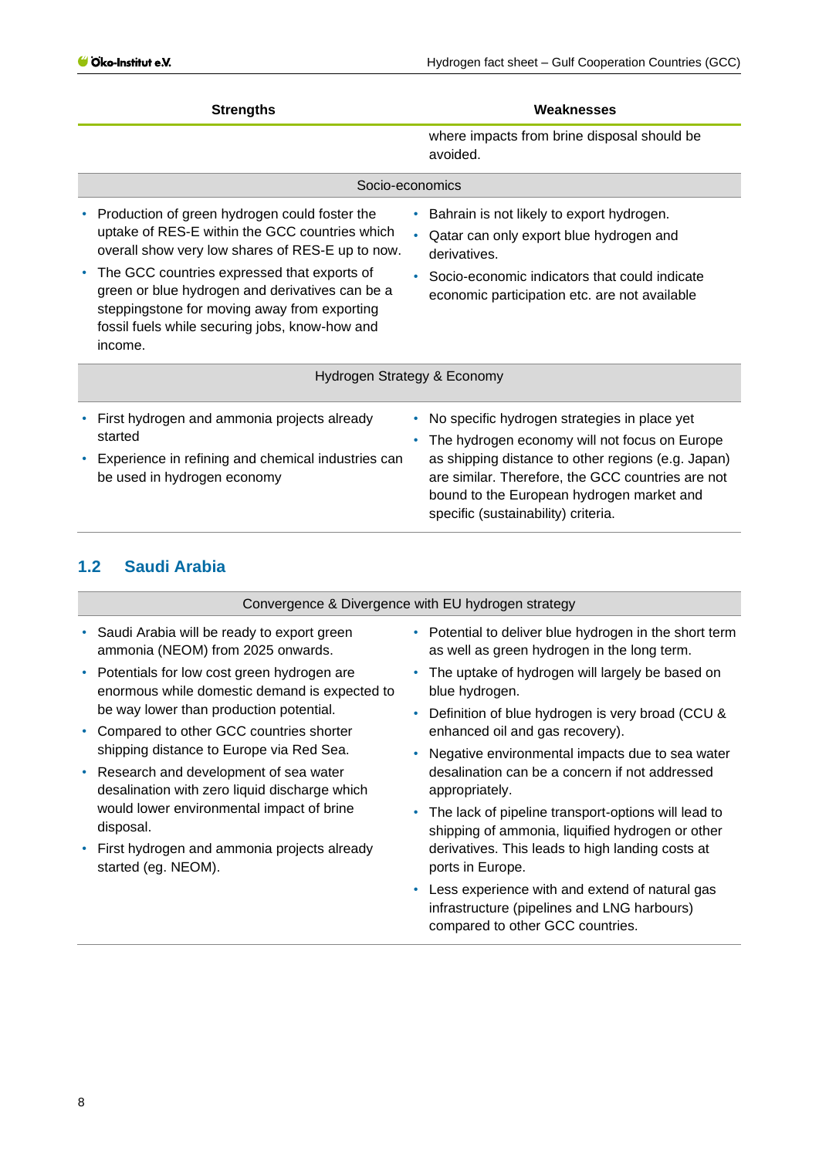| <b>Strengths</b>                                                                                                                                                                                                                                                                                                                                                   | Weaknesses                                                                                                                                                                                                                                                                                   |
|--------------------------------------------------------------------------------------------------------------------------------------------------------------------------------------------------------------------------------------------------------------------------------------------------------------------------------------------------------------------|----------------------------------------------------------------------------------------------------------------------------------------------------------------------------------------------------------------------------------------------------------------------------------------------|
|                                                                                                                                                                                                                                                                                                                                                                    | where impacts from brine disposal should be<br>avoided.                                                                                                                                                                                                                                      |
| Socio-economics                                                                                                                                                                                                                                                                                                                                                    |                                                                                                                                                                                                                                                                                              |
| Production of green hydrogen could foster the<br>uptake of RES-E within the GCC countries which<br>overall show very low shares of RES-E up to now.<br>The GCC countries expressed that exports of<br>green or blue hydrogen and derivatives can be a<br>steppingstone for moving away from exporting<br>fossil fuels while securing jobs, know-how and<br>income. | Bahrain is not likely to export hydrogen.<br>Qatar can only export blue hydrogen and<br>derivatives.<br>Socio-economic indicators that could indicate<br>economic participation etc. are not available                                                                                       |
| Hydrogen Strategy & Economy                                                                                                                                                                                                                                                                                                                                        |                                                                                                                                                                                                                                                                                              |
| First hydrogen and ammonia projects already<br>started<br>Experience in refining and chemical industries can<br>be used in hydrogen economy                                                                                                                                                                                                                        | No specific hydrogen strategies in place yet<br>The hydrogen economy will not focus on Europe<br>as shipping distance to other regions (e.g. Japan)<br>are similar. Therefore, the GCC countries are not<br>bound to the European hydrogen market and<br>specific (sustainability) criteria. |

## <span id="page-7-0"></span>**1.2 Saudi Arabia**

Convergence & Divergence with EU hydrogen strategy

- Saudi Arabia will be ready to export green ammonia (NEOM) from 2025 onwards.
- Potentials for low cost green hydrogen are enormous while domestic demand is expected to be way lower than production potential.
- Compared to other GCC countries shorter shipping distance to Europe via Red Sea.
- Research and development of sea water desalination with zero liquid discharge which would lower environmental impact of brine disposal.
- First hydrogen and ammonia projects already started (eg. NEOM).
- Potential to deliver blue hydrogen in the short term as well as green hydrogen in the long term.
- The uptake of hydrogen will largely be based on blue hydrogen.
- Definition of blue hydrogen is very broad (CCU & enhanced oil and gas recovery).
- Negative environmental impacts due to sea water desalination can be a concern if not addressed appropriately.
- The lack of pipeline transport-options will lead to shipping of ammonia, liquified hydrogen or other derivatives. This leads to high landing costs at ports in Europe.
- Less experience with and extend of natural gas infrastructure (pipelines and LNG harbours) compared to other GCC countries.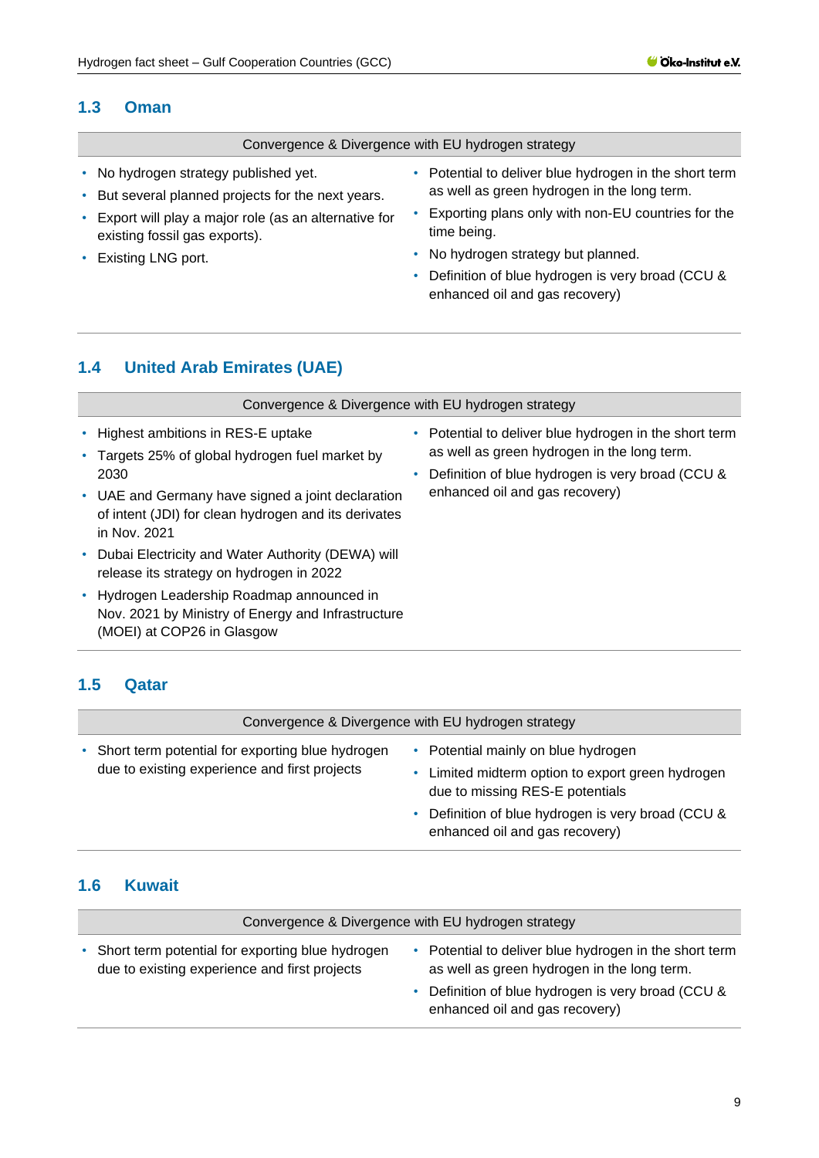#### <span id="page-8-0"></span>**1.3 Oman**

#### Convergence & Divergence with EU hydrogen strategy

- No hydrogen strategy published yet.
- But several planned projects for the next years.
- Export will play a major role (as an alternative for existing fossil gas exports).
- Existing LNG port.
- Potential to deliver blue hydrogen in the short term as well as green hydrogen in the long term.
- Exporting plans only with non-EU countries for the time being.
- No hydrogen strategy but planned.
- Definition of blue hydrogen is very broad (CCU & enhanced oil and gas recovery)

## <span id="page-8-1"></span>**1.4 United Arab Emirates (UAE)**

| Convergence & Divergence with EU hydrogen strategy                                                                             |                                             |                                                                                                            |
|--------------------------------------------------------------------------------------------------------------------------------|---------------------------------------------|------------------------------------------------------------------------------------------------------------|
| • Highest ambitions in RES-E uptake<br>Targets 25% of global hydrogen fuel market by<br>2030                                   | as well as green hydrogen in the long term. | • Potential to deliver blue hydrogen in the short term<br>Definition of blue hydrogen is very broad (CCU & |
| • UAE and Germany have signed a joint declaration<br>of intent (JDI) for clean hydrogen and its derivates<br>in Nov. 2021      |                                             | enhanced oil and gas recovery)                                                                             |
| • Dubai Electricity and Water Authority (DEWA) will<br>release its strategy on hydrogen in 2022                                |                                             |                                                                                                            |
| • Hydrogen Leadership Roadmap announced in<br>Nov. 2021 by Ministry of Energy and Infrastructure<br>(MOEI) at COP26 in Glasgow |                                             |                                                                                                            |

## <span id="page-8-2"></span>**1.5 Qatar**

| Convergence & Divergence with EU hydrogen strategy                                                  |  |                                                                                                                                                                                                                 |  |
|-----------------------------------------------------------------------------------------------------|--|-----------------------------------------------------------------------------------------------------------------------------------------------------------------------------------------------------------------|--|
| • Short term potential for exporting blue hydrogen<br>due to existing experience and first projects |  | • Potential mainly on blue hydrogen<br>Limited midterm option to export green hydrogen<br>due to missing RES-E potentials<br>Definition of blue hydrogen is very broad (CCU &<br>enhanced oil and gas recovery) |  |

#### <span id="page-8-3"></span>**1.6 Kuwait**

| Convergence & Divergence with EU hydrogen strategy                                                  |  |                                                                                                                                                                                             |
|-----------------------------------------------------------------------------------------------------|--|---------------------------------------------------------------------------------------------------------------------------------------------------------------------------------------------|
| • Short term potential for exporting blue hydrogen<br>due to existing experience and first projects |  | Potential to deliver blue hydrogen in the short term<br>as well as green hydrogen in the long term.<br>• Definition of blue hydrogen is very broad (CCU &<br>enhanced oil and gas recovery) |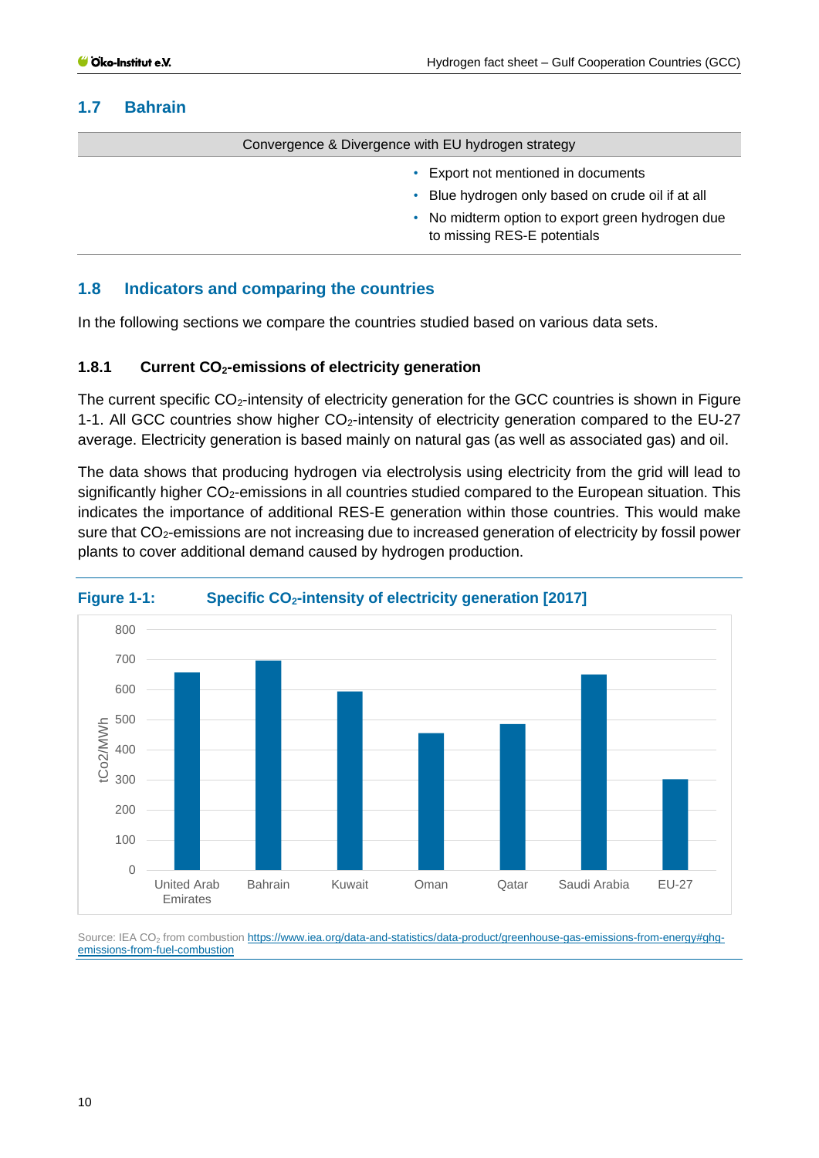## <span id="page-9-0"></span>**1.7 Bahrain**

Convergence & Divergence with EU hydrogen strategy

- Export not mentioned in documents
- Blue hydrogen only based on crude oil if at all
- No midterm option to export green hydrogen due to missing RES-E potentials

## <span id="page-9-1"></span>**1.8 Indicators and comparing the countries**

In the following sections we compare the countries studied based on various data sets.

#### <span id="page-9-2"></span>**1.8.1 Current CO2-emissions of electricity generation**

The current specific  $CO_2$ -intensity of electricity generation for the GCC countries is shown in Figure [1-1.](#page-9-3) All GCC countries show higher  $CO<sub>2</sub>$ -intensity of electricity generation compared to the EU-27 average. Electricity generation is based mainly on natural gas (as well as associated gas) and oil.

The data shows that producing hydrogen via electrolysis using electricity from the grid will lead to significantly higher CO<sub>2</sub>-emissions in all countries studied compared to the European situation. This indicates the importance of additional RES-E generation within those countries. This would make sure that CO<sub>2</sub>-emissions are not increasing due to increased generation of electricity by fossil power plants to cover additional demand caused by hydrogen production.



## <span id="page-9-3"></span>**Figure 1-1: Specific CO2-intensity of electricity generation [2017]**

Source: IEA CO<sub>2</sub> from combustion [https://www.iea.org/data-and-statistics/data-product/greenhouse-gas-emissions-from-energy#ghg](https://www.iea.org/data-and-statistics/data-product/greenhouse-gas-emissions-from-energy#ghg-emissions-from-fuel-combustion)[emissions-from-fuel-combustion](https://www.iea.org/data-and-statistics/data-product/greenhouse-gas-emissions-from-energy#ghg-emissions-from-fuel-combustion)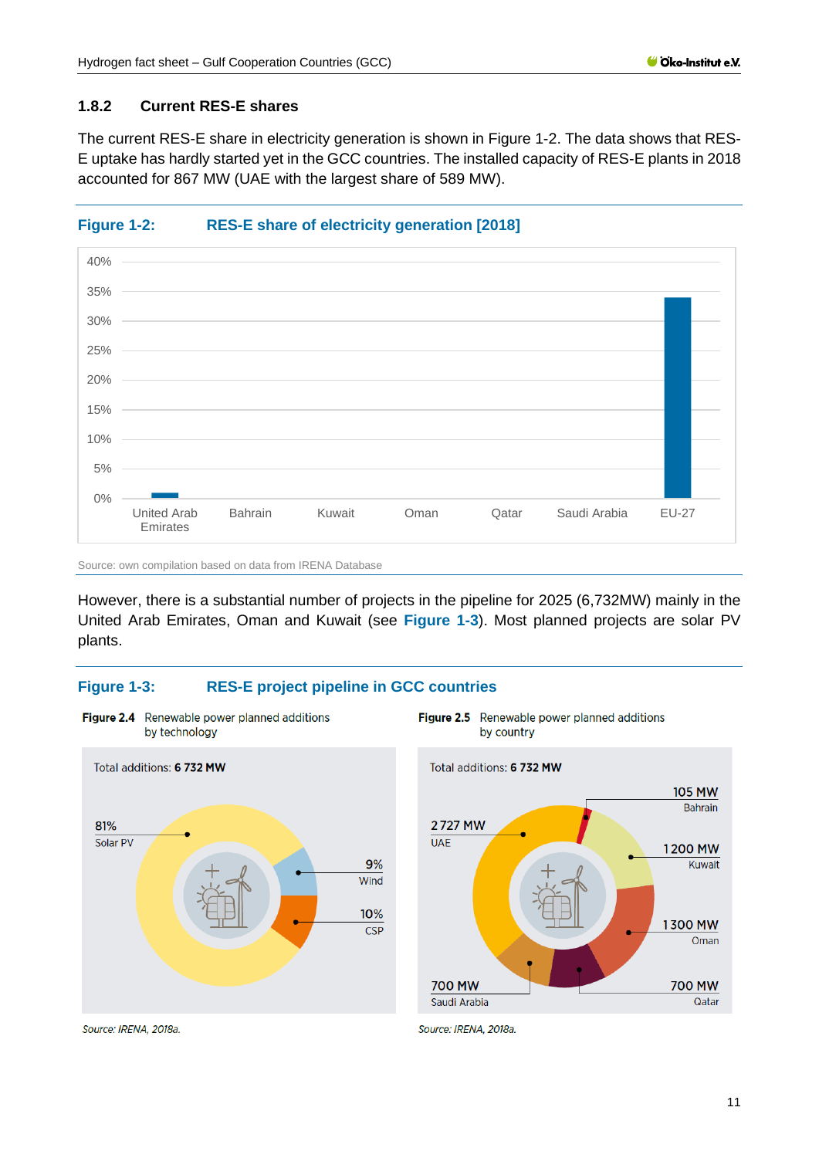## <span id="page-10-0"></span>**1.8.2 Current RES-E shares**

The current RES-E share in electricity generation is shown in [Figure 1-2.](#page-10-1) The data shows that RES-E uptake has hardly started yet in the GCC countries. The installed capacity of RES-E plants in 2018 accounted for 867 MW (UAE with the largest share of 589 MW).

<span id="page-10-1"></span>



Source: own compilation based on data from IRENA Database

Figure 2.4 Renewable power planned additions

However, there is a substantial number of projects in the pipeline for 2025 (6,732MW) mainly in the United Arab Emirates, Oman and Kuwait (see **[Figure 1-3](#page-10-2)**). Most planned projects are solar PV plants.

## <span id="page-10-2"></span>**Figure 1-3: RES-E project pipeline in GCC countries**





Source: IRENA, 2018a.

Source: IRENA, 2018a.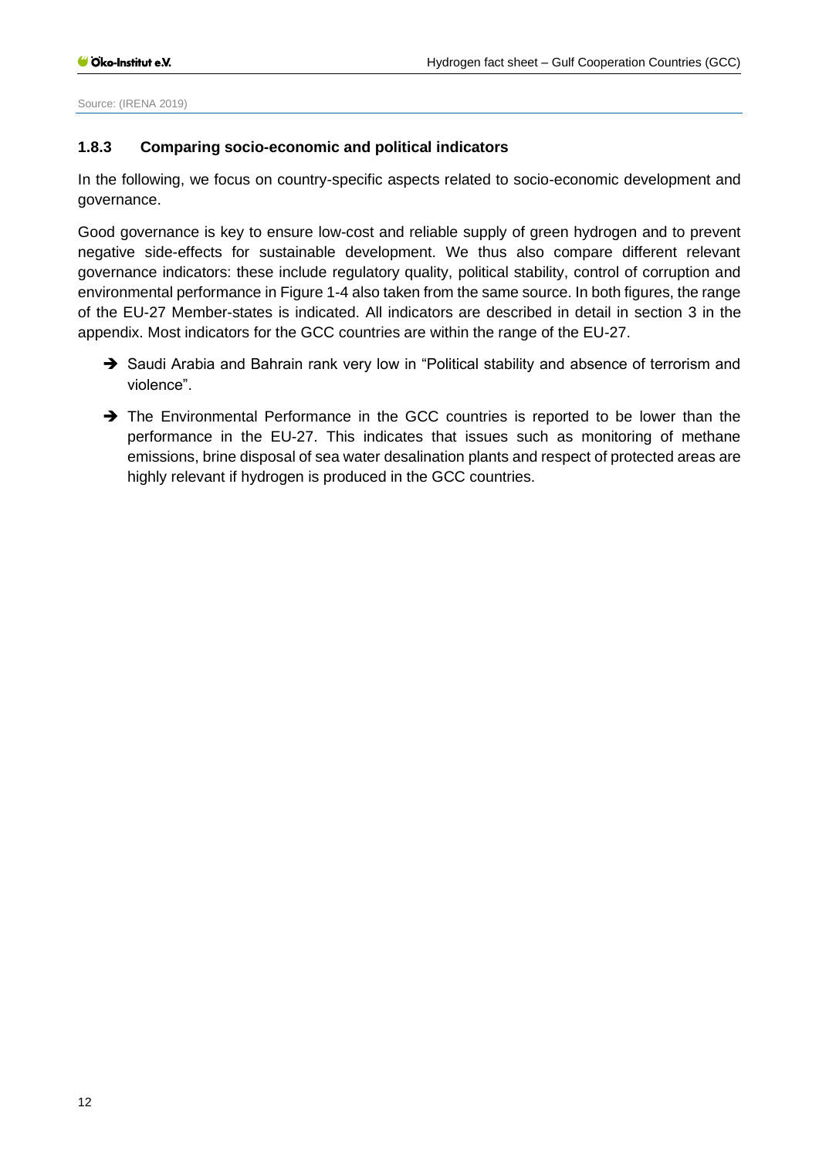Source: (IRENA 2019)

#### <span id="page-11-0"></span>**1.8.3 Comparing socio-economic and political indicators**

In the following, we focus on country-specific aspects related to socio-economic development and governance.

Good governance is key to ensure low-cost and reliable supply of green hydrogen and to prevent negative side-effects for sustainable development. We thus also compare different relevant governance indicators: these include regulatory quality, political stability, control of corruption and environmental performance i[n Figure 1-4](#page-12-0) also taken from the same source. In both figures, the range of the EU-27 Member-states is indicated. All indicators are described in detail in section [3](#page-34-0) in the appendix. Most indicators for the GCC countries are within the range of the EU-27.

- → Saudi Arabia and Bahrain rank very low in "Political stability and absence of terrorism and violence".
- → The Environmental Performance in the GCC countries is reported to be lower than the performance in the EU-27. This indicates that issues such as monitoring of methane emissions, brine disposal of sea water desalination plants and respect of protected areas are highly relevant if hydrogen is produced in the GCC countries.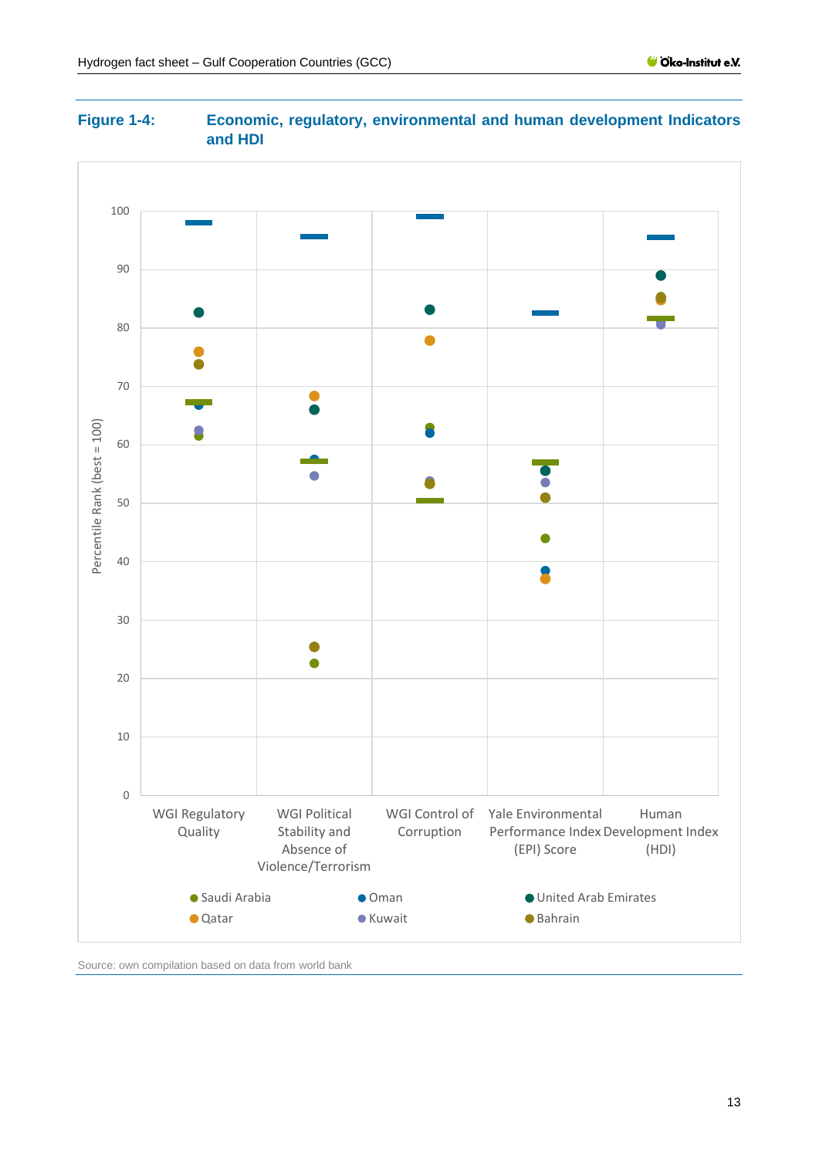<span id="page-12-0"></span>



Source: own compilation based on data from world bank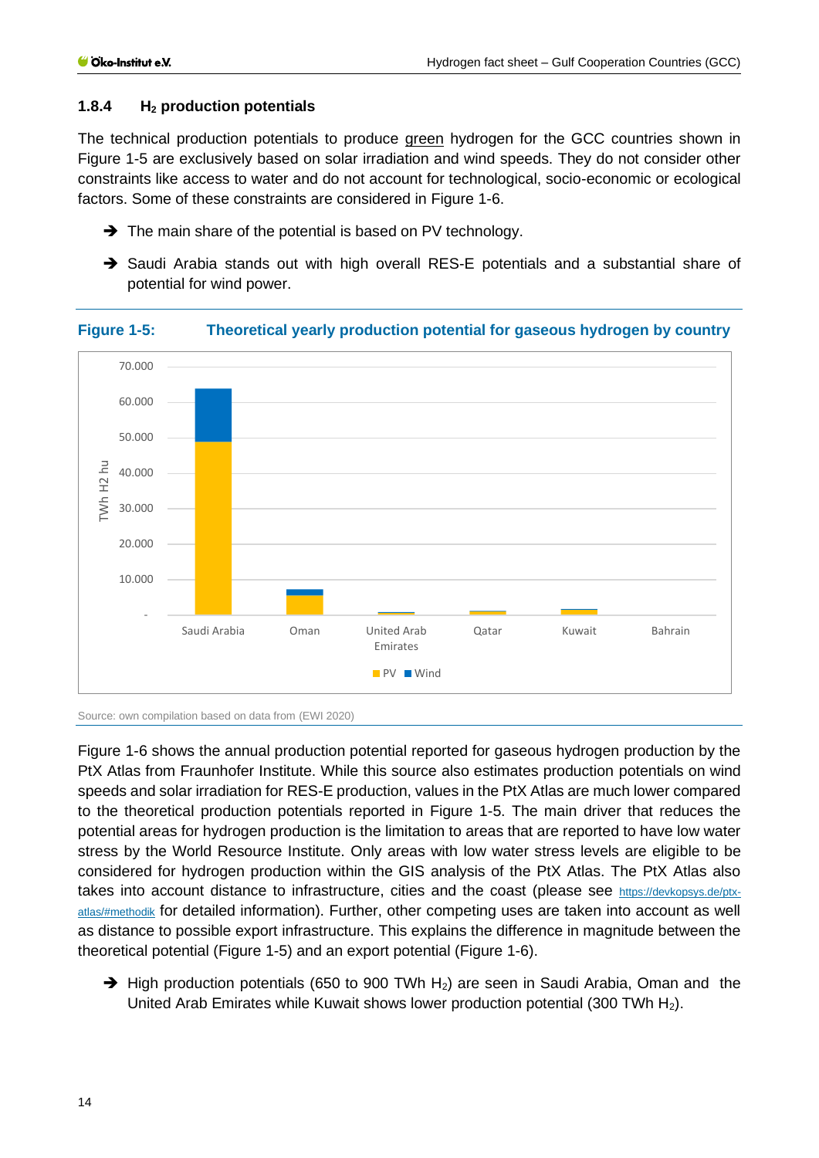## <span id="page-13-0"></span>**1.8.4 H<sup>2</sup> production potentials**

The technical production potentials to produce **green** hydrogen for the GCC countries shown in [Figure 1-5](#page-13-1) are exclusively based on solar irradiation and wind speeds. They do not consider other constraints like access to water and do not account for technological, socio-economic or ecological factors. Some of these constraints are considered in [Figure 1-6.](#page-14-1)

- **→** The main share of the potential is based on PV technology.
- → Saudi Arabia stands out with high overall RES-E potentials and a substantial share of potential for wind power.



#### <span id="page-13-1"></span>**Figure 1-5: Theoretical yearly production potential for gaseous hydrogen by country**

Source: own compilation based on data from (EWI 2020)

[Figure 1-6](#page-14-1) shows the annual production potential reported for gaseous hydrogen production by the PtX Atlas from Fraunhofer Institute. While this source also estimates production potentials on wind speeds and solar irradiation for RES-E production, values in the PtX Atlas are much lower compared to the theoretical production potentials reported in [Figure 1-5.](#page-13-1) The main driver that reduces the potential areas for hydrogen production is the limitation to areas that are reported to have low water stress by the World Resource Institute. Only areas with low water stress levels are eligible to be considered for hydrogen production within the GIS analysis of the PtX Atlas. The PtX Atlas also takes into account distance to infrastructure, cities and the coast (please see [https://devkopsys.de/ptx](https://devkopsys.de/ptx-atlas/#methodik)[atlas/#methodik](https://devkopsys.de/ptx-atlas/#methodik) for detailed information). Further, other competing uses are taken into account as well as distance to possible export infrastructure. This explains the difference in magnitude between the theoretical potential [\(Figure 1-5\)](#page-13-1) and an export potential [\(Figure 1-6\)](#page-14-1).

→ High production potentials (650 to 900 TWh H<sub>2</sub>) are seen in Saudi Arabia, Oman and the United Arab Emirates while Kuwait shows lower production potential (300 TWh H<sub>2</sub>).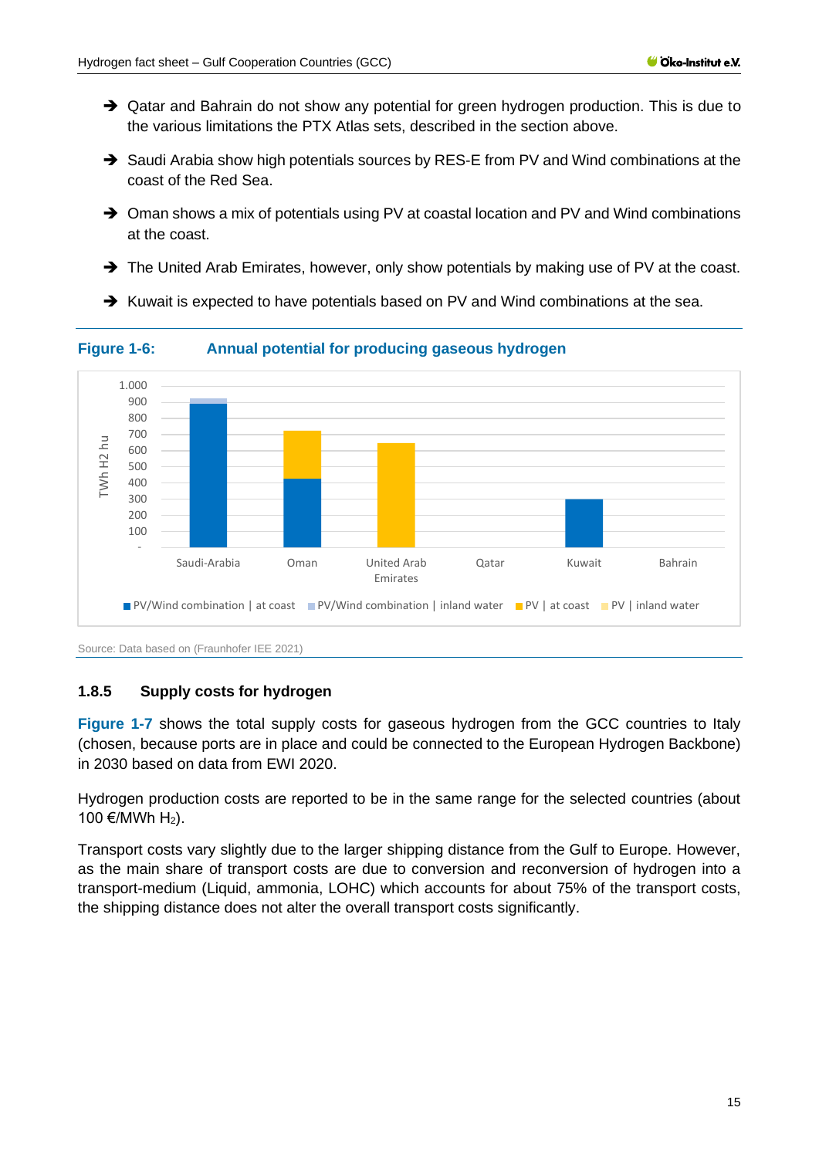- → Qatar and Bahrain do not show any potential for green hydrogen production. This is due to the various limitations the PTX Atlas sets, described in the section above.
- → Saudi Arabia show high potentials sources by RES-E from PV and Wind combinations at the coast of the Red Sea.
- ➔ Oman shows a mix of potentials using PV at coastal location and PV and Wind combinations at the coast.
- → The United Arab Emirates, however, only show potentials by making use of PV at the coast.
- ➔ Kuwait is expected to have potentials based on PV and Wind combinations at the sea.



<span id="page-14-1"></span>**Figure 1-6: Annual potential for producing gaseous hydrogen**

Source: Data based on (Fraunhofer IEE 2021)

## <span id="page-14-0"></span>**1.8.5 Supply costs for hydrogen**

**[Figure 1-7](#page-15-0)** shows the total supply costs for gaseous hydrogen from the GCC countries to Italy (chosen, because ports are in place and could be connected to the European Hydrogen Backbone) in 2030 based on data from EWI 2020.

Hydrogen production costs are reported to be in the same range for the selected countries (about 100 €/MWh  $H_2$ ).

Transport costs vary slightly due to the larger shipping distance from the Gulf to Europe. However, as the main share of transport costs are due to conversion and reconversion of hydrogen into a transport-medium (Liquid, ammonia, LOHC) which accounts for about 75% of the transport costs, the shipping distance does not alter the overall transport costs significantly.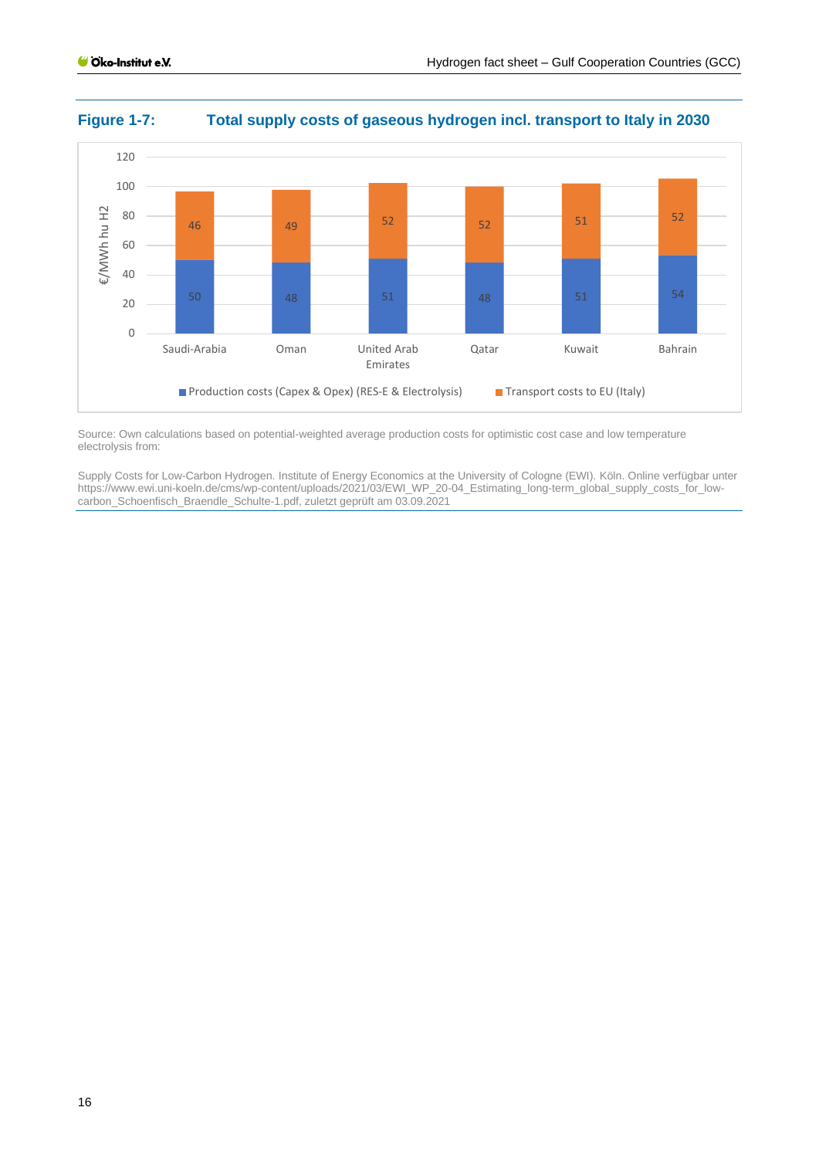

#### <span id="page-15-0"></span>**Figure 1-7: Total supply costs of gaseous hydrogen incl. transport to Italy in 2030**

Source: Own calculations based on potential-weighted average production costs for optimistic cost case and low temperature electrolysis from:

Supply Costs for Low-Carbon Hydrogen. Institute of Energy Economics at the University of Cologne (EWI). Köln. Online verfügbar unter https://www.ewi.uni-koeln.de/cms/wp-content/uploads/2021/03/EWI\_WP\_20-04\_Estimating\_long-term\_global\_supply\_costs\_for\_lowcarbon\_Schoenfisch\_Braendle\_Schulte-1.pdf, zuletzt geprüft am 03.09.2021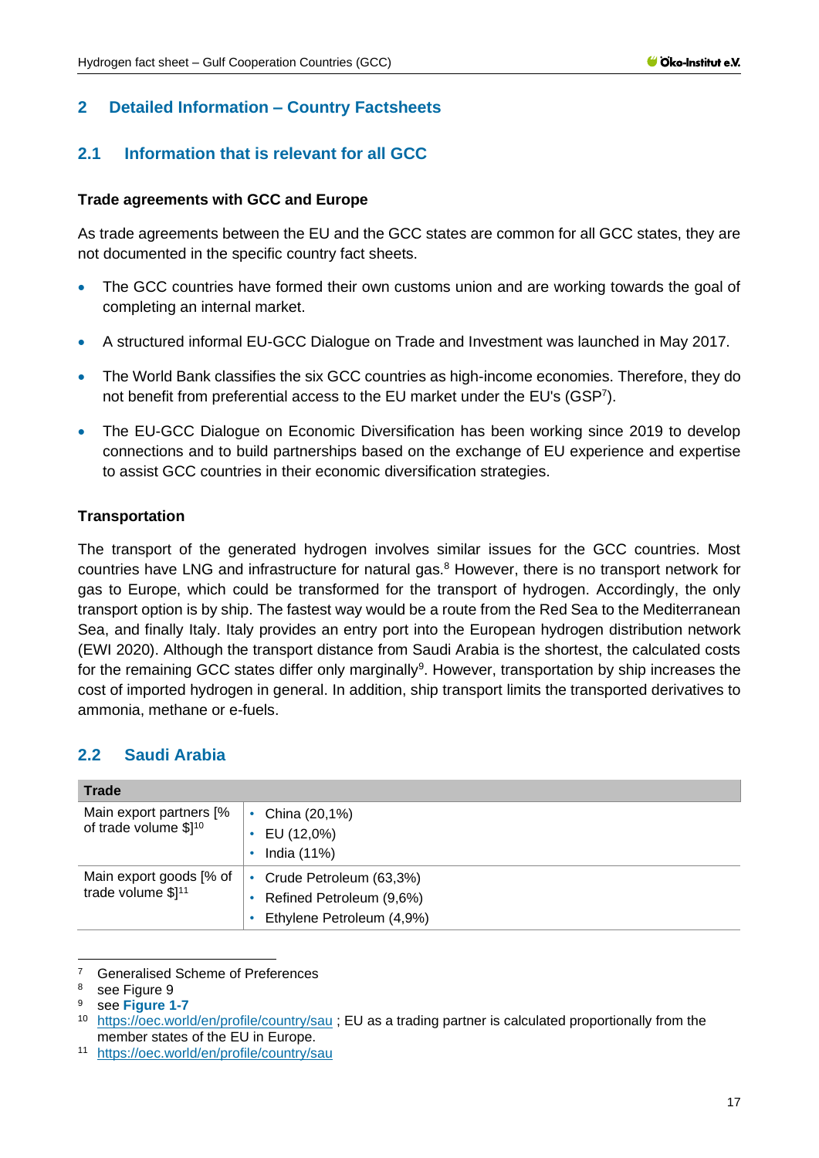## <span id="page-16-0"></span>**2 Detailed Information – Country Factsheets**

## <span id="page-16-1"></span>**2.1 Information that is relevant for all GCC**

#### **Trade agreements with GCC and Europe**

As trade agreements between the EU and the GCC states are common for all GCC states, they are not documented in the specific country fact sheets.

- The GCC countries have formed their own customs union and are working towards the goal of completing an internal market.
- A structured informal EU-GCC Dialogue on Trade and Investment was launched in May 2017.
- The World Bank classifies the six GCC countries as high-income economies. Therefore, they do not benefit from preferential access to the EU market under the EU's (GSP<sup>7</sup> ).
- The EU-GCC Dialogue on Economic Diversification has been working since 2019 to develop connections and to build partnerships based on the exchange of EU experience and expertise to assist GCC countries in their economic diversification strategies.

#### **Transportation**

The transport of the generated hydrogen involves similar issues for the GCC countries. Most countries have LNG and infrastructure for natural gas.<sup>8</sup> However, there is no transport network for gas to Europe, which could be transformed for the transport of hydrogen. Accordingly, the only transport option is by ship. The fastest way would be a route from the Red Sea to the Mediterranean Sea, and finally Italy. Italy provides an entry port into the European hydrogen distribution network (EWI 2020). Although the transport distance from Saudi Arabia is the shortest, the calculated costs for the remaining GCC states differ only marginally<sup>9</sup>. However, transportation by ship increases the cost of imported hydrogen in general. In addition, ship transport limits the transported derivatives to ammonia, methane or e-fuels.

## <span id="page-16-2"></span>**2.2 Saudi Arabia**

| <b>Trade</b>            |                              |
|-------------------------|------------------------------|
| Main export partners [% | China (20,1%)                |
| of trade volume \$110   | EU (12,0%)                   |
|                         | India (11%)                  |
| Main export goods [% of | Crude Petroleum (63,3%)<br>٠ |
| trade volume $$]^{11}$  | Refined Petroleum (9,6%)     |
|                         | Ethylene Petroleum (4,9%)    |

<sup>&</sup>lt;sup>7</sup> [Generalised Scheme of Preferences](https://ec.europa.eu/trade/policy/countries-and-regions/development/generalised-scheme-of-preferences/)

<sup>8</sup> see Figure 9

<sup>9</sup> see **[Figure 1-7](#page-15-0)**

<sup>10</sup> <https://oec.world/en/profile/country/sau> ; EU as a trading partner is calculated proportionally from the member states of the EU in Europe.

<sup>11</sup> <https://oec.world/en/profile/country/sau>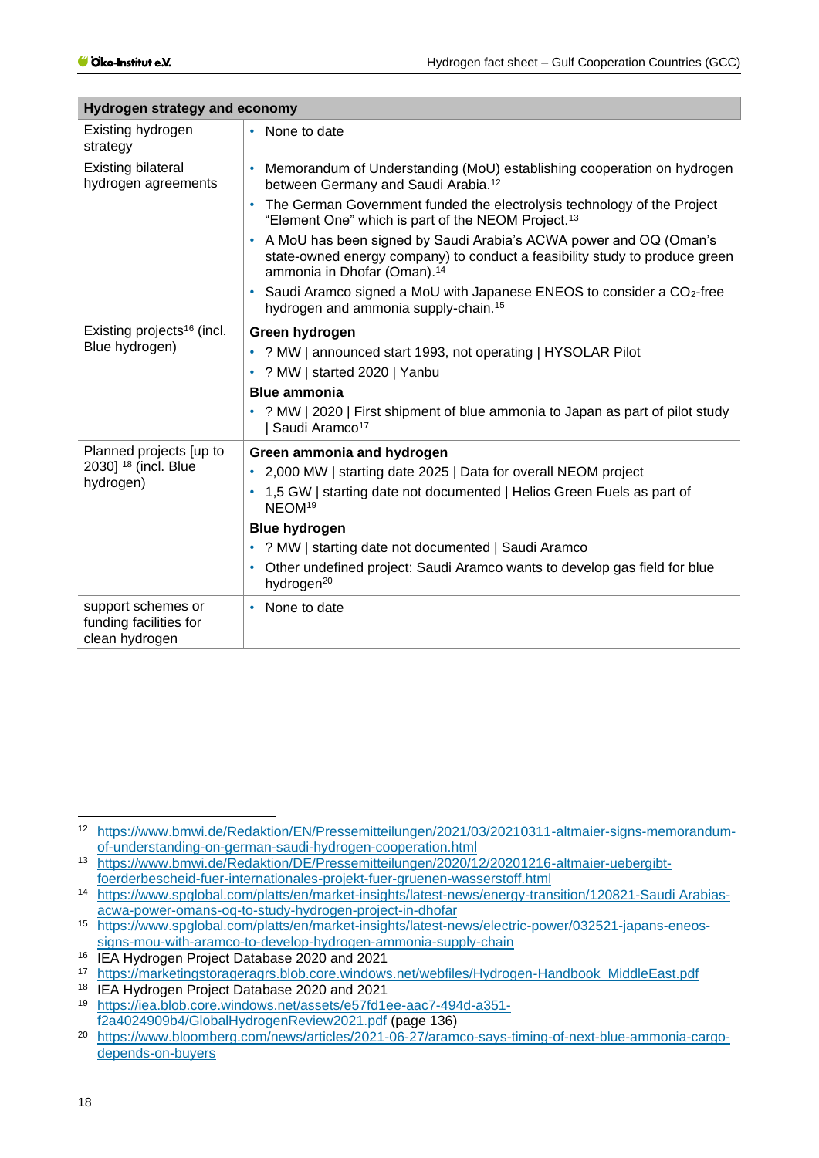| Hydrogen strategy and economy                                  |                                                                                                                                                                                                  |  |  |  |
|----------------------------------------------------------------|--------------------------------------------------------------------------------------------------------------------------------------------------------------------------------------------------|--|--|--|
| Existing hydrogen<br>strategy                                  | None to date                                                                                                                                                                                     |  |  |  |
| <b>Existing bilateral</b><br>hydrogen agreements               | Memorandum of Understanding (MoU) establishing cooperation on hydrogen<br>٠<br>between Germany and Saudi Arabia. <sup>12</sup>                                                                   |  |  |  |
|                                                                | The German Government funded the electrolysis technology of the Project<br>"Element One" which is part of the NEOM Project. <sup>13</sup>                                                        |  |  |  |
|                                                                | A MoU has been signed by Saudi Arabia's ACWA power and OQ (Oman's<br>٠<br>state-owned energy company) to conduct a feasibility study to produce green<br>ammonia in Dhofar (Oman). <sup>14</sup> |  |  |  |
|                                                                | Saudi Aramco signed a MoU with Japanese ENEOS to consider a CO <sub>2</sub> -free<br>٠<br>hydrogen and ammonia supply-chain. <sup>15</sup>                                                       |  |  |  |
| Existing projects <sup>16</sup> (incl.                         | Green hydrogen                                                                                                                                                                                   |  |  |  |
| Blue hydrogen)                                                 | ? MW   announced start 1993, not operating   HYSOLAR Pilot<br>٠                                                                                                                                  |  |  |  |
|                                                                | ? MW   started 2020   Yanbu<br>٠                                                                                                                                                                 |  |  |  |
|                                                                | <b>Blue ammonia</b>                                                                                                                                                                              |  |  |  |
|                                                                | ? MW   2020   First shipment of blue ammonia to Japan as part of pilot study<br>٠<br>Saudi Aramco <sup>17</sup>                                                                                  |  |  |  |
| Planned projects [up to                                        | Green ammonia and hydrogen                                                                                                                                                                       |  |  |  |
| 2030] <sup>18</sup> (incl. Blue                                | 2,000 MW   starting date 2025   Data for overall NEOM project                                                                                                                                    |  |  |  |
| hydrogen)                                                      | 1,5 GW   starting date not documented   Helios Green Fuels as part of<br>NEOM <sup>19</sup>                                                                                                      |  |  |  |
|                                                                | <b>Blue hydrogen</b>                                                                                                                                                                             |  |  |  |
|                                                                | ? MW   starting date not documented   Saudi Aramco<br>٠                                                                                                                                          |  |  |  |
|                                                                | Other undefined project: Saudi Aramco wants to develop gas field for blue<br>۰<br>hydrogen <sup>20</sup>                                                                                         |  |  |  |
| support schemes or<br>funding facilities for<br>clean hydrogen | None to date<br>٠                                                                                                                                                                                |  |  |  |

<sup>12</sup> [https://www.bmwi.de/Redaktion/EN/Pressemitteilungen/2021/03/20210311-altmaier-signs-memorandum](https://www.bmwi.de/Redaktion/EN/Pressemitteilungen/2021/03/20210311-altmaier-signs-memorandum-of-understanding-on-german-saudi-hydrogen-cooperation.html)[of-understanding-on-german-saudi-hydrogen-cooperation.html](https://www.bmwi.de/Redaktion/EN/Pressemitteilungen/2021/03/20210311-altmaier-signs-memorandum-of-understanding-on-german-saudi-hydrogen-cooperation.html)

<sup>13</sup> [https://www.bmwi.de/Redaktion/DE/Pressemitteilungen/2020/12/20201216-altmaier-uebergibt](https://www.bmwi.de/Redaktion/DE/Pressemitteilungen/2020/12/20201216-altmaier-uebergibt-foerderbescheid-fuer-internationales-projekt-fuer-gruenen-wasserstoff.html)[foerderbescheid-fuer-internationales-projekt-fuer-gruenen-wasserstoff.html](https://www.bmwi.de/Redaktion/DE/Pressemitteilungen/2020/12/20201216-altmaier-uebergibt-foerderbescheid-fuer-internationales-projekt-fuer-gruenen-wasserstoff.html)

<sup>14</sup> [https://www.spglobal.com/platts/en/market-insights/latest-news/energy-transition/120821-Saudi Arabias](https://www.spglobal.com/platts/en/market-insights/latest-news/energy-transition/120821-Saudi%20Arabias-acwa-power-omans-oq-to-study-hydrogen-project-in-dhofar)[acwa-power-omans-oq-to-study-hydrogen-project-in-dhofar](https://www.spglobal.com/platts/en/market-insights/latest-news/energy-transition/120821-Saudi%20Arabias-acwa-power-omans-oq-to-study-hydrogen-project-in-dhofar)

<sup>15</sup> [https://www.spglobal.com/platts/en/market-insights/latest-news/electric-power/032521-japans-eneos](https://www.spglobal.com/platts/en/market-insights/latest-news/electric-power/032521-japans-eneos-signs-mou-with-aramco-to-develop-hydrogen-ammonia-supply-chain)[signs-mou-with-aramco-to-develop-hydrogen-ammonia-supply-chain](https://www.spglobal.com/platts/en/market-insights/latest-news/electric-power/032521-japans-eneos-signs-mou-with-aramco-to-develop-hydrogen-ammonia-supply-chain)

<sup>16</sup> IEA Hydrogen Project Database 2020 and 2021

<sup>17</sup> [https://marketingstorageragrs.blob.core.windows.net/webfiles/Hydrogen-Handbook\\_MiddleEast.pdf](https://marketingstorageragrs.blob.core.windows.net/webfiles/Hydrogen-Handbook_MiddleEast.pdf)

<sup>18</sup> IEA Hydrogen Project Database 2020 and 2021

<sup>19</sup> [https://iea.blob.core.windows.net/assets/e57fd1ee-aac7-494d-a351](https://iea.blob.core.windows.net/assets/e57fd1ee-aac7-494d-a351-f2a4024909b4/GlobalHydrogenReview2021.pdf) [f2a4024909b4/GlobalHydrogenReview2021.pdf](https://iea.blob.core.windows.net/assets/e57fd1ee-aac7-494d-a351-f2a4024909b4/GlobalHydrogenReview2021.pdf) (page 136)

<sup>20</sup> [https://www.bloomberg.com/news/articles/2021-06-27/aramco-says-timing-of-next-blue-ammonia-cargo](https://www.bloomberg.com/news/articles/2021-06-27/aramco-says-timing-of-next-blue-ammonia-cargo-depends-on-buyers)[depends-on-buyers](https://www.bloomberg.com/news/articles/2021-06-27/aramco-says-timing-of-next-blue-ammonia-cargo-depends-on-buyers)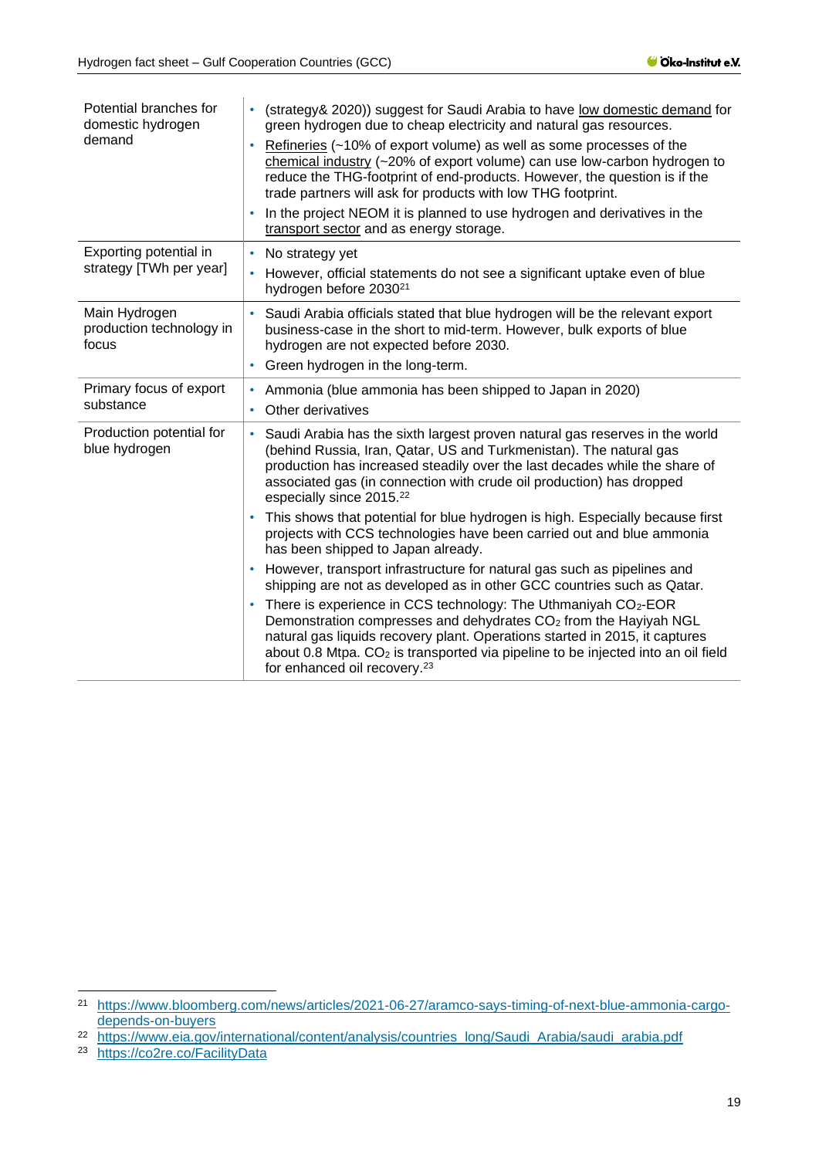| Potential branches for<br>domestic hydrogen<br>demand | (strategy & 2020)) suggest for Saudi Arabia to have low domestic demand for<br>٠<br>green hydrogen due to cheap electricity and natural gas resources.<br>Refineries (~10% of export volume) as well as some processes of the<br>chemical industry (~20% of export volume) can use low-carbon hydrogen to<br>reduce the THG-footprint of end-products. However, the question is if the<br>trade partners will ask for products with low THG footprint.<br>In the project NEOM it is planned to use hydrogen and derivatives in the<br>٠<br>transport sector and as energy storage. |
|-------------------------------------------------------|------------------------------------------------------------------------------------------------------------------------------------------------------------------------------------------------------------------------------------------------------------------------------------------------------------------------------------------------------------------------------------------------------------------------------------------------------------------------------------------------------------------------------------------------------------------------------------|
| Exporting potential in<br>strategy [TWh per year]     | No strategy yet<br>٠<br>However, official statements do not see a significant uptake even of blue<br>$\bullet$<br>hydrogen before 2030 <sup>21</sup>                                                                                                                                                                                                                                                                                                                                                                                                                               |
| Main Hydrogen<br>production technology in<br>focus    | Saudi Arabia officials stated that blue hydrogen will be the relevant export<br>business-case in the short to mid-term. However, bulk exports of blue<br>hydrogen are not expected before 2030.<br>Green hydrogen in the long-term.<br>۰                                                                                                                                                                                                                                                                                                                                           |
| Primary focus of export<br>substance                  | Ammonia (blue ammonia has been shipped to Japan in 2020)<br>Other derivatives                                                                                                                                                                                                                                                                                                                                                                                                                                                                                                      |
| Production potential for<br>blue hydrogen             | Saudi Arabia has the sixth largest proven natural gas reserves in the world<br>٠<br>(behind Russia, Iran, Qatar, US and Turkmenistan). The natural gas<br>production has increased steadily over the last decades while the share of<br>associated gas (in connection with crude oil production) has dropped<br>especially since 2015. <sup>22</sup>                                                                                                                                                                                                                               |
|                                                       | This shows that potential for blue hydrogen is high. Especially because first<br>۰<br>projects with CCS technologies have been carried out and blue ammonia<br>has been shipped to Japan already.                                                                                                                                                                                                                                                                                                                                                                                  |
|                                                       | However, transport infrastructure for natural gas such as pipelines and<br>٠<br>shipping are not as developed as in other GCC countries such as Qatar.<br>There is experience in CCS technology: The Uthmaniyah CO <sub>2</sub> -EOR<br>٠<br>Demonstration compresses and dehydrates CO <sub>2</sub> from the Hayiyah NGL<br>natural gas liquids recovery plant. Operations started in 2015, it captures<br>about 0.8 Mtpa. CO <sub>2</sub> is transported via pipeline to be injected into an oil field<br>for enhanced oil recovery. <sup>23</sup>                               |

<sup>21</sup> [https://www.bloomberg.com/news/articles/2021-06-27/aramco-says-timing-of-next-blue-ammonia-cargo](https://www.bloomberg.com/news/articles/2021-06-27/aramco-says-timing-of-next-blue-ammonia-cargo-depends-on-buyers)[depends-on-buyers](https://www.bloomberg.com/news/articles/2021-06-27/aramco-says-timing-of-next-blue-ammonia-cargo-depends-on-buyers)

<sup>&</sup>lt;sup>22</sup> [https://www.eia.gov/international/content/analysis/countries\\_long/Saudi\\_Arabia/saudi\\_arabia.pdf](https://www.eia.gov/international/content/analysis/countries_long/Saudi_Arabia/saudi_arabia.pdf)

<sup>23</sup> <https://co2re.co/FacilityData>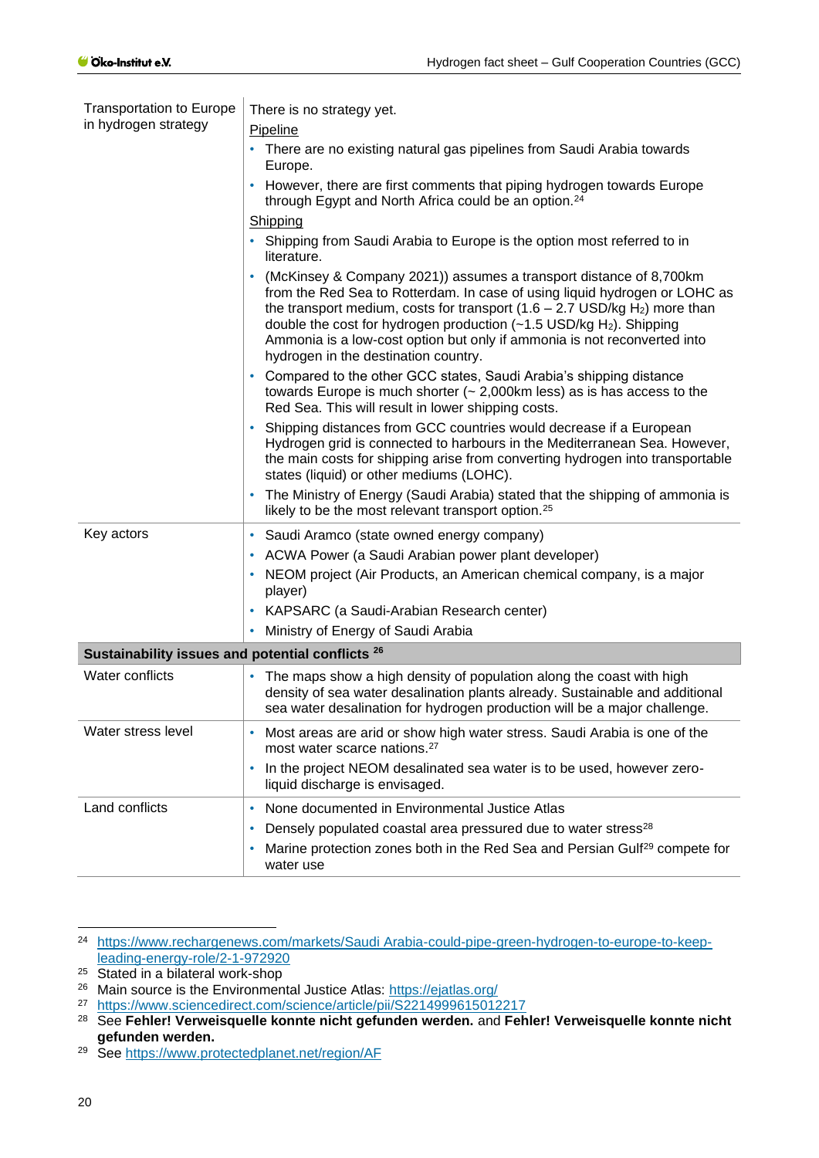| <b>Transportation to Europe</b>                  | There is no strategy yet.                                                                                                                                                                                                                                                                                                                                                                                                                           |  |  |  |  |  |
|--------------------------------------------------|-----------------------------------------------------------------------------------------------------------------------------------------------------------------------------------------------------------------------------------------------------------------------------------------------------------------------------------------------------------------------------------------------------------------------------------------------------|--|--|--|--|--|
| in hydrogen strategy                             | Pipeline                                                                                                                                                                                                                                                                                                                                                                                                                                            |  |  |  |  |  |
|                                                  | There are no existing natural gas pipelines from Saudi Arabia towards<br>٠<br>Europe.                                                                                                                                                                                                                                                                                                                                                               |  |  |  |  |  |
|                                                  | However, there are first comments that piping hydrogen towards Europe<br>٠<br>through Egypt and North Africa could be an option. <sup>24</sup>                                                                                                                                                                                                                                                                                                      |  |  |  |  |  |
|                                                  | Shipping                                                                                                                                                                                                                                                                                                                                                                                                                                            |  |  |  |  |  |
|                                                  | Shipping from Saudi Arabia to Europe is the option most referred to in<br>٠<br>literature.                                                                                                                                                                                                                                                                                                                                                          |  |  |  |  |  |
|                                                  | (McKinsey & Company 2021)) assumes a transport distance of 8,700km<br>٠<br>from the Red Sea to Rotterdam. In case of using liquid hydrogen or LOHC as<br>the transport medium, costs for transport $(1.6 - 2.7 \text{ USD/kg H}_2)$ more than<br>double the cost for hydrogen production $(-1.5 \text{ USD/kg H}_2)$ . Shipping<br>Ammonia is a low-cost option but only if ammonia is not reconverted into<br>hydrogen in the destination country. |  |  |  |  |  |
|                                                  | Compared to the other GCC states, Saudi Arabia's shipping distance<br>towards Europe is much shorter $(-2,000km$ less) as is has access to the<br>Red Sea. This will result in lower shipping costs.                                                                                                                                                                                                                                                |  |  |  |  |  |
|                                                  | Shipping distances from GCC countries would decrease if a European<br>Hydrogen grid is connected to harbours in the Mediterranean Sea. However,<br>the main costs for shipping arise from converting hydrogen into transportable<br>states (liquid) or other mediums (LOHC).                                                                                                                                                                        |  |  |  |  |  |
|                                                  | The Ministry of Energy (Saudi Arabia) stated that the shipping of ammonia is<br>likely to be the most relevant transport option. <sup>25</sup>                                                                                                                                                                                                                                                                                                      |  |  |  |  |  |
| Key actors                                       | Saudi Aramco (state owned energy company)<br>٠                                                                                                                                                                                                                                                                                                                                                                                                      |  |  |  |  |  |
|                                                  | ACWA Power (a Saudi Arabian power plant developer)<br>٠                                                                                                                                                                                                                                                                                                                                                                                             |  |  |  |  |  |
|                                                  | NEOM project (Air Products, an American chemical company, is a major<br>player)                                                                                                                                                                                                                                                                                                                                                                     |  |  |  |  |  |
|                                                  | KAPSARC (a Saudi-Arabian Research center)<br>٠                                                                                                                                                                                                                                                                                                                                                                                                      |  |  |  |  |  |
|                                                  | Ministry of Energy of Saudi Arabia<br>٠                                                                                                                                                                                                                                                                                                                                                                                                             |  |  |  |  |  |
| Sustainability issues and potential conflicts 26 |                                                                                                                                                                                                                                                                                                                                                                                                                                                     |  |  |  |  |  |
| <b>Water conflicts</b>                           | The maps show a high density of population along the coast with high<br>٠<br>density of sea water desalination plants already. Sustainable and additional<br>sea water desalination for hydrogen production will be a major challenge.                                                                                                                                                                                                              |  |  |  |  |  |
| Water stress level                               | Most areas are arid or show high water stress. Saudi Arabia is one of the<br>most water scarce nations. <sup>27</sup>                                                                                                                                                                                                                                                                                                                               |  |  |  |  |  |
|                                                  | In the project NEOM desalinated sea water is to be used, however zero-<br>٠<br>liquid discharge is envisaged.                                                                                                                                                                                                                                                                                                                                       |  |  |  |  |  |
| Land conflicts                                   | None documented in Environmental Justice Atlas                                                                                                                                                                                                                                                                                                                                                                                                      |  |  |  |  |  |
|                                                  | Densely populated coastal area pressured due to water stress <sup>28</sup>                                                                                                                                                                                                                                                                                                                                                                          |  |  |  |  |  |
|                                                  | Marine protection zones both in the Red Sea and Persian Gulf <sup>29</sup> compete for<br>water use                                                                                                                                                                                                                                                                                                                                                 |  |  |  |  |  |

<sup>24</sup> [https://www.rechargenews.com/markets/Saudi Arabia-could-pipe-green-hydrogen-to-europe-to-keep](https://www.rechargenews.com/markets/Saudi%20Arabia-could-pipe-green-hydrogen-to-europe-to-keep-leading-energy-role/2-1-972920)[leading-energy-role/2-1-972920](https://www.rechargenews.com/markets/Saudi%20Arabia-could-pipe-green-hydrogen-to-europe-to-keep-leading-energy-role/2-1-972920)

<sup>&</sup>lt;sup>25</sup> Stated in a bilateral work-shop

<sup>&</sup>lt;sup>26</sup> Main source is the Environmental Justice Atlas:<https://ejatlas.org/>

<sup>27</sup> <https://www.sciencedirect.com/science/article/pii/S2214999615012217>

<sup>28</sup> See **Fehler! Verweisquelle konnte nicht gefunden werden.** and **Fehler! Verweisquelle konnte nicht gefunden werden.**

<sup>29</sup> See<https://www.protectedplanet.net/region/AF>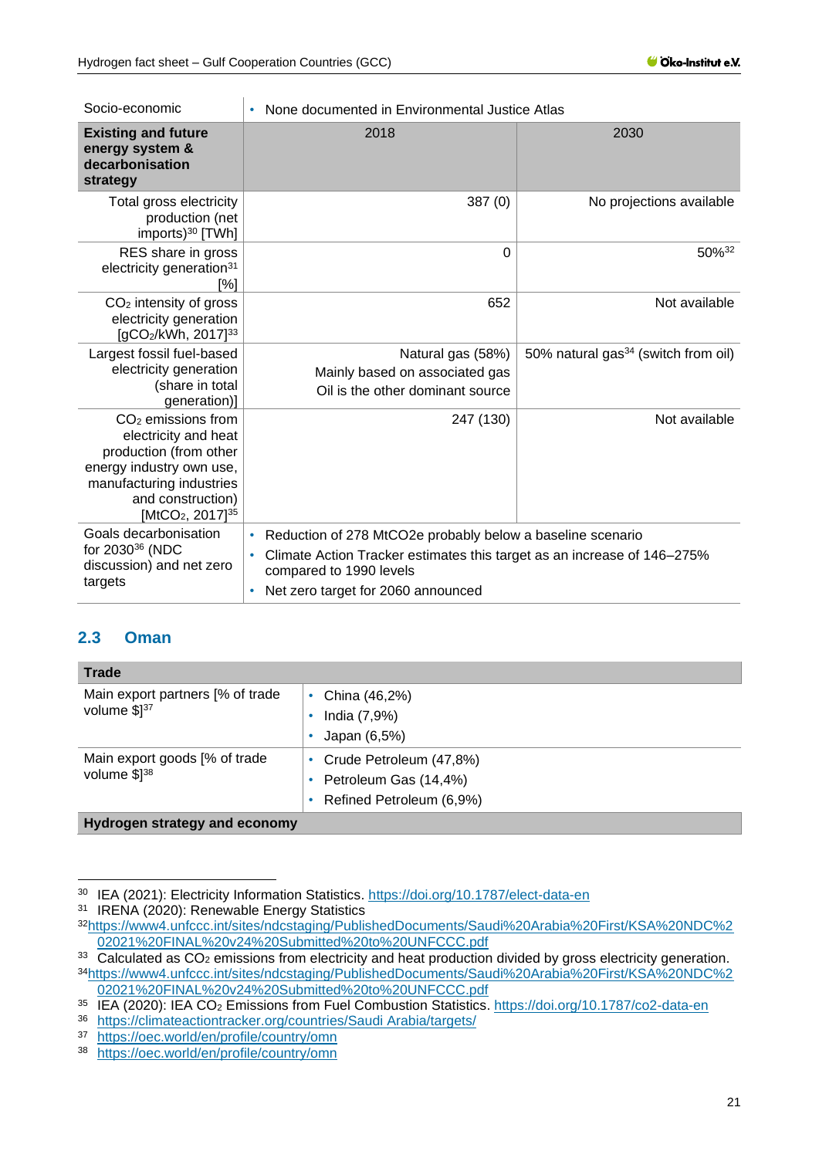| Socio-economic                                                                                                                                                                                  | None documented in Environmental Justice Atlas                                                                                                                                                                      |                                                 |  |  |  |
|-------------------------------------------------------------------------------------------------------------------------------------------------------------------------------------------------|---------------------------------------------------------------------------------------------------------------------------------------------------------------------------------------------------------------------|-------------------------------------------------|--|--|--|
| <b>Existing and future</b><br>energy system &<br>decarbonisation<br>strategy                                                                                                                    | 2018                                                                                                                                                                                                                | 2030                                            |  |  |  |
| Total gross electricity<br>production (net<br>imports) <sup>30</sup> [TWh]                                                                                                                      | 387(0)                                                                                                                                                                                                              | No projections available                        |  |  |  |
| RES share in gross<br>electricity generation <sup>31</sup><br>[%]                                                                                                                               | 0                                                                                                                                                                                                                   | 50%32                                           |  |  |  |
| $CO2$ intensity of gross<br>electricity generation<br>[gCO <sub>2</sub> /kWh, 2017] <sup>33</sup>                                                                                               | 652                                                                                                                                                                                                                 | Not available                                   |  |  |  |
| Largest fossil fuel-based<br>electricity generation<br>(share in total<br>generation)]                                                                                                          | Natural gas (58%)<br>Mainly based on associated gas<br>Oil is the other dominant source                                                                                                                             | 50% natural gas <sup>34</sup> (switch from oil) |  |  |  |
| $CO2$ emissions from<br>electricity and heat<br>production (from other<br>energy industry own use,<br>manufacturing industries<br>and construction)<br>[MtCO <sub>2</sub> , 2017] <sup>35</sup> | 247 (130)                                                                                                                                                                                                           | Not available                                   |  |  |  |
| Goals decarbonisation<br>for 2030 <sup>36</sup> (NDC<br>discussion) and net zero<br>targets                                                                                                     | Reduction of 278 MtCO2e probably below a baseline scenario<br>$\bullet$<br>Climate Action Tracker estimates this target as an increase of 146–275%<br>compared to 1990 levels<br>Net zero target for 2060 announced |                                                 |  |  |  |

## <span id="page-20-0"></span>**2.3 Oman**

| <b>Trade</b>                                      |                                                                                |
|---------------------------------------------------|--------------------------------------------------------------------------------|
| Main export partners [% of trade<br>volume \$137  | • China $(46,2%)$<br>India (7,9%)<br>Japan (6,5%)                              |
| Main export goods [% of trade<br>volume $$1^{38}$ | • Crude Petroleum (47,8%)<br>Petroleum Gas (14,4%)<br>Refined Petroleum (6,9%) |
| Hydrogen strategy and economy                     |                                                                                |

<sup>30</sup> IEA (2021): Electricity Information Statistics.<https://doi.org/10.1787/elect-data-en>

<sup>&</sup>lt;sup>31</sup> IRENA (2020): Renewable Energy Statistics

<sup>32</sup>[https://www4.unfccc.int/sites/ndcstaging/PublishedDocuments/Saudi%20Arabia%20First/KSA%20NDC%2](https://www4.unfccc.int/sites/ndcstaging/PublishedDocuments/Saudi%20Arabia%20First/KSA%20NDC%202021%20FINAL%20v24%20Submitted%20to%20UNFCCC.pdf) [02021%20FINAL%20v24%20Submitted%20to%20UNFCCC.pdf](https://www4.unfccc.int/sites/ndcstaging/PublishedDocuments/Saudi%20Arabia%20First/KSA%20NDC%202021%20FINAL%20v24%20Submitted%20to%20UNFCCC.pdf)

 $33$  Calculated as CO<sub>2</sub> emissions from electricity and heat production divided by gross electricity generation. <sup>34</sup>[https://www4.unfccc.int/sites/ndcstaging/PublishedDocuments/Saudi%20Arabia%20First/KSA%20NDC%2](https://www4.unfccc.int/sites/ndcstaging/PublishedDocuments/Saudi%20Arabia%20First/KSA%20NDC%202021%20FINAL%20v24%20Submitted%20to%20UNFCCC.pdf) [02021%20FINAL%20v24%20Submitted%20to%20UNFCCC.pdf](https://www4.unfccc.int/sites/ndcstaging/PublishedDocuments/Saudi%20Arabia%20First/KSA%20NDC%202021%20FINAL%20v24%20Submitted%20to%20UNFCCC.pdf)

<sup>&</sup>lt;sup>35</sup> IEA (2020): IEA CO<sub>2</sub> Emissions from Fuel Combustion Statistics.<https://doi.org/10.1787/co2-data-en>

<sup>36</sup> [https://climateactiontracker.org/countries/Saudi Arabia/targets/](https://climateactiontracker.org/countries/saudi-arabia/targets/)

<sup>37</sup> <https://oec.world/en/profile/country/omn>

<sup>38</sup> <https://oec.world/en/profile/country/omn>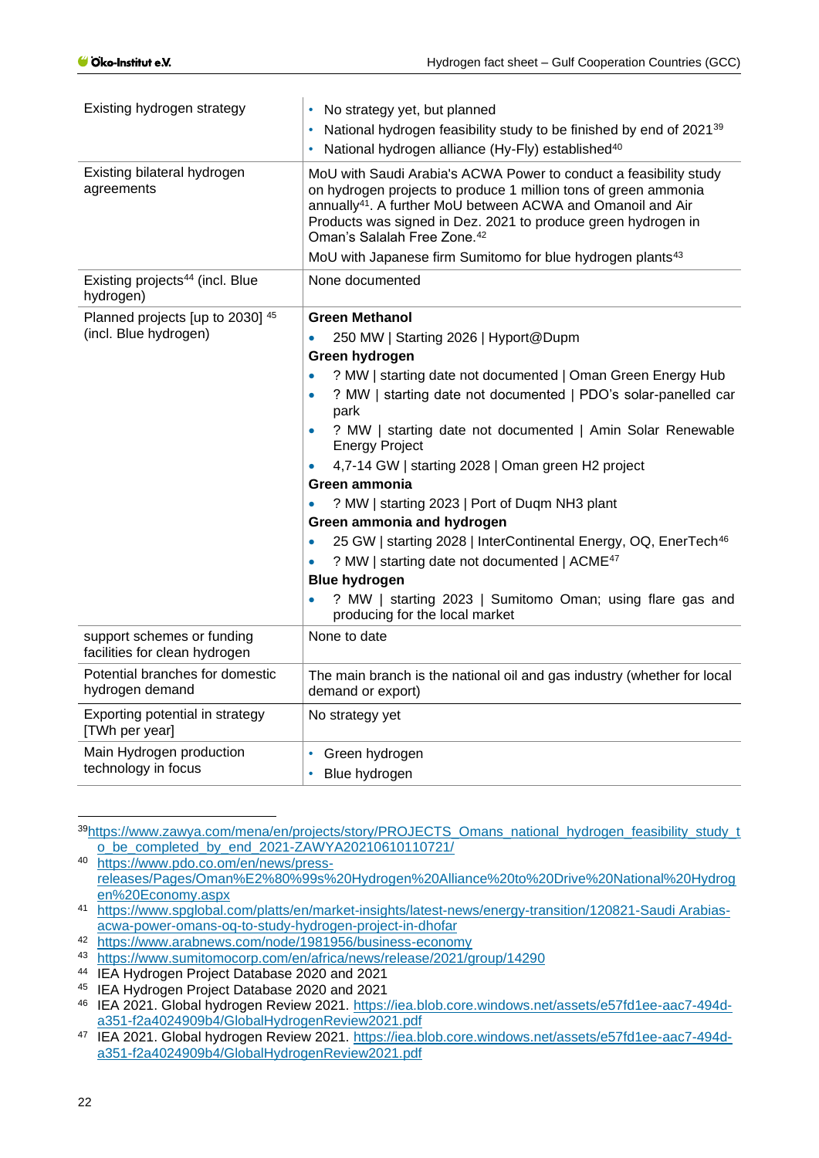| Existing hydrogen strategy                                  | No strategy yet, but planned<br>National hydrogen feasibility study to be finished by end of 2021 <sup>39</sup><br>National hydrogen alliance (Hy-Fly) established <sup>40</sup>                                                                                                                                                                                                                                                                                                                                                                                                                                                                                                                                                                                                           |
|-------------------------------------------------------------|--------------------------------------------------------------------------------------------------------------------------------------------------------------------------------------------------------------------------------------------------------------------------------------------------------------------------------------------------------------------------------------------------------------------------------------------------------------------------------------------------------------------------------------------------------------------------------------------------------------------------------------------------------------------------------------------------------------------------------------------------------------------------------------------|
| Existing bilateral hydrogen<br>agreements                   | MoU with Saudi Arabia's ACWA Power to conduct a feasibility study<br>on hydrogen projects to produce 1 million tons of green ammonia<br>annually <sup>41</sup> . A further MoU between ACWA and Omanoil and Air<br>Products was signed in Dez. 2021 to produce green hydrogen in<br>Oman's Salalah Free Zone. <sup>42</sup>                                                                                                                                                                                                                                                                                                                                                                                                                                                                |
|                                                             | MoU with Japanese firm Sumitomo for blue hydrogen plants <sup>43</sup>                                                                                                                                                                                                                                                                                                                                                                                                                                                                                                                                                                                                                                                                                                                     |
| Existing projects <sup>44</sup> (incl. Blue<br>hydrogen)    | None documented                                                                                                                                                                                                                                                                                                                                                                                                                                                                                                                                                                                                                                                                                                                                                                            |
| Planned projects [up to 2030] 45<br>(incl. Blue hydrogen)   | <b>Green Methanol</b><br>250 MW   Starting 2026   Hyport@Dupm<br>Green hydrogen<br>? MW   starting date not documented   Oman Green Energy Hub<br>$\bullet$<br>? MW   starting date not documented   PDO's solar-panelled car<br>$\bullet$<br>park<br>? MW   starting date not documented   Amin Solar Renewable<br><b>Energy Project</b><br>4,7-14 GW   starting 2028   Oman green H2 project<br>Green ammonia<br>? MW   starting 2023   Port of Duqm NH3 plant<br>$\bullet$<br>Green ammonia and hydrogen<br>25 GW   starting 2028   InterContinental Energy, OQ, EnerTech <sup>46</sup><br>$\bullet$<br>? MW   starting date not documented   ACME <sup>47</sup><br><b>Blue hydrogen</b><br>? MW   starting 2023   Sumitomo Oman; using flare gas and<br>producing for the local market |
| support schemes or funding<br>facilities for clean hydrogen | None to date                                                                                                                                                                                                                                                                                                                                                                                                                                                                                                                                                                                                                                                                                                                                                                               |
| Potential branches for domestic<br>hydrogen demand          | The main branch is the national oil and gas industry (whether for local<br>demand or export)                                                                                                                                                                                                                                                                                                                                                                                                                                                                                                                                                                                                                                                                                               |
| Exporting potential in strategy<br>[TWh per year]           | No strategy yet                                                                                                                                                                                                                                                                                                                                                                                                                                                                                                                                                                                                                                                                                                                                                                            |
| Main Hydrogen production<br>technology in focus             | Green hydrogen<br>Blue hydrogen                                                                                                                                                                                                                                                                                                                                                                                                                                                                                                                                                                                                                                                                                                                                                            |

<sup>39</sup>[https://www.zawya.com/mena/en/projects/story/PROJECTS\\_Omans\\_national\\_hydrogen\\_feasibility\\_study\\_t](https://www.zawya.com/mena/en/projects/story/PROJECTS_Omans_national_hydrogen_feasibility_study_to_be_completed_by_end_2021-ZAWYA20210610110721/) [o\\_be\\_completed\\_by\\_end\\_2021-ZAWYA20210610110721/](https://www.zawya.com/mena/en/projects/story/PROJECTS_Omans_national_hydrogen_feasibility_study_to_be_completed_by_end_2021-ZAWYA20210610110721/)

<sup>40</sup> [https://www.pdo.co.om/en/news/press](https://www.pdo.co.om/en/news/press-releases/Pages/Oman%E2%80%99s%20Hydrogen%20Alliance%20to%20Drive%20National%20Hydrogen%20Economy.aspx)[releases/Pages/Oman%E2%80%99s%20Hydrogen%20Alliance%20to%20Drive%20National%20Hydrog](https://www.pdo.co.om/en/news/press-releases/Pages/Oman%E2%80%99s%20Hydrogen%20Alliance%20to%20Drive%20National%20Hydrogen%20Economy.aspx) [en%20Economy.aspx](https://www.pdo.co.om/en/news/press-releases/Pages/Oman%E2%80%99s%20Hydrogen%20Alliance%20to%20Drive%20National%20Hydrogen%20Economy.aspx)

<sup>41</sup> [https://www.spglobal.com/platts/en/market-insights/latest-news/energy-transition/120821-Saudi Arabias](https://www.spglobal.com/platts/en/market-insights/latest-news/energy-transition/120821-Saudi%20Arabias-acwa-power-omans-oq-to-study-hydrogen-project-in-dhofar)[acwa-power-omans-oq-to-study-hydrogen-project-in-dhofar](https://www.spglobal.com/platts/en/market-insights/latest-news/energy-transition/120821-Saudi%20Arabias-acwa-power-omans-oq-to-study-hydrogen-project-in-dhofar)

<sup>42</sup> <https://www.arabnews.com/node/1981956/business-economy>

<sup>43</sup> <https://www.sumitomocorp.com/en/africa/news/release/2021/group/14290>

<sup>44</sup> IEA Hydrogen Project Database 2020 and 2021

<sup>45</sup> IEA Hydrogen Project Database 2020 and 2021

<sup>46</sup> IEA 2021. Global hydrogen Review 2021. [https://iea.blob.core.windows.net/assets/e57fd1ee-aac7-494d](https://iea.blob.core.windows.net/assets/e57fd1ee-aac7-494d-a351-f2a4024909b4/GlobalHydrogenReview2021.pdf)[a351-f2a4024909b4/GlobalHydrogenReview2021.pdf](https://iea.blob.core.windows.net/assets/e57fd1ee-aac7-494d-a351-f2a4024909b4/GlobalHydrogenReview2021.pdf)

<sup>47</sup> IEA 2021. Global hydrogen Review 2021. [https://iea.blob.core.windows.net/assets/e57fd1ee-aac7-494d](https://iea.blob.core.windows.net/assets/e57fd1ee-aac7-494d-a351-f2a4024909b4/GlobalHydrogenReview2021.pdf)[a351-f2a4024909b4/GlobalHydrogenReview2021.pdf](https://iea.blob.core.windows.net/assets/e57fd1ee-aac7-494d-a351-f2a4024909b4/GlobalHydrogenReview2021.pdf)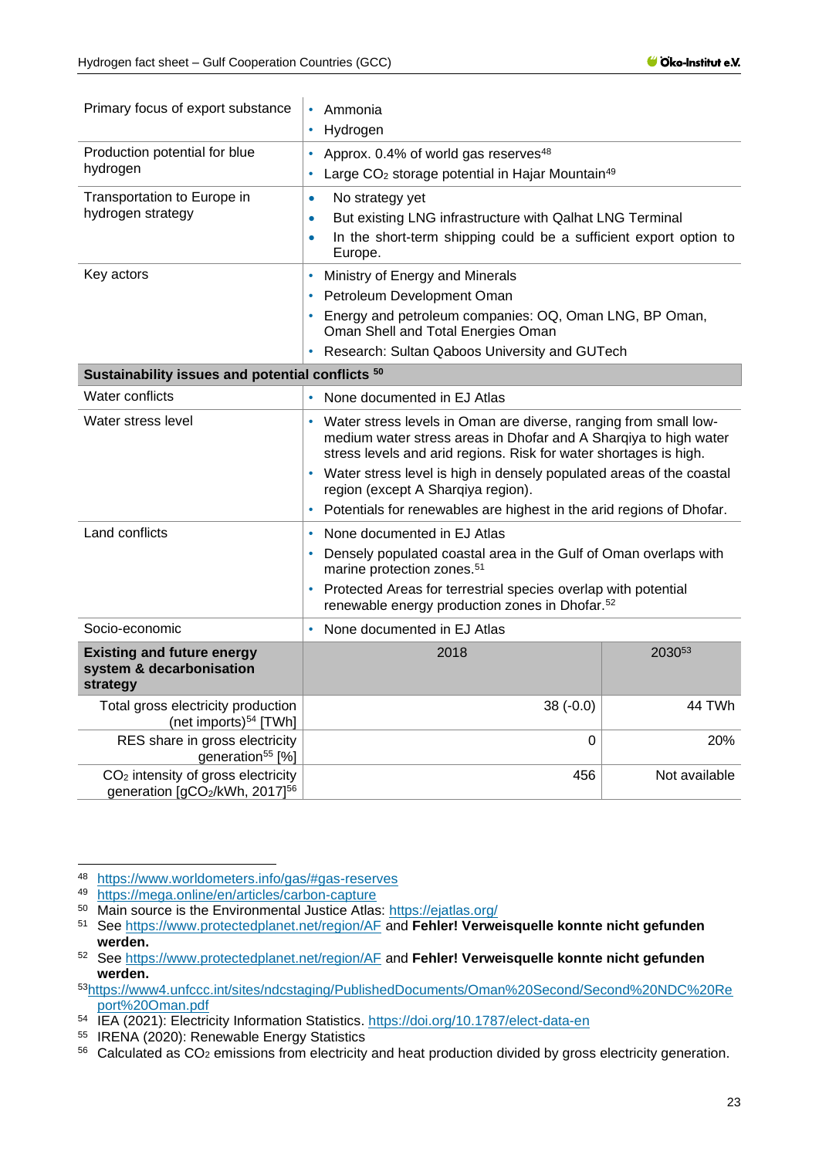ń

| Primary focus of export substance                                                           | Ammonia<br>$\bullet$<br>Hydrogen                                                                                                                                                                                                                                                                                                                                                                    |               |  |
|---------------------------------------------------------------------------------------------|-----------------------------------------------------------------------------------------------------------------------------------------------------------------------------------------------------------------------------------------------------------------------------------------------------------------------------------------------------------------------------------------------------|---------------|--|
| Production potential for blue<br>hydrogen                                                   | • Approx. 0.4% of world gas reserves <sup>48</sup><br>Large CO <sub>2</sub> storage potential in Hajar Mountain <sup>49</sup><br>$\bullet$                                                                                                                                                                                                                                                          |               |  |
| Transportation to Europe in<br>hydrogen strategy                                            | No strategy yet<br>$\bullet$<br>But existing LNG infrastructure with Qalhat LNG Terminal<br>$\bullet$<br>In the short-term shipping could be a sufficient export option to<br>$\bullet$<br>Europe.                                                                                                                                                                                                  |               |  |
| Key actors                                                                                  | • Ministry of Energy and Minerals<br>Petroleum Development Oman<br>Energy and petroleum companies: OQ, Oman LNG, BP Oman,<br>Oman Shell and Total Energies Oman<br>Research: Sultan Qaboos University and GUTech                                                                                                                                                                                    |               |  |
| Sustainability issues and potential conflicts 50                                            |                                                                                                                                                                                                                                                                                                                                                                                                     |               |  |
| Water conflicts                                                                             | None documented in EJ Atlas<br>$\bullet$                                                                                                                                                                                                                                                                                                                                                            |               |  |
| Water stress level                                                                          | • Water stress levels in Oman are diverse, ranging from small low-<br>medium water stress areas in Dhofar and A Sharqiya to high water<br>stress levels and arid regions. Risk for water shortages is high.<br>• Water stress level is high in densely populated areas of the coastal<br>region (except A Sharqiya region).<br>Potentials for renewables are highest in the arid regions of Dhofar. |               |  |
| Land conflicts                                                                              | • None documented in EJ Atlas<br>Densely populated coastal area in the Gulf of Oman overlaps with<br>marine protection zones. <sup>51</sup><br>• Protected Areas for terrestrial species overlap with potential<br>renewable energy production zones in Dhofar. <sup>52</sup>                                                                                                                       |               |  |
| Socio-economic                                                                              | None documented in EJ Atlas                                                                                                                                                                                                                                                                                                                                                                         |               |  |
| <b>Existing and future energy</b><br>system & decarbonisation<br>strategy                   | 2018                                                                                                                                                                                                                                                                                                                                                                                                | 203053        |  |
| Total gross electricity production<br>(net imports) <sup>54</sup> [TWh]                     | $38(-0.0)$                                                                                                                                                                                                                                                                                                                                                                                          | 44 TWh        |  |
| RES share in gross electricity<br>generation <sup>55</sup> [%]                              | 0                                                                                                                                                                                                                                                                                                                                                                                                   | 20%           |  |
| CO <sub>2</sub> intensity of gross electricity<br>generation [gCO2/kWh, 2017] <sup>56</sup> | 456                                                                                                                                                                                                                                                                                                                                                                                                 | Not available |  |

<sup>48</sup> <https://www.worldometers.info/gas/#gas-reserves>

<sup>49</sup> <https://mega.online/en/articles/carbon-capture>

<sup>50</sup> Main source is the Environmental Justice Atlas:<https://ejatlas.org/>

<sup>51</sup> See<https://www.protectedplanet.net/region/AF> and **Fehler! Verweisquelle konnte nicht gefunden werden.**

<sup>52</sup> See<https://www.protectedplanet.net/region/AF> and **Fehler! Verweisquelle konnte nicht gefunden werden.**

<sup>53</sup>[https://www4.unfccc.int/sites/ndcstaging/PublishedDocuments/Oman%20Second/Second%20NDC%20Re](https://www4.unfccc.int/sites/ndcstaging/PublishedDocuments/Oman%20Second/Second%20NDC%20Report%20Oman.pdf) [port%20Oman.pdf](https://www4.unfccc.int/sites/ndcstaging/PublishedDocuments/Oman%20Second/Second%20NDC%20Report%20Oman.pdf)

<sup>54</sup> IEA (2021): Electricity Information Statistics.<https://doi.org/10.1787/elect-data-en>

<sup>55</sup> IRENA (2020): Renewable Energy Statistics

<sup>56</sup> Calculated as CO<sub>2</sub> emissions from electricity and heat production divided by gross electricity generation.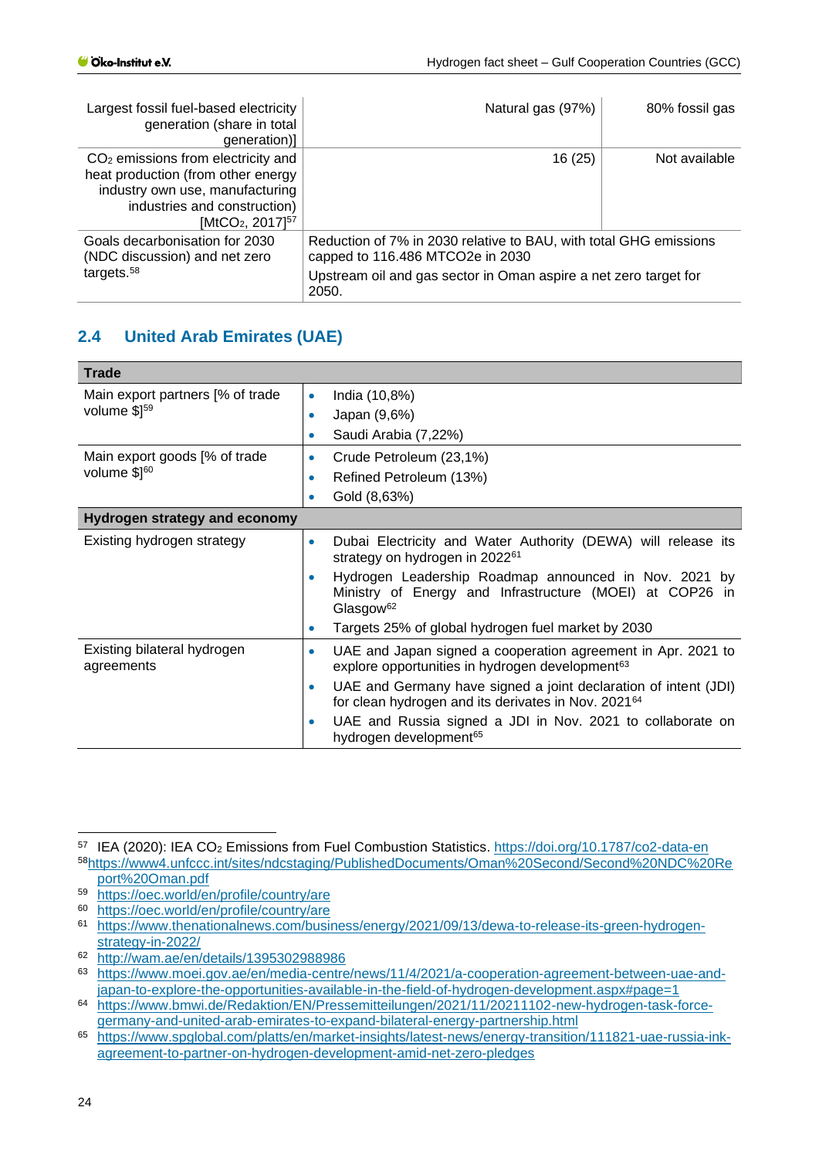| Largest fossil fuel-based electricity<br>generation (share in total<br>generation)]                                                                                                       | Natural gas (97%)                                                                                                                                                                  | 80% fossil gas |
|-------------------------------------------------------------------------------------------------------------------------------------------------------------------------------------------|------------------------------------------------------------------------------------------------------------------------------------------------------------------------------------|----------------|
| $CO2$ emissions from electricity and<br>heat production (from other energy<br>industry own use, manufacturing<br>industries and construction)<br>[MtCO <sub>2</sub> , 2017] <sup>57</sup> | 16 (25)                                                                                                                                                                            | Not available  |
| Goals decarbonisation for 2030<br>(NDC discussion) and net zero<br>targets. $58$                                                                                                          | Reduction of 7% in 2030 relative to BAU, with total GHG emissions<br>capped to 116.486 MTCO2e in 2030<br>Upstream oil and gas sector in Oman aspire a net zero target for<br>2050. |                |

# <span id="page-23-0"></span>**2.4 United Arab Emirates (UAE)**

| <b>Trade</b>                                     |                                                                                                                                                         |
|--------------------------------------------------|---------------------------------------------------------------------------------------------------------------------------------------------------------|
| Main export partners [% of trade<br>volume \$159 | India (10,8%)<br>$\bullet$                                                                                                                              |
|                                                  | Japan (9,6%)<br>۰                                                                                                                                       |
|                                                  | Saudi Arabia (7,22%)<br>$\bullet$                                                                                                                       |
| Main export goods [% of trade                    | Crude Petroleum (23,1%)<br>$\bullet$                                                                                                                    |
| volume \$160                                     | Refined Petroleum (13%)<br>$\bullet$                                                                                                                    |
|                                                  | Gold (8,63%)<br>۰                                                                                                                                       |
| <b>Hydrogen strategy and economy</b>             |                                                                                                                                                         |
| Existing hydrogen strategy                       | Dubai Electricity and Water Authority (DEWA) will release its<br>۰<br>strategy on hydrogen in 2022 <sup>61</sup>                                        |
|                                                  | Hydrogen Leadership Roadmap announced in Nov. 2021 by<br>$\bullet$<br>Ministry of Energy and Infrastructure (MOEI) at COP26 in<br>Glasgow <sup>62</sup> |
|                                                  | Targets 25% of global hydrogen fuel market by 2030<br>$\bullet$                                                                                         |
| Existing bilateral hydrogen<br>agreements        | UAE and Japan signed a cooperation agreement in Apr. 2021 to<br>$\bullet$<br>explore opportunities in hydrogen development <sup>63</sup>                |
|                                                  | UAE and Germany have signed a joint declaration of intent (JDI)<br>۰<br>for clean hydrogen and its derivates in Nov. 2021 <sup>64</sup>                 |
|                                                  | UAE and Russia signed a JDI in Nov. 2021 to collaborate on<br>$\bullet$<br>hydrogen development <sup>65</sup>                                           |

<sup>57</sup> IEA (2020): IEA CO<sup>2</sup> Emissions from Fuel Combustion Statistics.<https://doi.org/10.1787/co2-data-en> <sup>58</sup>[https://www4.unfccc.int/sites/ndcstaging/PublishedDocuments/Oman%20Second/Second%20NDC%20Re](https://www4.unfccc.int/sites/ndcstaging/PublishedDocuments/Oman%20Second/Second%20NDC%20Report%20Oman.pdf) [port%20Oman.pdf](https://www4.unfccc.int/sites/ndcstaging/PublishedDocuments/Oman%20Second/Second%20NDC%20Report%20Oman.pdf)

<sup>59</sup> <https://oec.world/en/profile/country/are>

<sup>60</sup> <https://oec.world/en/profile/country/are>

<sup>61</sup> [https://www.thenationalnews.com/business/energy/2021/09/13/dewa-to-release-its-green-hydrogen](https://www.thenationalnews.com/business/energy/2021/09/13/dewa-to-release-its-green-hydrogen-strategy-in-2022/)[strategy-in-2022/](https://www.thenationalnews.com/business/energy/2021/09/13/dewa-to-release-its-green-hydrogen-strategy-in-2022/)

 $\frac{62 \text{ http://wam.ae/en/details/1395302988986}}{\text{https://www.moei.gov.ae/en/media-centrsc}}$  $\frac{62 \text{ http://wam.ae/en/details/1395302988986}}{\text{https://www.moei.gov.ae/en/media-centrsc}}$  $\frac{62 \text{ http://wam.ae/en/details/1395302988986}}{\text{https://www.moei.gov.ae/en/media-centrsc}}$ 

[https://www.moei.gov.ae/en/media-centre/news/11/4/2021/a-cooperation-agreement-between-uae-and](https://www.moei.gov.ae/en/media-centre/news/11/4/2021/a-cooperation-agreement-between-uae-and-japan-to-explore-the-opportunities-available-in-the-field-of-hydrogen-development.aspx#page=1)[japan-to-explore-the-opportunities-available-in-the-field-of-hydrogen-development.aspx#page=1](https://www.moei.gov.ae/en/media-centre/news/11/4/2021/a-cooperation-agreement-between-uae-and-japan-to-explore-the-opportunities-available-in-the-field-of-hydrogen-development.aspx#page=1)

<sup>64</sup> [https://www.bmwi.de/Redaktion/EN/Pressemitteilungen/2021/11/20211102-new-hydrogen-task-force](https://www.bmwi.de/Redaktion/EN/Pressemitteilungen/2021/11/20211102-new-hydrogen-task-force-germany-and-united-arab-emirates-to-expand-bilateral-energy-partnership.html)[germany-and-united-arab-emirates-to-expand-bilateral-energy-partnership.html](https://www.bmwi.de/Redaktion/EN/Pressemitteilungen/2021/11/20211102-new-hydrogen-task-force-germany-and-united-arab-emirates-to-expand-bilateral-energy-partnership.html)

<sup>65</sup> [https://www.spglobal.com/platts/en/market-insights/latest-news/energy-transition/111821-uae-russia-ink](https://www.spglobal.com/platts/en/market-insights/latest-news/energy-transition/111821-uae-russia-ink-agreement-to-partner-on-hydrogen-development-amid-net-zero-pledges)[agreement-to-partner-on-hydrogen-development-amid-net-zero-pledges](https://www.spglobal.com/platts/en/market-insights/latest-news/energy-transition/111821-uae-russia-ink-agreement-to-partner-on-hydrogen-development-amid-net-zero-pledges)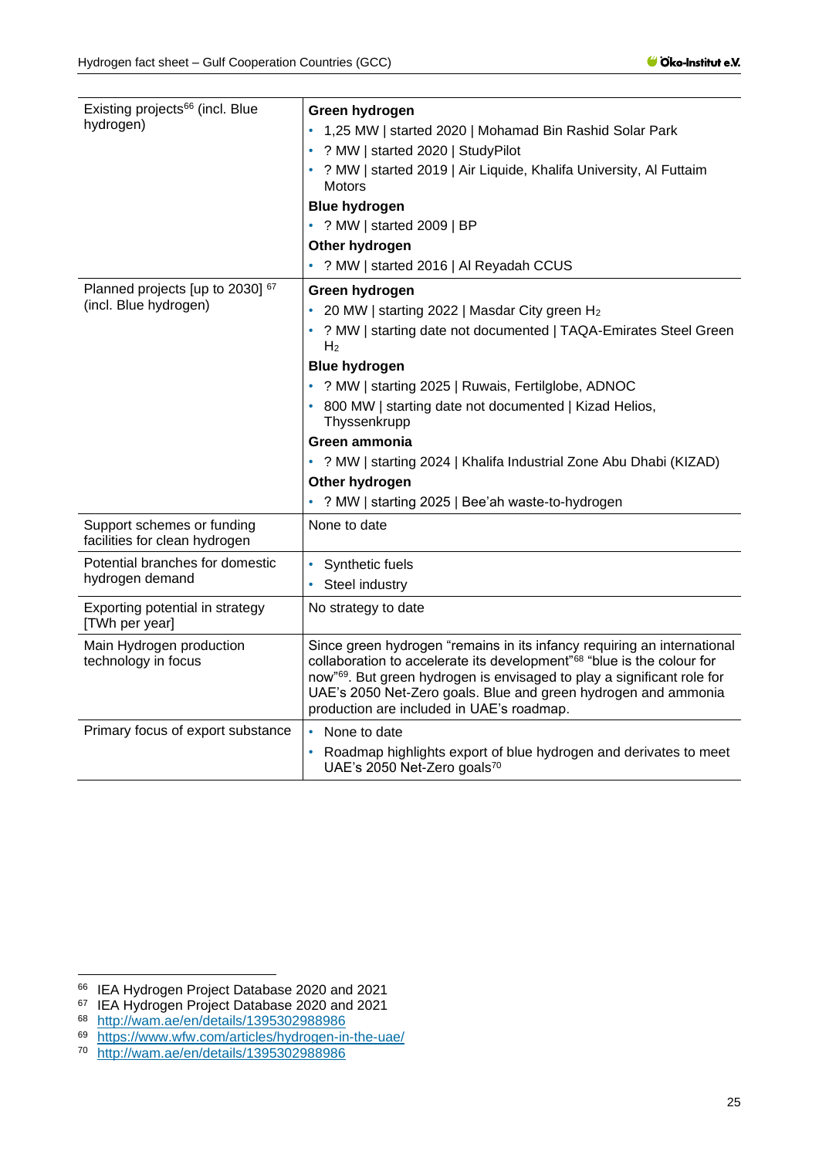| Existing projects <sup>66</sup> (incl. Blue<br>hydrogen)    | Green hydrogen<br>• 1,25 MW   started 2020   Mohamad Bin Rashid Solar Park<br>? MW   started 2020   StudyPilot<br>? MW   started 2019   Air Liquide, Khalifa University, Al Futtaim<br><b>Motors</b><br><b>Blue hydrogen</b><br>• ? MW   started 2009   BP<br>Other hydrogen<br>• ? MW   started 2016   Al Reyadah CCUS                                                                                                                                                               |  |
|-------------------------------------------------------------|---------------------------------------------------------------------------------------------------------------------------------------------------------------------------------------------------------------------------------------------------------------------------------------------------------------------------------------------------------------------------------------------------------------------------------------------------------------------------------------|--|
| Planned projects [up to 2030] 67<br>(incl. Blue hydrogen)   | Green hydrogen<br>20 MW   starting 2022   Masdar City green H <sub>2</sub><br>? MW   starting date not documented   TAQA-Emirates Steel Green<br>H <sub>2</sub><br><b>Blue hydrogen</b><br>• ? MW   starting 2025   Ruwais, Fertilglobe, ADNOC<br>800 MW   starting date not documented   Kizad Helios,<br>Thyssenkrupp<br>Green ammonia<br>• ? MW   starting 2024   Khalifa Industrial Zone Abu Dhabi (KIZAD)<br>Other hydrogen<br>• ? MW   starting 2025   Bee'ah waste-to-hydrogen |  |
| Support schemes or funding<br>facilities for clean hydrogen | None to date                                                                                                                                                                                                                                                                                                                                                                                                                                                                          |  |
| Potential branches for domestic<br>hydrogen demand          | Synthetic fuels<br>Steel industry                                                                                                                                                                                                                                                                                                                                                                                                                                                     |  |
| Exporting potential in strategy<br>[TWh per year]           | No strategy to date                                                                                                                                                                                                                                                                                                                                                                                                                                                                   |  |
| Main Hydrogen production<br>technology in focus             | Since green hydrogen "remains in its infancy requiring an international<br>collaboration to accelerate its development" <sup>68</sup> "blue is the colour for<br>now" <sup>69</sup> . But green hydrogen is envisaged to play a significant role for<br>UAE's 2050 Net-Zero goals. Blue and green hydrogen and ammonia<br>production are included in UAE's roadmap.                                                                                                                   |  |
| Primary focus of export substance                           | None to date<br>Roadmap highlights export of blue hydrogen and derivates to meet<br>UAE's 2050 Net-Zero goals70                                                                                                                                                                                                                                                                                                                                                                       |  |

<sup>66</sup> IEA Hydrogen Project Database 2020 and 2021

<sup>&</sup>lt;sup>67</sup> IEA Hydrogen Project Database 2020 and 2021

<sup>68</sup> <http://wam.ae/en/details/1395302988986>

<sup>&</sup>lt;sup>69</sup> <https://www.wfw.com/articles/hydrogen-in-the-uae/><br><sup>70</sup> http://wam.ae/en/details/1395302988986

<http://wam.ae/en/details/1395302988986>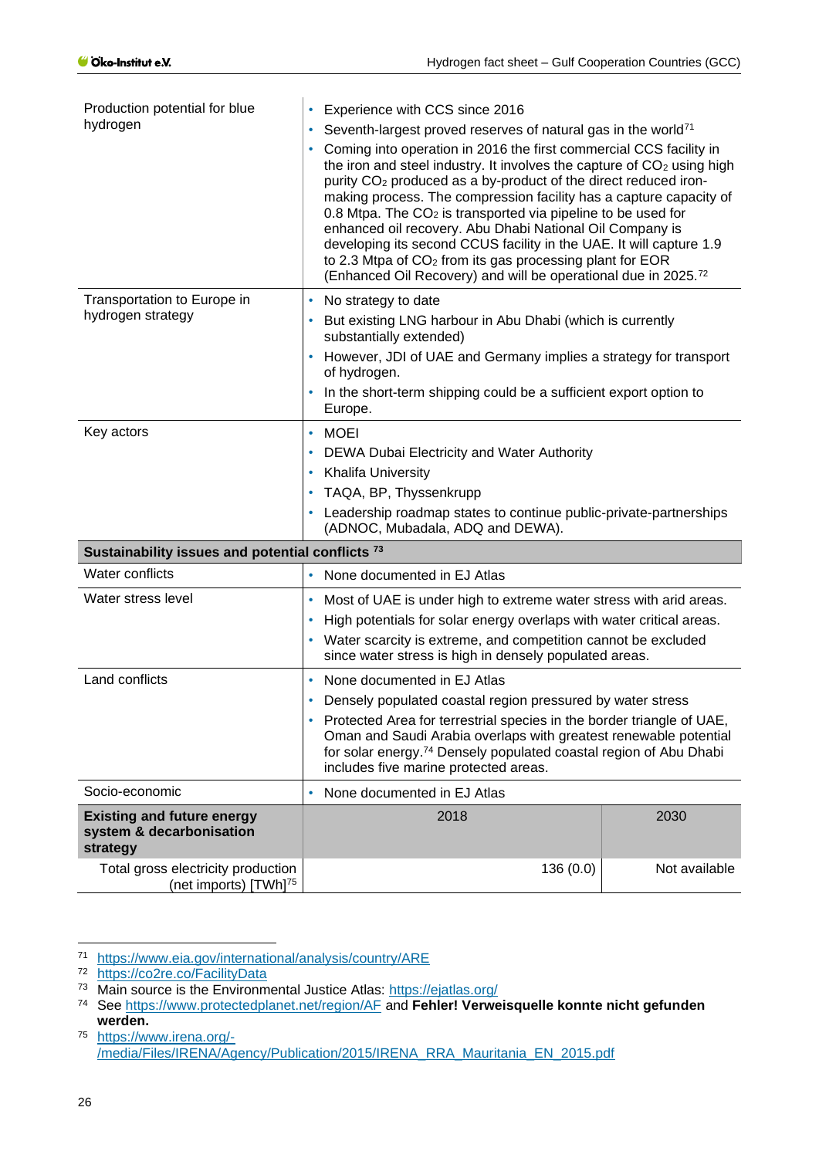| Production potential for blue                                             | Experience with CCS since 2016                                                                                                                                                                                                                                                                                                                                                                                                                                                                                                                                                                                                                                                                                                            |               |
|---------------------------------------------------------------------------|-------------------------------------------------------------------------------------------------------------------------------------------------------------------------------------------------------------------------------------------------------------------------------------------------------------------------------------------------------------------------------------------------------------------------------------------------------------------------------------------------------------------------------------------------------------------------------------------------------------------------------------------------------------------------------------------------------------------------------------------|---------------|
| hydrogen                                                                  | Seventh-largest proved reserves of natural gas in the world <sup>71</sup><br>Coming into operation in 2016 the first commercial CCS facility in<br>the iron and steel industry. It involves the capture of CO <sub>2</sub> using high<br>purity CO <sub>2</sub> produced as a by-product of the direct reduced iron-<br>making process. The compression facility has a capture capacity of<br>0.8 Mtpa. The $CO2$ is transported via pipeline to be used for<br>enhanced oil recovery. Abu Dhabi National Oil Company is<br>developing its second CCUS facility in the UAE. It will capture 1.9<br>to 2.3 Mtpa of CO <sub>2</sub> from its gas processing plant for EOR<br>(Enhanced Oil Recovery) and will be operational due in 2025.72 |               |
| Transportation to Europe in                                               | No strategy to date<br>٠                                                                                                                                                                                                                                                                                                                                                                                                                                                                                                                                                                                                                                                                                                                  |               |
| hydrogen strategy                                                         | But existing LNG harbour in Abu Dhabi (which is currently<br>substantially extended)                                                                                                                                                                                                                                                                                                                                                                                                                                                                                                                                                                                                                                                      |               |
|                                                                           | However, JDI of UAE and Germany implies a strategy for transport<br>of hydrogen.                                                                                                                                                                                                                                                                                                                                                                                                                                                                                                                                                                                                                                                          |               |
|                                                                           | In the short-term shipping could be a sufficient export option to<br>Europe.                                                                                                                                                                                                                                                                                                                                                                                                                                                                                                                                                                                                                                                              |               |
| Key actors                                                                | <b>MOEI</b><br>$\bullet$                                                                                                                                                                                                                                                                                                                                                                                                                                                                                                                                                                                                                                                                                                                  |               |
|                                                                           | DEWA Dubai Electricity and Water Authority                                                                                                                                                                                                                                                                                                                                                                                                                                                                                                                                                                                                                                                                                                |               |
|                                                                           | <b>Khalifa University</b>                                                                                                                                                                                                                                                                                                                                                                                                                                                                                                                                                                                                                                                                                                                 |               |
|                                                                           | TAQA, BP, Thyssenkrupp                                                                                                                                                                                                                                                                                                                                                                                                                                                                                                                                                                                                                                                                                                                    |               |
|                                                                           | Leadership roadmap states to continue public-private-partnerships<br>(ADNOC, Mubadala, ADQ and DEWA).                                                                                                                                                                                                                                                                                                                                                                                                                                                                                                                                                                                                                                     |               |
| Sustainability issues and potential conflicts <sup>73</sup>               |                                                                                                                                                                                                                                                                                                                                                                                                                                                                                                                                                                                                                                                                                                                                           |               |
| Water conflicts                                                           | None documented in EJ Atlas<br>$\bullet$                                                                                                                                                                                                                                                                                                                                                                                                                                                                                                                                                                                                                                                                                                  |               |
| Water stress level                                                        | Most of UAE is under high to extreme water stress with arid areas.                                                                                                                                                                                                                                                                                                                                                                                                                                                                                                                                                                                                                                                                        |               |
|                                                                           | High potentials for solar energy overlaps with water critical areas.                                                                                                                                                                                                                                                                                                                                                                                                                                                                                                                                                                                                                                                                      |               |
|                                                                           | Water scarcity is extreme, and competition cannot be excluded<br>٠<br>since water stress is high in densely populated areas.                                                                                                                                                                                                                                                                                                                                                                                                                                                                                                                                                                                                              |               |
| Land conflicts                                                            | None documented in EJ Atlas<br>$\bullet$                                                                                                                                                                                                                                                                                                                                                                                                                                                                                                                                                                                                                                                                                                  |               |
|                                                                           | Densely populated coastal region pressured by water stress                                                                                                                                                                                                                                                                                                                                                                                                                                                                                                                                                                                                                                                                                |               |
|                                                                           | Protected Area for terrestrial species in the border triangle of UAE,<br>Oman and Saudi Arabia overlaps with greatest renewable potential<br>for solar energy. <sup>74</sup> Densely populated coastal region of Abu Dhabi<br>includes five marine protected areas.                                                                                                                                                                                                                                                                                                                                                                                                                                                                       |               |
| Socio-economic                                                            | None documented in EJ Atlas                                                                                                                                                                                                                                                                                                                                                                                                                                                                                                                                                                                                                                                                                                               |               |
| <b>Existing and future energy</b><br>system & decarbonisation<br>strategy | 2018                                                                                                                                                                                                                                                                                                                                                                                                                                                                                                                                                                                                                                                                                                                                      | 2030          |
| Total gross electricity production<br>(net imports) [TWh] <sup>75</sup>   | 136(0.0)                                                                                                                                                                                                                                                                                                                                                                                                                                                                                                                                                                                                                                                                                                                                  | Not available |

<sup>71</sup> <https://www.eia.gov/international/analysis/country/ARE>

<sup>72</sup> <https://co2re.co/FacilityData>

<sup>73</sup> Main source is the Environmental Justice Atlas:<https://ejatlas.org/>

<sup>74</sup> See<https://www.protectedplanet.net/region/AF> and **Fehler! Verweisquelle konnte nicht gefunden werden.**

<sup>75</sup> [https://www.irena.org/-](https://www.irena.org/-/media/Files/IRENA/Agency/Publication/2015/IRENA_RRA_Mauritania_EN_2015.pdf) [/media/Files/IRENA/Agency/Publication/2015/IRENA\\_RRA\\_Mauritania\\_EN\\_2015.pdf](https://www.irena.org/-/media/Files/IRENA/Agency/Publication/2015/IRENA_RRA_Mauritania_EN_2015.pdf)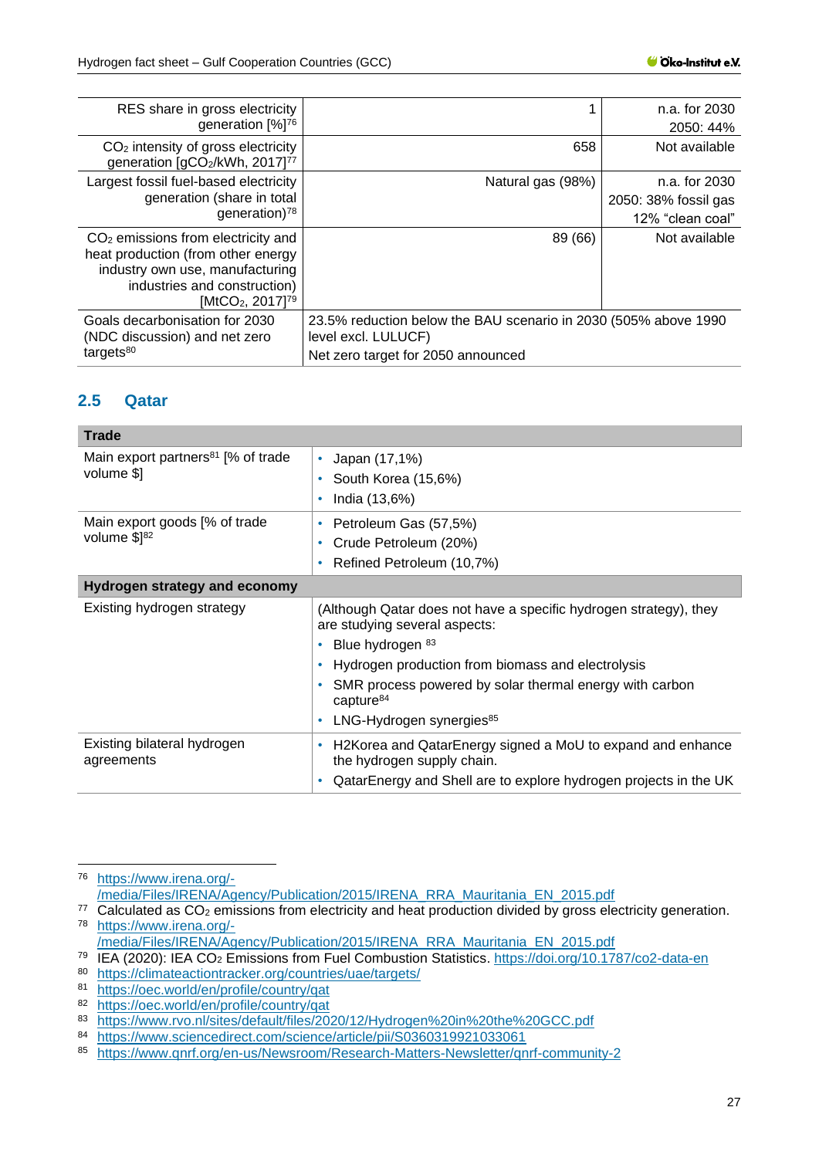| RES share in gross electricity<br>generation [%] <sup>76</sup>                                                                                                                            |                                                                                                                              | n.a. for 2030<br>2050: 44% |
|-------------------------------------------------------------------------------------------------------------------------------------------------------------------------------------------|------------------------------------------------------------------------------------------------------------------------------|----------------------------|
| $CO2$ intensity of gross electricity<br>generation [gCO2/kWh, 2017] <sup>77</sup>                                                                                                         | 658                                                                                                                          | Not available              |
| Largest fossil fuel-based electricity                                                                                                                                                     | Natural gas (98%)                                                                                                            | n.a. for 2030              |
| generation (share in total                                                                                                                                                                |                                                                                                                              | 2050: 38% fossil gas       |
| generation) $78$                                                                                                                                                                          |                                                                                                                              | 12% "clean coal"           |
| $CO2$ emissions from electricity and<br>heat production (from other energy<br>industry own use, manufacturing<br>industries and construction)<br>[MtCO <sub>2</sub> , 2017] <sup>79</sup> | 89 (66)                                                                                                                      | Not available              |
| Goals decarbonisation for 2030<br>(NDC discussion) and net zero<br>targets <sup>80</sup>                                                                                                  | 23.5% reduction below the BAU scenario in 2030 (505% above 1990<br>level excl. LULUCF)<br>Net zero target for 2050 announced |                            |

#### <span id="page-26-0"></span>**2.5 Qatar**

| Japan (17,1%)<br>٠<br>South Korea (15,6%)<br>۰<br>India (13,6%)<br>۰                                                                                                   |
|------------------------------------------------------------------------------------------------------------------------------------------------------------------------|
| Petroleum Gas (57,5%)<br>۰<br>Crude Petroleum (20%)<br>۰<br>Refined Petroleum (10,7%)<br>۰                                                                             |
|                                                                                                                                                                        |
| (Although Qatar does not have a specific hydrogen strategy), they<br>are studying several aspects:                                                                     |
| Blue hydrogen 83<br>۰                                                                                                                                                  |
| Hydrogen production from biomass and electrolysis                                                                                                                      |
| SMR process powered by solar thermal energy with carbon<br>capture <sup>84</sup>                                                                                       |
| LNG-Hydrogen synergies <sup>85</sup><br>۰                                                                                                                              |
| H2Korea and QatarEnergy signed a MoU to expand and enhance<br>۰<br>the hydrogen supply chain.<br>QatarEnergy and Shell are to explore hydrogen projects in the UK<br>۰ |
|                                                                                                                                                                        |

<sup>76</sup> [https://www.irena.org/-](https://www.irena.org/-/media/Files/IRENA/Agency/Publication/2015/IRENA_RRA_Mauritania_EN_2015.pdf) [/media/Files/IRENA/Agency/Publication/2015/IRENA\\_RRA\\_Mauritania\\_EN\\_2015.pdf](https://www.irena.org/-/media/Files/IRENA/Agency/Publication/2015/IRENA_RRA_Mauritania_EN_2015.pdf)

 $77$  Calculated as  $CO<sub>2</sub>$  emissions from electricity and heat production divided by gross electricity generation. <sup>78</sup> [https://www.irena.org/-](https://www.irena.org/-/media/Files/IRENA/Agency/Publication/2015/IRENA_RRA_Mauritania_EN_2015.pdf)

[<sup>/</sup>media/Files/IRENA/Agency/Publication/2015/IRENA\\_RRA\\_Mauritania\\_EN\\_2015.pdf](https://www.irena.org/-/media/Files/IRENA/Agency/Publication/2015/IRENA_RRA_Mauritania_EN_2015.pdf)

<sup>79</sup> IEA (2020): IEA CO<sup>2</sup> Emissions from Fuel Combustion Statistics.<https://doi.org/10.1787/co2-data-en>

<sup>80</sup> <https://climateactiontracker.org/countries/uae/targets/><br>81 https://oec.world/en/profile/country/gat

<sup>81</sup> <https://oec.world/en/profile/country/qat>

<sup>82</sup> <https://oec.world/en/profile/country/qat>

<sup>83</sup> <https://www.rvo.nl/sites/default/files/2020/12/Hydrogen%20in%20the%20GCC.pdf><br>84 https://www.sciencedirect.com/science/article/pii/S0360319921033061

<sup>84</sup> <https://www.sciencedirect.com/science/article/pii/S0360319921033061><br>85 https://www.gprf.org/en-us/Newsroom/Research-Matters-Newsletter/gp

<sup>85</sup> <https://www.qnrf.org/en-us/Newsroom/Research-Matters-Newsletter/qnrf-community-2>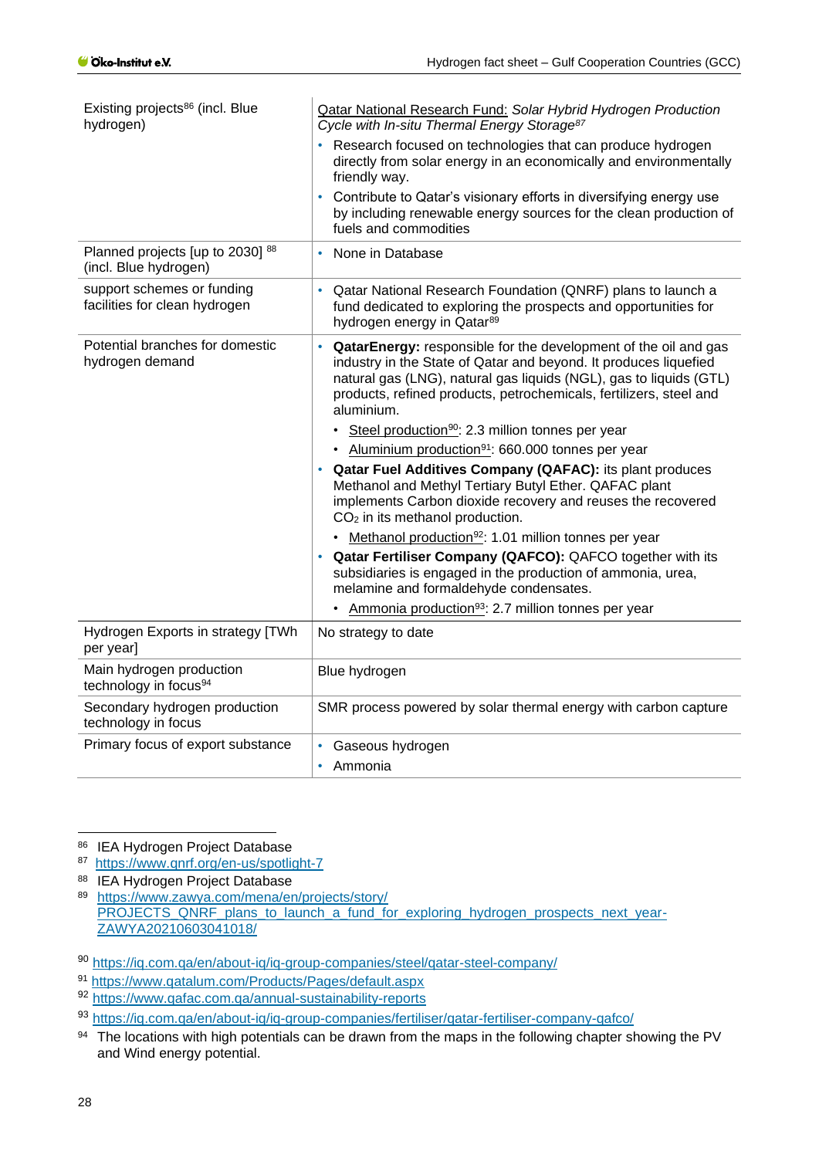| Existing projects <sup>86</sup> (incl. Blue<br>hydrogen)      | <b>Qatar National Research Fund: Solar Hybrid Hydrogen Production</b><br>Cycle with In-situ Thermal Energy Storage <sup>87</sup>                                                                                                                                                              |
|---------------------------------------------------------------|-----------------------------------------------------------------------------------------------------------------------------------------------------------------------------------------------------------------------------------------------------------------------------------------------|
|                                                               | Research focused on technologies that can produce hydrogen<br>directly from solar energy in an economically and environmentally<br>friendly way.                                                                                                                                              |
|                                                               | Contribute to Qatar's visionary efforts in diversifying energy use<br>by including renewable energy sources for the clean production of<br>fuels and commodities                                                                                                                              |
| Planned projects [up to 2030] 88<br>(incl. Blue hydrogen)     | None in Database<br>٠                                                                                                                                                                                                                                                                         |
| support schemes or funding<br>facilities for clean hydrogen   | Qatar National Research Foundation (QNRF) plans to launch a<br>fund dedicated to exploring the prospects and opportunities for<br>hydrogen energy in Qatar <sup>89</sup>                                                                                                                      |
| Potential branches for domestic<br>hydrogen demand            | QatarEnergy: responsible for the development of the oil and gas<br>industry in the State of Qatar and beyond. It produces liquefied<br>natural gas (LNG), natural gas liquids (NGL), gas to liquids (GTL)<br>products, refined products, petrochemicals, fertilizers, steel and<br>aluminium. |
|                                                               | • Steel production <sup>90</sup> : 2.3 million tonnes per year                                                                                                                                                                                                                                |
|                                                               | • Aluminium production <sup>91</sup> : 660.000 tonnes per year                                                                                                                                                                                                                                |
|                                                               | Qatar Fuel Additives Company (QAFAC): its plant produces<br>Methanol and Methyl Tertiary Butyl Ether. QAFAC plant<br>implements Carbon dioxide recovery and reuses the recovered<br>$CO2$ in its methanol production.                                                                         |
|                                                               | • Methanol production <sup>92</sup> : 1.01 million tonnes per year                                                                                                                                                                                                                            |
|                                                               | Qatar Fertiliser Company (QAFCO): QAFCO together with its<br>subsidiaries is engaged in the production of ammonia, urea,<br>melamine and formaldehyde condensates.                                                                                                                            |
|                                                               | • Ammonia production <sup>93</sup> : 2.7 million tonnes per year                                                                                                                                                                                                                              |
| Hydrogen Exports in strategy [TWh<br>per year]                | No strategy to date                                                                                                                                                                                                                                                                           |
| Main hydrogen production<br>technology in focus <sup>94</sup> | Blue hydrogen                                                                                                                                                                                                                                                                                 |
| Secondary hydrogen production<br>technology in focus          | SMR process powered by solar thermal energy with carbon capture                                                                                                                                                                                                                               |
| Primary focus of export substance                             | Gaseous hydrogen                                                                                                                                                                                                                                                                              |
|                                                               | Ammonia<br>$\bullet$                                                                                                                                                                                                                                                                          |

86 IEA Hydrogen Project Database

87 <https://www.qnrf.org/en-us/spotlight-7>

88 IEA Hydrogen Project Database

<sup>89</sup> [https://www.zawya.com/mena/en/projects/story/](https://www.zawya.com/mena/en/projects/story/PROJECTS_QNRF_plans_to_launch_a_fund_for_exploring_hydrogen_prospects_next_year-ZAWYA20210603041018/) [PROJECTS\\_QNRF\\_plans\\_to\\_launch\\_a\\_fund\\_for\\_exploring\\_hydrogen\\_prospects\\_next\\_year-](https://www.zawya.com/mena/en/projects/story/PROJECTS_QNRF_plans_to_launch_a_fund_for_exploring_hydrogen_prospects_next_year-ZAWYA20210603041018/)[ZAWYA20210603041018/](https://www.zawya.com/mena/en/projects/story/PROJECTS_QNRF_plans_to_launch_a_fund_for_exploring_hydrogen_prospects_next_year-ZAWYA20210603041018/)

<sup>91</sup> <https://www.qatalum.com/Products/Pages/default.aspx>

<sup>92</sup> <https://www.qafac.com.qa/annual-sustainability-reports>

<sup>93</sup> <https://iq.com.qa/en/about-iq/iq-group-companies/fertiliser/qatar-fertiliser-company-qafco/>

94 The locations with high potentials can be drawn from the maps in the following chapter showing the PV and Wind energy potential.

<sup>90</sup> <https://iq.com.qa/en/about-iq/iq-group-companies/steel/qatar-steel-company/>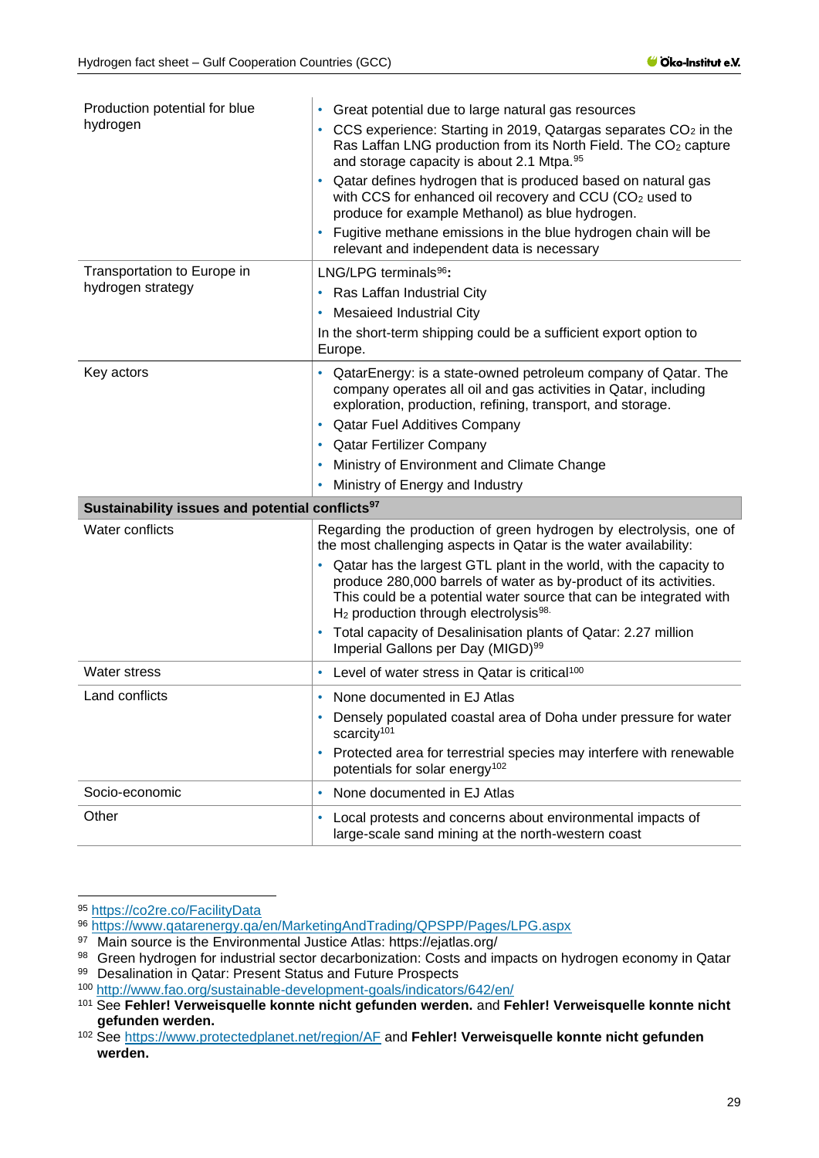| Production potential for blue                               | Great potential due to large natural gas resources                                                                                                                                                                                                                                  |
|-------------------------------------------------------------|-------------------------------------------------------------------------------------------------------------------------------------------------------------------------------------------------------------------------------------------------------------------------------------|
| hydrogen                                                    | CCS experience: Starting in 2019, Qatargas separates CO <sub>2</sub> in the<br>Ras Laffan LNG production from its North Field. The CO <sub>2</sub> capture<br>and storage capacity is about 2.1 Mtpa. 95                                                                            |
|                                                             | Qatar defines hydrogen that is produced based on natural gas<br>٠<br>with CCS for enhanced oil recovery and CCU (CO <sub>2</sub> used to<br>produce for example Methanol) as blue hydrogen.                                                                                         |
|                                                             | Fugitive methane emissions in the blue hydrogen chain will be<br>relevant and independent data is necessary                                                                                                                                                                         |
| Transportation to Europe in                                 | LNG/LPG terminals <sup>96</sup> :                                                                                                                                                                                                                                                   |
| hydrogen strategy                                           | Ras Laffan Industrial City                                                                                                                                                                                                                                                          |
|                                                             | <b>Mesaieed Industrial City</b>                                                                                                                                                                                                                                                     |
|                                                             | In the short-term shipping could be a sufficient export option to<br>Europe.                                                                                                                                                                                                        |
| Key actors                                                  | QatarEnergy: is a state-owned petroleum company of Qatar. The<br>company operates all oil and gas activities in Qatar, including<br>exploration, production, refining, transport, and storage.                                                                                      |
|                                                             | <b>Qatar Fuel Additives Company</b><br>٠                                                                                                                                                                                                                                            |
|                                                             | <b>Qatar Fertilizer Company</b>                                                                                                                                                                                                                                                     |
|                                                             | Ministry of Environment and Climate Change                                                                                                                                                                                                                                          |
|                                                             | Ministry of Energy and Industry                                                                                                                                                                                                                                                     |
| Sustainability issues and potential conflicts <sup>97</sup> |                                                                                                                                                                                                                                                                                     |
| Water conflicts                                             | Regarding the production of green hydrogen by electrolysis, one of<br>the most challenging aspects in Qatar is the water availability:                                                                                                                                              |
|                                                             | Qatar has the largest GTL plant in the world, with the capacity to<br>٠<br>produce 280,000 barrels of water as by-product of its activities.<br>This could be a potential water source that can be integrated with<br>H <sub>2</sub> production through electrolysis <sup>98.</sup> |
|                                                             | Total capacity of Desalinisation plants of Qatar: 2.27 million<br>Imperial Gallons per Day (MIGD) <sup>99</sup>                                                                                                                                                                     |
| <b>Water stress</b>                                         | Level of water stress in Qatar is critical <sup>100</sup>                                                                                                                                                                                                                           |
| Land conflicts                                              | • None documented in EJ Atlas                                                                                                                                                                                                                                                       |
|                                                             | Densely populated coastal area of Doha under pressure for water<br>scarcity <sup>101</sup>                                                                                                                                                                                          |
|                                                             | Protected area for terrestrial species may interfere with renewable                                                                                                                                                                                                                 |
|                                                             | potentials for solar energy <sup>102</sup>                                                                                                                                                                                                                                          |
| Socio-economic                                              | None documented in EJ Atlas                                                                                                                                                                                                                                                         |

<sup>95</sup> <https://co2re.co/FacilityData>

<sup>96</sup> <https://www.qatarenergy.qa/en/MarketingAndTrading/QPSPP/Pages/LPG.aspx>

<sup>97</sup> Main source is the Environmental Justice Atlas: https://ejatlas.org/

<sup>98</sup> Green hydrogen for industrial sector decarbonization: Costs and impacts on hydrogen economy in Qatar 99 Desalination in Qatar: Present Status and Future Prospects

<sup>100</sup> <http://www.fao.org/sustainable-development-goals/indicators/642/en/>

<sup>101</sup> See **Fehler! Verweisquelle konnte nicht gefunden werden.** and **Fehler! Verweisquelle konnte nicht gefunden werden.**

<sup>102</sup> See<https://www.protectedplanet.net/region/AF> and **Fehler! Verweisquelle konnte nicht gefunden werden.**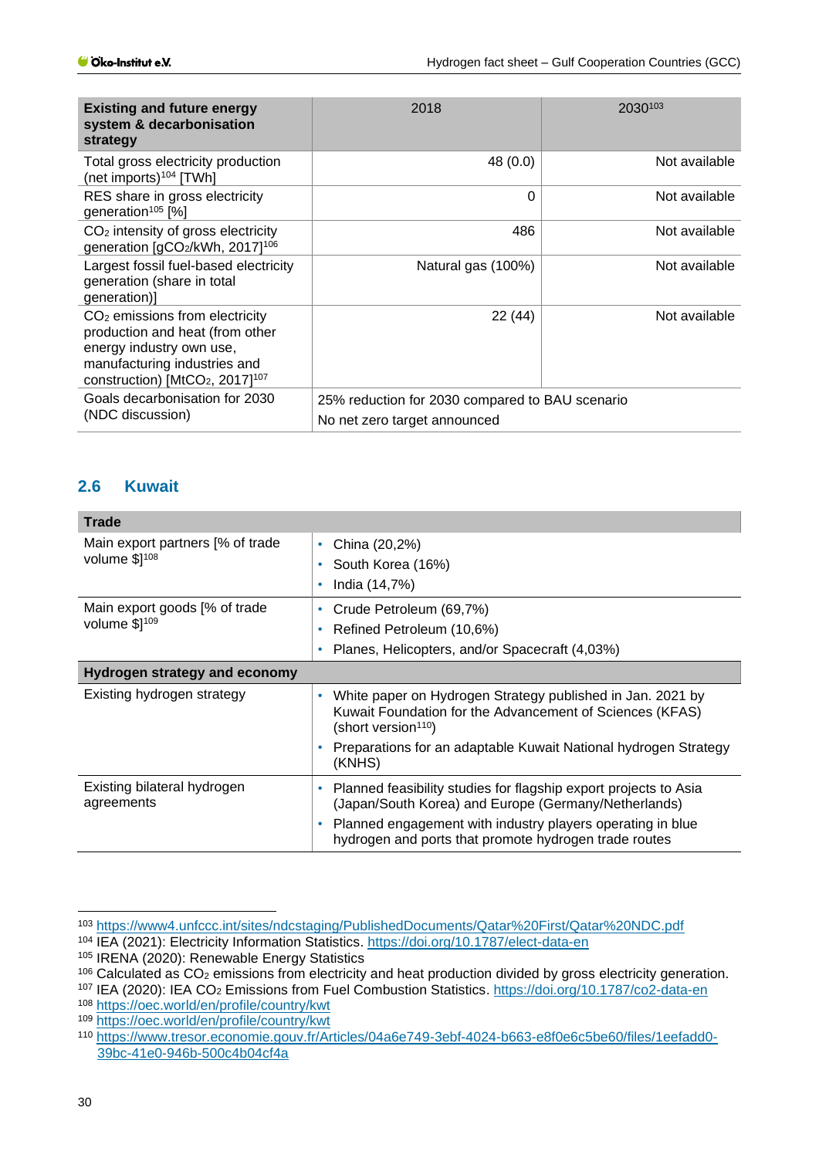| <b>Existing and future energy</b><br>system & decarbonisation<br>strategy                                                                                                                   | 2018                                                                            | 2030103       |
|---------------------------------------------------------------------------------------------------------------------------------------------------------------------------------------------|---------------------------------------------------------------------------------|---------------|
| Total gross electricity production<br>(net imports) $104$ [TWh]                                                                                                                             | 48 (0.0)                                                                        | Not available |
| RES share in gross electricity<br>generation <sup>105</sup> [%]                                                                                                                             | 0                                                                               | Not available |
| $CO2$ intensity of gross electricity<br>generation [gCO2/kWh, 2017] <sup>106</sup>                                                                                                          | 486                                                                             | Not available |
| Largest fossil fuel-based electricity<br>generation (share in total<br>generation)]                                                                                                         | Natural gas (100%)                                                              | Not available |
| CO <sub>2</sub> emissions from electricity<br>production and heat (from other<br>energy industry own use,<br>manufacturing industries and<br>construction) [ $MtCO2$ , 2017] <sup>107</sup> | 22 (44)                                                                         | Not available |
| Goals decarbonisation for 2030<br>(NDC discussion)                                                                                                                                          | 25% reduction for 2030 compared to BAU scenario<br>No net zero target announced |               |

## <span id="page-29-0"></span>**2.6 Kuwait**

| <b>Trade</b>                                      |                                                                                                                                                                                                                                                           |  |
|---------------------------------------------------|-----------------------------------------------------------------------------------------------------------------------------------------------------------------------------------------------------------------------------------------------------------|--|
| Main export partners [% of trade<br>volume \$1108 | China (20,2%)<br>٠<br>South Korea (16%)<br>٠<br>India (14,7%)<br>۰                                                                                                                                                                                        |  |
| Main export goods [% of trade<br>volume \$1109    | Crude Petroleum (69,7%)<br>۰<br>Refined Petroleum (10,6%)<br>۰<br>Planes, Helicopters, and/or Spacecraft (4,03%)<br>٠                                                                                                                                     |  |
| Hydrogen strategy and economy                     |                                                                                                                                                                                                                                                           |  |
| Existing hydrogen strategy                        | White paper on Hydrogen Strategy published in Jan. 2021 by<br>٠<br>Kuwait Foundation for the Advancement of Sciences (KFAS)<br>(short version <sup>110</sup> )                                                                                            |  |
|                                                   | Preparations for an adaptable Kuwait National hydrogen Strategy<br>(KNHS)                                                                                                                                                                                 |  |
| Existing bilateral hydrogen<br>agreements         | Planned feasibility studies for flagship export projects to Asia<br>٠<br>(Japan/South Korea) and Europe (Germany/Netherlands)<br>Planned engagement with industry players operating in blue<br>۰<br>hydrogen and ports that promote hydrogen trade routes |  |

<sup>103</sup> <https://www4.unfccc.int/sites/ndcstaging/PublishedDocuments/Qatar%20First/Qatar%20NDC.pdf>

<sup>104</sup> IEA (2021): Electricity Information Statistics.<https://doi.org/10.1787/elect-data-en>

<sup>105</sup> IRENA (2020): Renewable Energy Statistics

<sup>106</sup> Calculated as CO<sub>2</sub> emissions from electricity and heat production divided by gross electricity generation.

<sup>107</sup> IEA (2020): IEA CO<sup>2</sup> Emissions from Fuel Combustion Statistics.<https://doi.org/10.1787/co2-data-en>

<sup>108</sup> <https://oec.world/en/profile/country/kwt>

<sup>109</sup> <https://oec.world/en/profile/country/kwt>

<sup>110</sup> [https://www.tresor.economie.gouv.fr/Articles/04a6e749-3ebf-4024-b663-e8f0e6c5be60/files/1eefadd0-](https://www.tresor.economie.gouv.fr/Articles/04a6e749-3ebf-4024-b663-e8f0e6c5be60/files/1eefadd0-39bc-41e0-946b-500c4b04cf4a) [39bc-41e0-946b-500c4b04cf4a](https://www.tresor.economie.gouv.fr/Articles/04a6e749-3ebf-4024-b663-e8f0e6c5be60/files/1eefadd0-39bc-41e0-946b-500c4b04cf4a)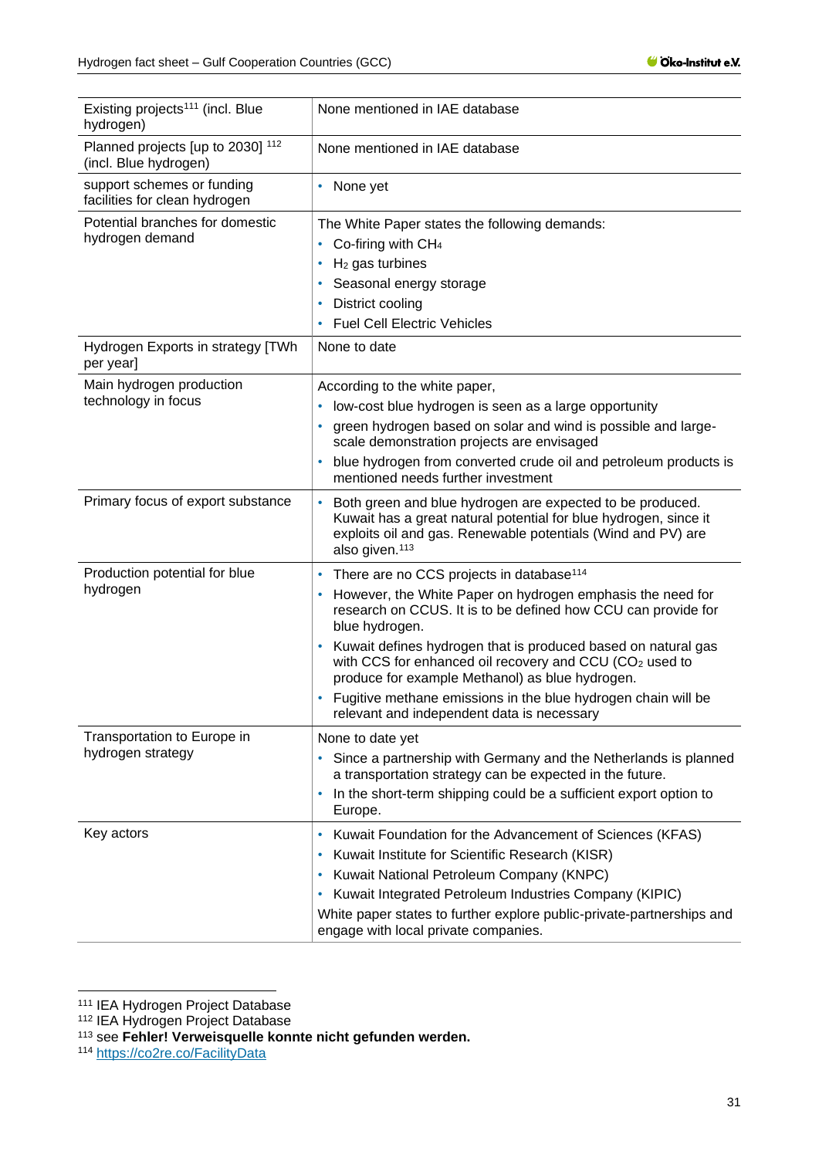| Existing projects <sup>111</sup> (incl. Blue<br>hydrogen)   | None mentioned in IAE database                                                                                                                                                                                                                                                                                                                                                                                                                                                                                       |
|-------------------------------------------------------------|----------------------------------------------------------------------------------------------------------------------------------------------------------------------------------------------------------------------------------------------------------------------------------------------------------------------------------------------------------------------------------------------------------------------------------------------------------------------------------------------------------------------|
| Planned projects [up to 2030] 112<br>(incl. Blue hydrogen)  | None mentioned in IAE database                                                                                                                                                                                                                                                                                                                                                                                                                                                                                       |
| support schemes or funding<br>facilities for clean hydrogen | None yet<br>٠                                                                                                                                                                                                                                                                                                                                                                                                                                                                                                        |
| Potential branches for domestic<br>hydrogen demand          | The White Paper states the following demands:<br>Co-firing with CH <sub>4</sub><br>٠<br>$H2$ gas turbines<br>٠<br>Seasonal energy storage<br>District cooling<br>۰<br><b>Fuel Cell Electric Vehicles</b><br>٠                                                                                                                                                                                                                                                                                                        |
| Hydrogen Exports in strategy [TWh<br>per year]              | None to date                                                                                                                                                                                                                                                                                                                                                                                                                                                                                                         |
| Main hydrogen production<br>technology in focus             | According to the white paper,<br>low-cost blue hydrogen is seen as a large opportunity<br>٠<br>green hydrogen based on solar and wind is possible and large-<br>٠<br>scale demonstration projects are envisaged<br>blue hydrogen from converted crude oil and petroleum products is<br>٠<br>mentioned needs further investment                                                                                                                                                                                       |
| Primary focus of export substance                           | Both green and blue hydrogen are expected to be produced.<br>Kuwait has a great natural potential for blue hydrogen, since it<br>exploits oil and gas. Renewable potentials (Wind and PV) are<br>also given. <sup>113</sup>                                                                                                                                                                                                                                                                                          |
| Production potential for blue<br>hydrogen                   | There are no CCS projects in database <sup>114</sup><br>٠<br>However, the White Paper on hydrogen emphasis the need for<br>research on CCUS. It is to be defined how CCU can provide for<br>blue hydrogen.<br>Kuwait defines hydrogen that is produced based on natural gas<br>with CCS for enhanced oil recovery and CCU (CO <sub>2</sub> used to<br>produce for example Methanol) as blue hydrogen.<br>Fugitive methane emissions in the blue hydrogen chain will be<br>relevant and independent data is necessary |
| Transportation to Europe in<br>hydrogen strategy            | None to date yet<br>Since a partnership with Germany and the Netherlands is planned<br>$\bullet$<br>a transportation strategy can be expected in the future.<br>In the short-term shipping could be a sufficient export option to<br>٠<br>Europe.                                                                                                                                                                                                                                                                    |
| Key actors                                                  | Kuwait Foundation for the Advancement of Sciences (KFAS)<br>٠<br>Kuwait Institute for Scientific Research (KISR)<br>٠<br>Kuwait National Petroleum Company (KNPC)<br>Kuwait Integrated Petroleum Industries Company (KIPIC)<br>٠<br>White paper states to further explore public-private-partnerships and<br>engage with local private companies.                                                                                                                                                                    |

<sup>&</sup>lt;sup>111</sup> IEA Hydrogen Project Database

<sup>112</sup> IEA Hydrogen Project Database

<sup>113</sup> see **Fehler! Verweisquelle konnte nicht gefunden werden.**

<sup>114</sup> <https://co2re.co/FacilityData>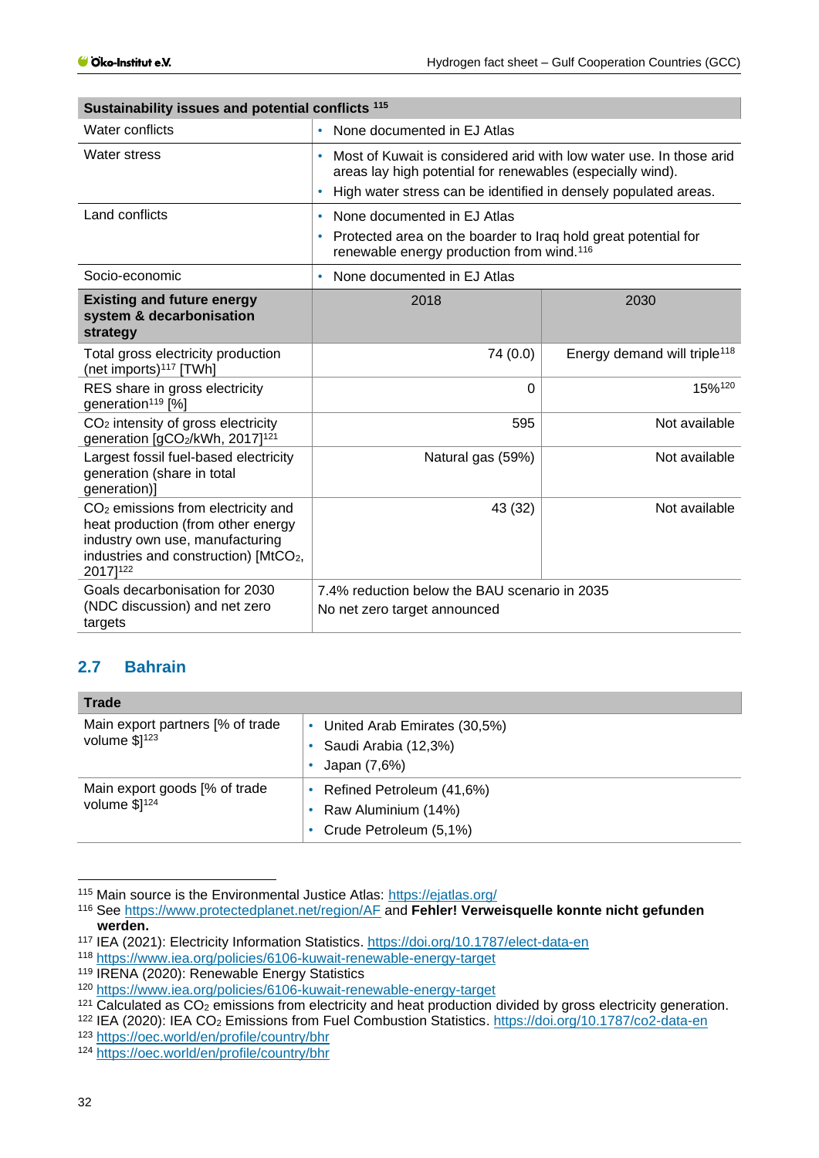| Sustainability issues and potential conflicts 115                                                                                                                                        |                                                                                                                                                                          |                                          |  |
|------------------------------------------------------------------------------------------------------------------------------------------------------------------------------------------|--------------------------------------------------------------------------------------------------------------------------------------------------------------------------|------------------------------------------|--|
| Water conflicts                                                                                                                                                                          | None documented in EJ Atlas<br>$\bullet$                                                                                                                                 |                                          |  |
| Water stress                                                                                                                                                                             | Most of Kuwait is considered arid with low water use. In those arid<br>٠<br>areas lay high potential for renewables (especially wind).                                   |                                          |  |
|                                                                                                                                                                                          | High water stress can be identified in densely populated areas.<br>$\bullet$                                                                                             |                                          |  |
| Land conflicts                                                                                                                                                                           | None documented in EJ Atlas<br>٠<br>Protected area on the boarder to Iraq hold great potential for<br>$\bullet$<br>renewable energy production from wind. <sup>116</sup> |                                          |  |
| Socio-economic                                                                                                                                                                           | None documented in EJ Atlas                                                                                                                                              |                                          |  |
| <b>Existing and future energy</b><br>system & decarbonisation<br>strategy                                                                                                                | 2018                                                                                                                                                                     | 2030                                     |  |
| Total gross electricity production<br>(net imports) <sup>117</sup> [TWh]                                                                                                                 | 74 (0.0)                                                                                                                                                                 | Energy demand will triple <sup>118</sup> |  |
| RES share in gross electricity<br>generation <sup>119</sup> [%]                                                                                                                          | $\Omega$                                                                                                                                                                 | 15%120                                   |  |
| CO <sub>2</sub> intensity of gross electricity<br>generation [gCO2/kWh, 2017] <sup>121</sup>                                                                                             | 595                                                                                                                                                                      | Not available                            |  |
| Largest fossil fuel-based electricity<br>generation (share in total<br>generation)]                                                                                                      | Natural gas (59%)                                                                                                                                                        | Not available                            |  |
| CO <sub>2</sub> emissions from electricity and<br>heat production (from other energy<br>industry own use, manufacturing<br>industries and construction) [MtCO <sub>2</sub> ,<br>2017]122 | 43 (32)                                                                                                                                                                  | Not available                            |  |
| Goals decarbonisation for 2030<br>(NDC discussion) and net zero                                                                                                                          | 7.4% reduction below the BAU scenario in 2035<br>No net zero target announced                                                                                            |                                          |  |
| targets                                                                                                                                                                                  |                                                                                                                                                                          |                                          |  |

## <span id="page-31-0"></span>**2.7 Bahrain**

| <b>Trade</b>                                       |                                                                            |
|----------------------------------------------------|----------------------------------------------------------------------------|
| Main export partners [% of trade<br>volume $$1123$ | United Arab Emirates (30,5%)<br>Saudi Arabia (12,3%)<br>Japan (7,6%)       |
| Main export goods [% of trade<br>volume $$]^{124}$ | Refined Petroleum (41,6%)<br>Raw Aluminium (14%)<br>Crude Petroleum (5,1%) |

<sup>115</sup> Main source is the Environmental Justice Atlas:<https://ejatlas.org/>

<sup>123</sup> <https://oec.world/en/profile/country/bhr>

<sup>116</sup> See<https://www.protectedplanet.net/region/AF> and **Fehler! Verweisquelle konnte nicht gefunden werden.**

<sup>117</sup> IEA (2021): Electricity Information Statistics.<https://doi.org/10.1787/elect-data-en>

<sup>118</sup> <https://www.iea.org/policies/6106-kuwait-renewable-energy-target>

<sup>119</sup> IRENA (2020): Renewable Energy Statistics

<sup>120</sup> <https://www.iea.org/policies/6106-kuwait-renewable-energy-target>

<sup>&</sup>lt;sup>121</sup> Calculated as CO<sub>2</sub> emissions from electricity and heat production divided by gross electricity generation.

<sup>122</sup> IEA (2020): IEA CO<sup>2</sup> Emissions from Fuel Combustion Statistics.<https://doi.org/10.1787/co2-data-en>

<sup>124</sup> <https://oec.world/en/profile/country/bhr>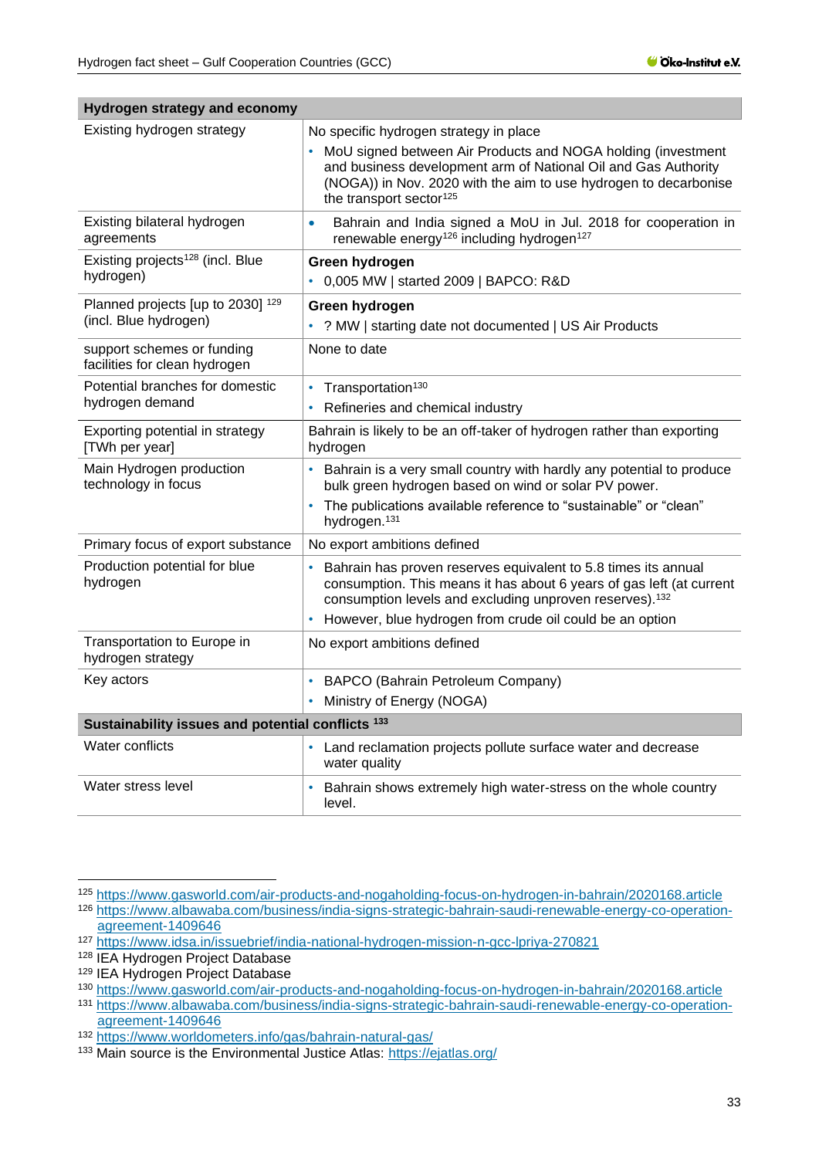| nyurugan suatayy anu acununy                                |                                                                                                                                                                                                                                                                                       |
|-------------------------------------------------------------|---------------------------------------------------------------------------------------------------------------------------------------------------------------------------------------------------------------------------------------------------------------------------------------|
| Existing hydrogen strategy                                  | No specific hydrogen strategy in place<br>• MoU signed between Air Products and NOGA holding (investment<br>and business development arm of National Oil and Gas Authority<br>(NOGA)) in Nov. 2020 with the aim to use hydrogen to decarbonise<br>the transport sector <sup>125</sup> |
| Existing bilateral hydrogen<br>agreements                   | Bahrain and India signed a MoU in Jul. 2018 for cooperation in<br>$\bullet$<br>renewable energy <sup>126</sup> including hydrogen <sup>127</sup>                                                                                                                                      |
| Existing projects <sup>128</sup> (incl. Blue<br>hydrogen)   | Green hydrogen<br>0,005 MW   started 2009   BAPCO: R&D                                                                                                                                                                                                                                |
| Planned projects [up to 2030] 129<br>(incl. Blue hydrogen)  | Green hydrogen<br>? MW   starting date not documented   US Air Products                                                                                                                                                                                                               |
| support schemes or funding<br>facilities for clean hydrogen | None to date                                                                                                                                                                                                                                                                          |
| Potential branches for domestic<br>hydrogen demand          | Transportation <sup>130</sup><br>Refineries and chemical industry                                                                                                                                                                                                                     |
| Exporting potential in strategy<br>[TWh per year]           | Bahrain is likely to be an off-taker of hydrogen rather than exporting<br>hydrogen                                                                                                                                                                                                    |
| Main Hydrogen production<br>technology in focus             | Bahrain is a very small country with hardly any potential to produce<br>bulk green hydrogen based on wind or solar PV power.<br>The publications available reference to "sustainable" or "clean"<br>hydrogen. <sup>131</sup>                                                          |
| Primary focus of export substance                           | No export ambitions defined                                                                                                                                                                                                                                                           |
| Production potential for blue<br>hydrogen                   | Bahrain has proven reserves equivalent to 5.8 times its annual<br>consumption. This means it has about 6 years of gas left (at current<br>consumption levels and excluding unproven reserves). <sup>132</sup><br>However, blue hydrogen from crude oil could be an option             |
| Transportation to Europe in<br>hydrogen strategy            | No export ambitions defined                                                                                                                                                                                                                                                           |
| Key actors                                                  | BAPCO (Bahrain Petroleum Company)<br>٠<br>Ministry of Energy (NOGA)                                                                                                                                                                                                                   |
| Sustainability issues and potential conflicts 133           |                                                                                                                                                                                                                                                                                       |
| Water conflicts                                             | Land reclamation projects pollute surface water and decrease<br>$\bullet$<br>water quality                                                                                                                                                                                            |
| Water stress level                                          | Bahrain shows extremely high water-stress on the whole country<br>level.                                                                                                                                                                                                              |

**Hydrogen strategy and economy**

<sup>125</sup> <https://www.gasworld.com/air-products-and-nogaholding-focus-on-hydrogen-in-bahrain/2020168.article>

<sup>126</sup> [https://www.albawaba.com/business/india-signs-strategic-bahrain-saudi-renewable-energy-co-operation](https://www.albawaba.com/business/india-signs-strategic-bahrain-saudi-renewable-energy-co-operation-agreement-1409646)[agreement-1409646](https://www.albawaba.com/business/india-signs-strategic-bahrain-saudi-renewable-energy-co-operation-agreement-1409646)

<sup>127</sup> <https://www.idsa.in/issuebrief/india-national-hydrogen-mission-n-gcc-lpriya-270821>

<sup>128</sup> IEA Hydrogen Project Database

<sup>129</sup> IEA Hydrogen Project Database

<sup>130</sup> <https://www.gasworld.com/air-products-and-nogaholding-focus-on-hydrogen-in-bahrain/2020168.article> <sup>131</sup> [https://www.albawaba.com/business/india-signs-strategic-bahrain-saudi-renewable-energy-co-operation](https://www.albawaba.com/business/india-signs-strategic-bahrain-saudi-renewable-energy-co-operation-agreement-1409646)[agreement-1409646](https://www.albawaba.com/business/india-signs-strategic-bahrain-saudi-renewable-energy-co-operation-agreement-1409646)

<sup>132</sup> <https://www.worldometers.info/gas/bahrain-natural-gas/>

<sup>133</sup> Main source is the Environmental Justice Atlas:<https://ejatlas.org/>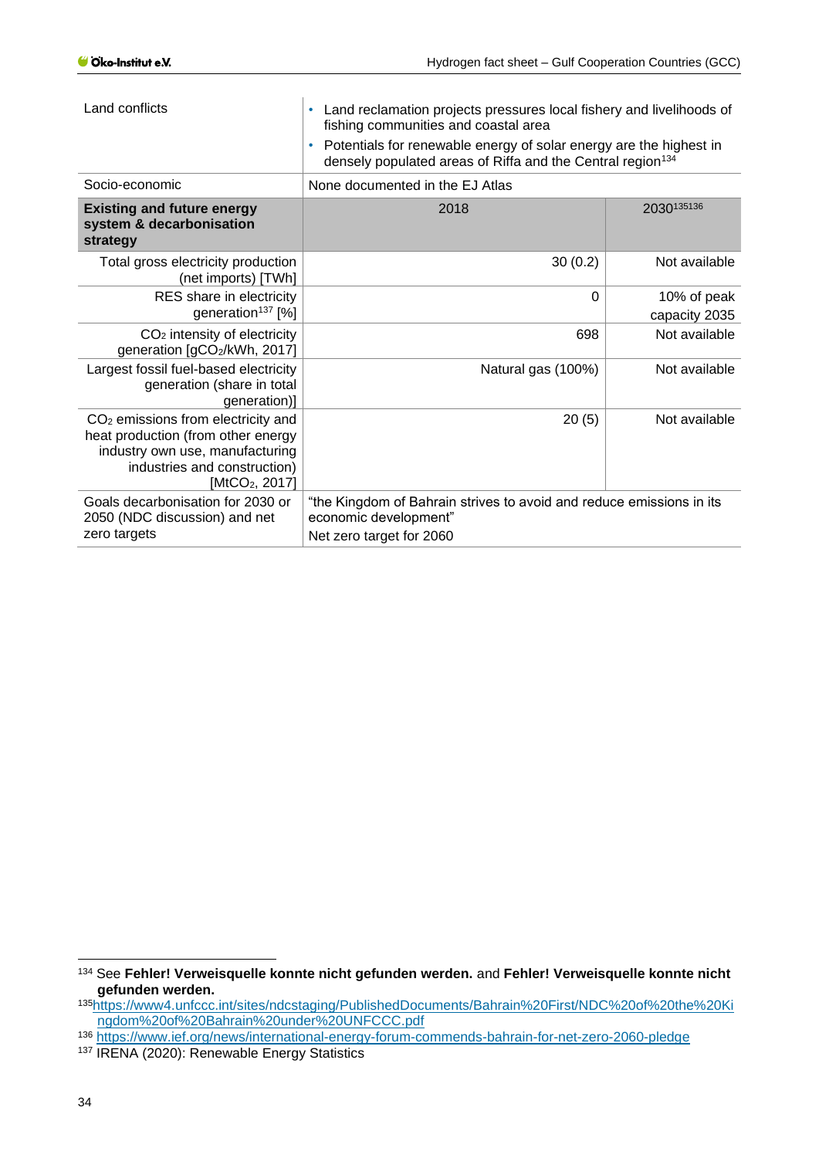| Land conflicts                                                                                                                                                                        | Land reclamation projects pressures local fishery and livelihoods of<br>$\bullet$<br>fishing communities and coastal area<br>Potentials for renewable energy of solar energy are the highest in<br>$\bullet$<br>densely populated areas of Riffa and the Central region <sup>134</sup> |                              |  |
|---------------------------------------------------------------------------------------------------------------------------------------------------------------------------------------|----------------------------------------------------------------------------------------------------------------------------------------------------------------------------------------------------------------------------------------------------------------------------------------|------------------------------|--|
| Socio-economic                                                                                                                                                                        | None documented in the EJ Atlas                                                                                                                                                                                                                                                        |                              |  |
| <b>Existing and future energy</b><br>system & decarbonisation<br>strategy                                                                                                             | 2018                                                                                                                                                                                                                                                                                   | 2030135136                   |  |
| Total gross electricity production<br>(net imports) [TWh]                                                                                                                             | 30(0.2)                                                                                                                                                                                                                                                                                | Not available                |  |
| RES share in electricity<br>generation <sup>137</sup> [%]                                                                                                                             | 0                                                                                                                                                                                                                                                                                      | 10% of peak<br>capacity 2035 |  |
| $CO2$ intensity of electricity<br>generation [gCO2/kWh, 2017]                                                                                                                         | 698                                                                                                                                                                                                                                                                                    | Not available                |  |
| Largest fossil fuel-based electricity<br>generation (share in total<br>generation)]                                                                                                   | Natural gas (100%)                                                                                                                                                                                                                                                                     | Not available                |  |
| CO <sub>2</sub> emissions from electricity and<br>heat production (from other energy<br>industry own use, manufacturing<br>industries and construction)<br>[MtCO <sub>2</sub> , 2017] | 20(5)                                                                                                                                                                                                                                                                                  | Not available                |  |
| Goals decarbonisation for 2030 or<br>2050 (NDC discussion) and net<br>zero targets                                                                                                    | "the Kingdom of Bahrain strives to avoid and reduce emissions in its<br>economic development"<br>Net zero target for 2060                                                                                                                                                              |                              |  |

<sup>134</sup> See **Fehler! Verweisquelle konnte nicht gefunden werden.** and **Fehler! Verweisquelle konnte nicht gefunden werden.**

<sup>135</sup>[https://www4.unfccc.int/sites/ndcstaging/PublishedDocuments/Bahrain%20First/NDC%20of%20the%20Ki](https://www4.unfccc.int/sites/ndcstaging/PublishedDocuments/Bahrain%20First/NDC%20of%20the%20Kingdom%20of%20Bahrain%20under%20UNFCCC.pdf) [ngdom%20of%20Bahrain%20under%20UNFCCC.pdf](https://www4.unfccc.int/sites/ndcstaging/PublishedDocuments/Bahrain%20First/NDC%20of%20the%20Kingdom%20of%20Bahrain%20under%20UNFCCC.pdf)

<sup>136</sup> <https://www.ief.org/news/international-energy-forum-commends-bahrain-for-net-zero-2060-pledge>

<sup>137</sup> IRENA (2020): Renewable Energy Statistics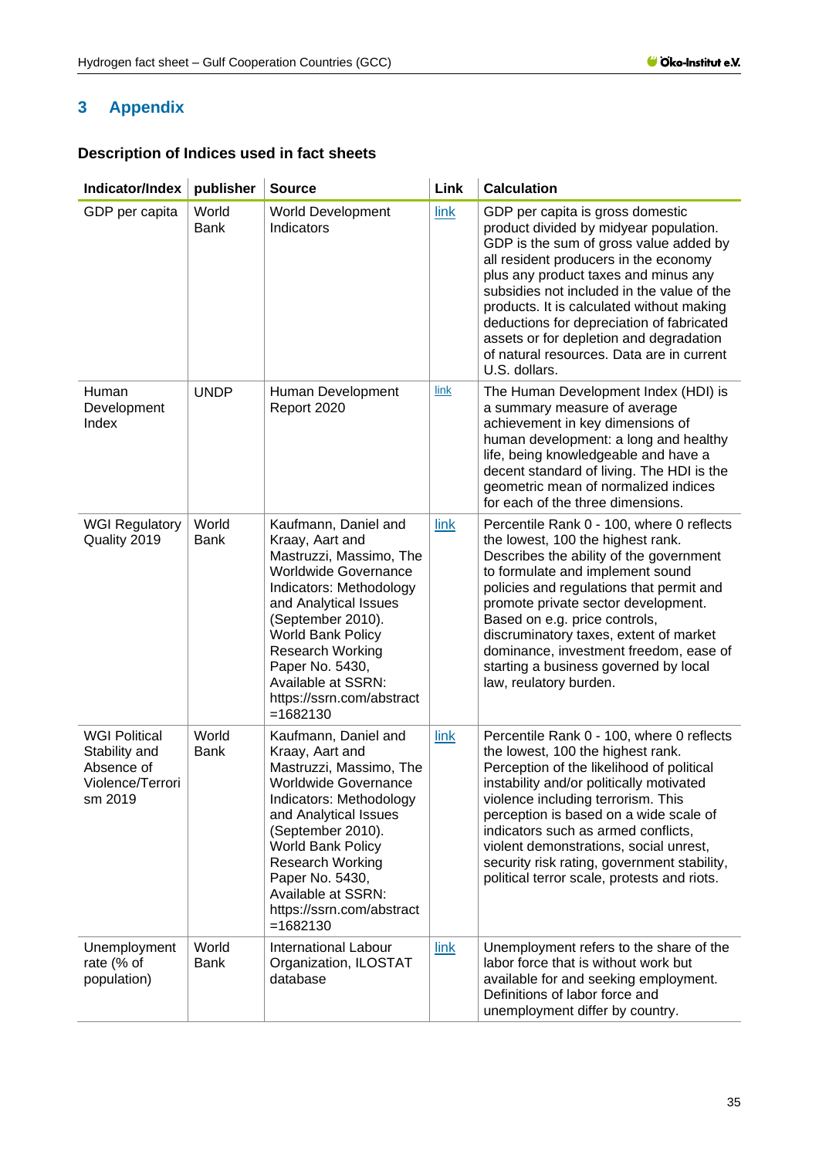# <span id="page-34-0"></span>**3 Appendix**

# **Description of Indices used in fact sheets**

| Indicator/Index                                                                    | publisher            | <b>Source</b>                                                                                                                                                                                                                                                                                                         | Link | <b>Calculation</b>                                                                                                                                                                                                                                                                                                                                                                                                                                     |
|------------------------------------------------------------------------------------|----------------------|-----------------------------------------------------------------------------------------------------------------------------------------------------------------------------------------------------------------------------------------------------------------------------------------------------------------------|------|--------------------------------------------------------------------------------------------------------------------------------------------------------------------------------------------------------------------------------------------------------------------------------------------------------------------------------------------------------------------------------------------------------------------------------------------------------|
| GDP per capita                                                                     | World<br><b>Bank</b> | <b>World Development</b><br>Indicators                                                                                                                                                                                                                                                                                | link | GDP per capita is gross domestic<br>product divided by midyear population.<br>GDP is the sum of gross value added by<br>all resident producers in the economy<br>plus any product taxes and minus any<br>subsidies not included in the value of the<br>products. It is calculated without making<br>deductions for depreciation of fabricated<br>assets or for depletion and degradation<br>of natural resources. Data are in current<br>U.S. dollars. |
| Human<br>Development<br>Index                                                      | <b>UNDP</b>          | Human Development<br>Report 2020                                                                                                                                                                                                                                                                                      | link | The Human Development Index (HDI) is<br>a summary measure of average<br>achievement in key dimensions of<br>human development: a long and healthy<br>life, being knowledgeable and have a<br>decent standard of living. The HDI is the<br>geometric mean of normalized indices<br>for each of the three dimensions.                                                                                                                                    |
| <b>WGI Regulatory</b><br>Quality 2019                                              | World<br><b>Bank</b> | Kaufmann, Daniel and<br>Kraay, Aart and<br>Mastruzzi, Massimo, The<br><b>Worldwide Governance</b><br>Indicators: Methodology<br>and Analytical Issues<br>(September 2010).<br><b>World Bank Policy</b><br><b>Research Working</b><br>Paper No. 5430,<br>Available at SSRN:<br>https://ssrn.com/abstract<br>$=1682130$ | link | Percentile Rank 0 - 100, where 0 reflects<br>the lowest, 100 the highest rank.<br>Describes the ability of the government<br>to formulate and implement sound<br>policies and regulations that permit and<br>promote private sector development.<br>Based on e.g. price controls,<br>discruminatory taxes, extent of market<br>dominance, investment freedom, ease of<br>starting a business governed by local<br>law, reulatory burden.               |
| <b>WGI Political</b><br>Stability and<br>Absence of<br>Violence/Terrori<br>sm 2019 | World<br><b>Bank</b> | Kaufmann, Daniel and<br>Kraay, Aart and<br>Mastruzzi, Massimo, The<br><b>Worldwide Governance</b><br>Indicators: Methodology<br>and Analytical Issues<br>(September 2010).<br>World Bank Policy<br><b>Research Working</b><br>Paper No. 5430,<br>Available at SSRN:<br>https://ssrn.com/abstract<br>$= 1682130$       | link | Percentile Rank 0 - 100, where 0 reflects<br>the lowest, 100 the highest rank.<br>Perception of the likelihood of political<br>instability and/or politically motivated<br>violence including terrorism. This<br>perception is based on a wide scale of<br>indicators such as armed conflicts,<br>violent demonstrations, social unrest,<br>security risk rating, government stability,<br>political terror scale, protests and riots.                 |
| Unemployment<br>rate (% of<br>population)                                          | World<br><b>Bank</b> | <b>International Labour</b><br>Organization, ILOSTAT<br>database                                                                                                                                                                                                                                                      | link | Unemployment refers to the share of the<br>labor force that is without work but<br>available for and seeking employment.<br>Definitions of labor force and<br>unemployment differ by country.                                                                                                                                                                                                                                                          |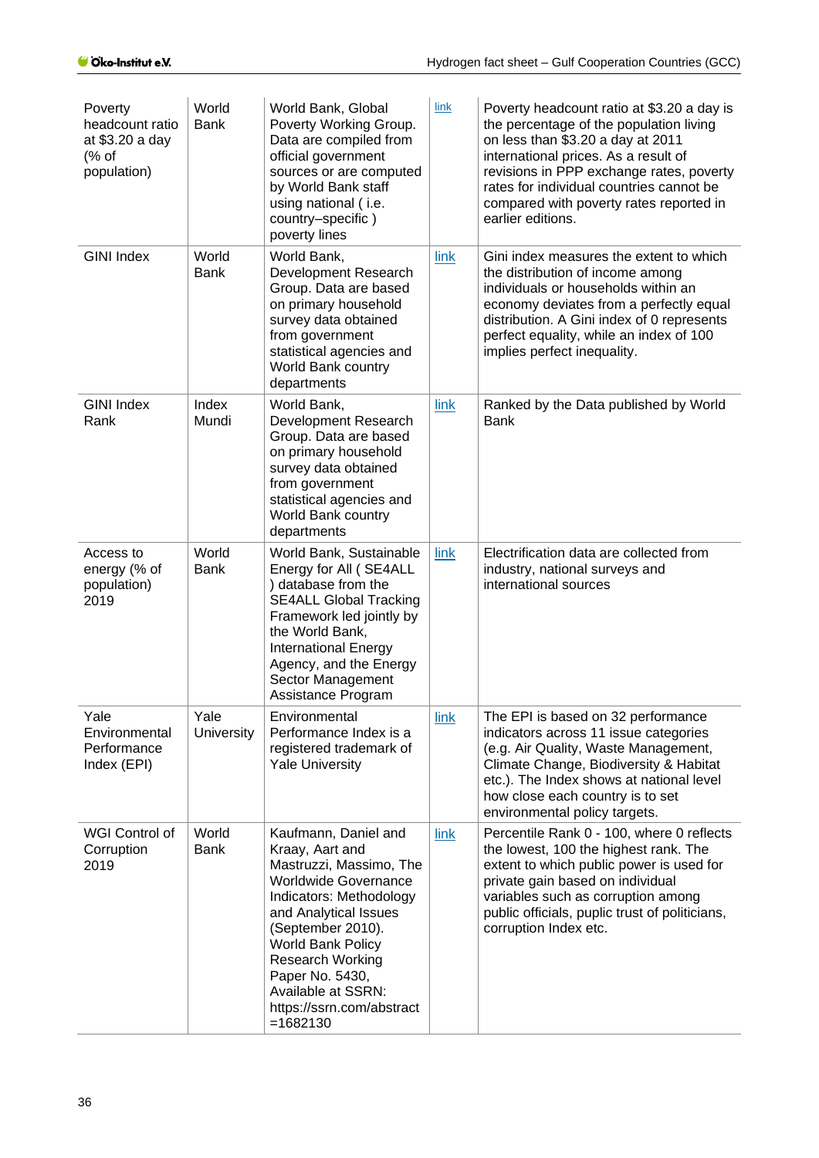| Poverty<br>headcount ratio<br>at \$3.20 a day<br>% of<br>population) | World<br><b>Bank</b>      | World Bank, Global<br>Poverty Working Group.<br>Data are compiled from<br>official government<br>sources or are computed<br>by World Bank staff<br>using national (i.e.<br>country-specific)<br>poverty lines                                                                                                          | <b>link</b> | Poverty headcount ratio at \$3.20 a day is<br>the percentage of the population living<br>on less than \$3.20 a day at 2011<br>international prices. As a result of<br>revisions in PPP exchange rates, poverty<br>rates for individual countries cannot be<br>compared with poverty rates reported in<br>earlier editions. |
|----------------------------------------------------------------------|---------------------------|------------------------------------------------------------------------------------------------------------------------------------------------------------------------------------------------------------------------------------------------------------------------------------------------------------------------|-------------|----------------------------------------------------------------------------------------------------------------------------------------------------------------------------------------------------------------------------------------------------------------------------------------------------------------------------|
| <b>GINI Index</b>                                                    | World<br><b>Bank</b>      | World Bank,<br>Development Research<br>Group. Data are based<br>on primary household<br>survey data obtained<br>from government<br>statistical agencies and<br>World Bank country<br>departments                                                                                                                       | link        | Gini index measures the extent to which<br>the distribution of income among<br>individuals or households within an<br>economy deviates from a perfectly equal<br>distribution. A Gini index of 0 represents<br>perfect equality, while an index of 100<br>implies perfect inequality.                                      |
| <b>GINI Index</b><br>Rank                                            | Index<br>Mundi            | World Bank,<br>Development Research<br>Group. Data are based<br>on primary household<br>survey data obtained<br>from government<br>statistical agencies and<br>World Bank country<br>departments                                                                                                                       | link        | Ranked by the Data published by World<br><b>Bank</b>                                                                                                                                                                                                                                                                       |
| Access to<br>energy (% of<br>population)<br>2019                     | World<br><b>Bank</b>      | World Bank, Sustainable<br>Energy for All (SE4ALL<br>) database from the<br><b>SE4ALL Global Tracking</b><br>Framework led jointly by<br>the World Bank,<br><b>International Energy</b><br>Agency, and the Energy<br>Sector Management<br>Assistance Program                                                           | link        | Electrification data are collected from<br>industry, national surveys and<br>international sources                                                                                                                                                                                                                         |
| Yale<br>Environmental<br>Performance<br>Index (EPI)                  | Yale<br><b>University</b> | Environmental<br>Performance Index is a<br>registered trademark of<br><b>Yale University</b>                                                                                                                                                                                                                           | link        | The EPI is based on 32 performance<br>indicators across 11 issue categories<br>(e.g. Air Quality, Waste Management,<br>Climate Change, Biodiversity & Habitat<br>etc.). The Index shows at national level<br>how close each country is to set<br>environmental policy targets.                                             |
| WGI Control of<br>Corruption<br>2019                                 | World<br><b>Bank</b>      | Kaufmann, Daniel and<br>Kraay, Aart and<br>Mastruzzi, Massimo, The<br><b>Worldwide Governance</b><br>Indicators: Methodology<br>and Analytical Issues<br>(September 2010).<br><b>World Bank Policy</b><br><b>Research Working</b><br>Paper No. 5430,<br>Available at SSRN:<br>https://ssrn.com/abstract<br>$= 1682130$ | link        | Percentile Rank 0 - 100, where 0 reflects<br>the lowest, 100 the highest rank. The<br>extent to which public power is used for<br>private gain based on individual<br>variables such as corruption among<br>public officials, puplic trust of politicians,<br>corruption Index etc.                                        |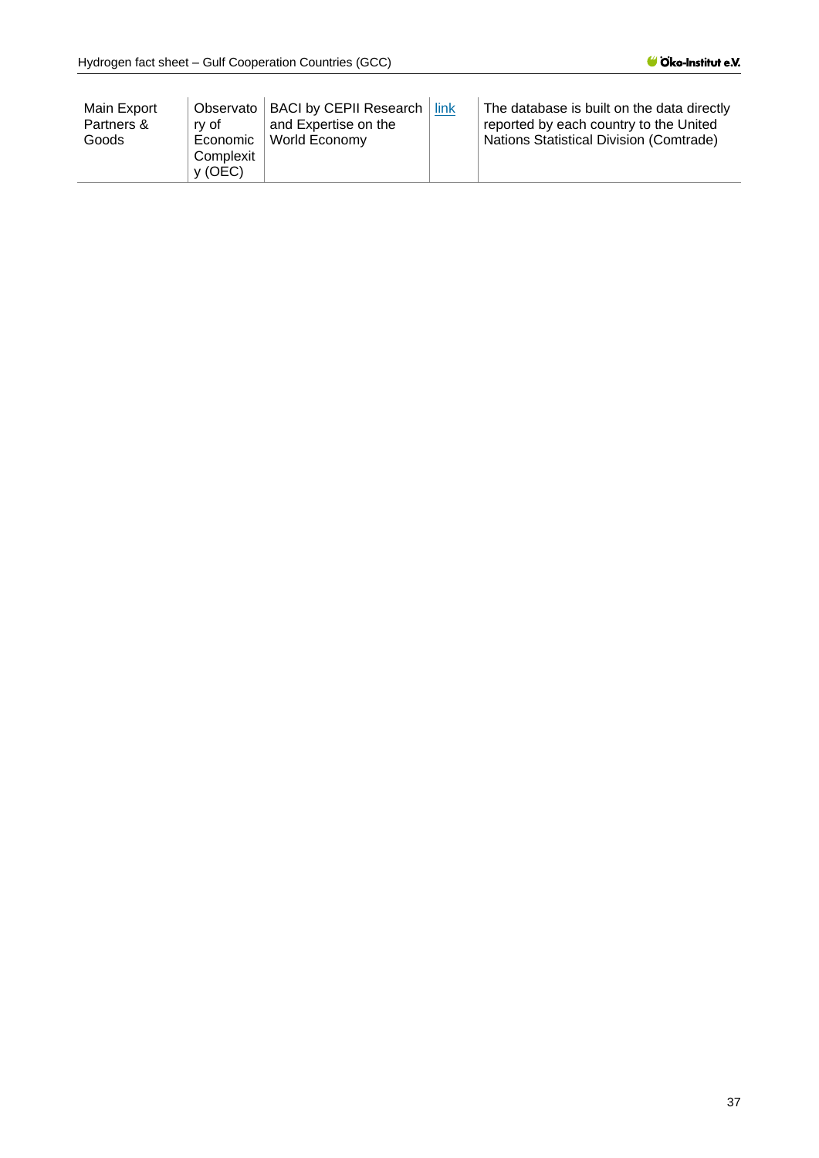| Main Export<br>Partners &<br>Goods | Observato<br>rv of<br>Economic<br>Complexit<br>v (OEC) | <b>BACI by CEPII Research</b><br>and Expertise on the<br>World Economy | link | The database is built on the data directly<br>reported by each country to the United<br>Nations Statistical Division (Comtrade) |
|------------------------------------|--------------------------------------------------------|------------------------------------------------------------------------|------|---------------------------------------------------------------------------------------------------------------------------------|
|------------------------------------|--------------------------------------------------------|------------------------------------------------------------------------|------|---------------------------------------------------------------------------------------------------------------------------------|